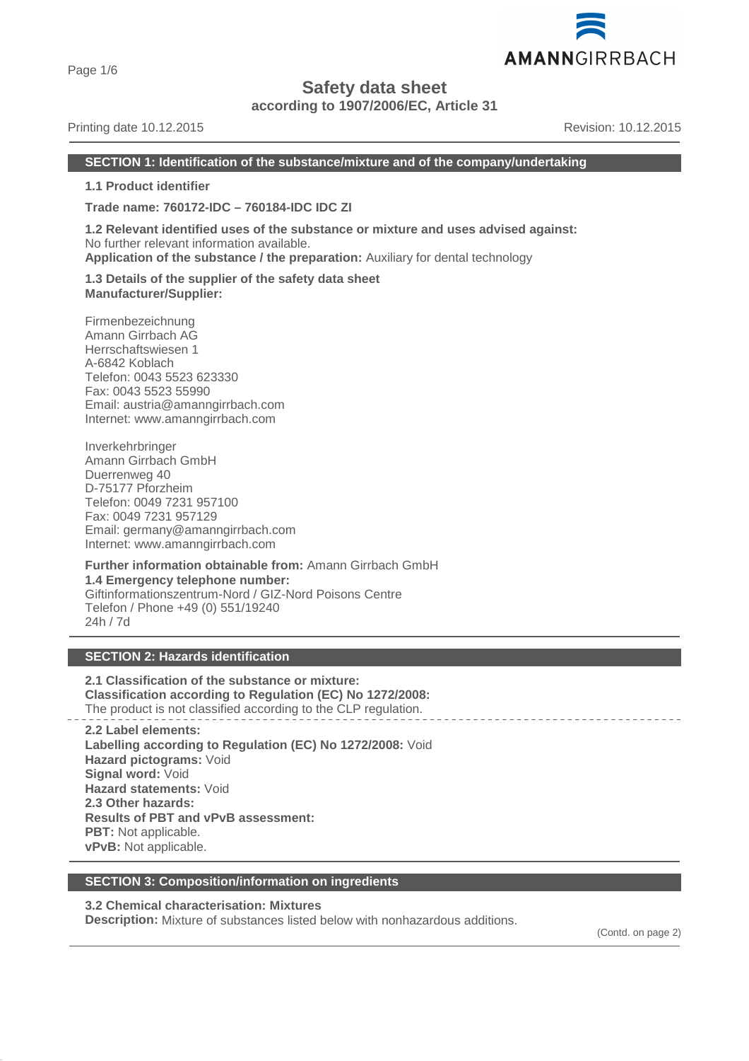Page 1/6

# **Safety data sheet**

**according to 1907/2006/EC, Article 31**

# Printing date 10.12.2015 **Revision: 10.12.2015** Revision: 10.12.2015

AMANNGIRRBACH

# **SECTION 1: Identification of the substance/mixture and of the company/undertaking**

**1.1 Product identifier**

**Trade name: 760172-IDC – 760184-IDC IDC ZI**

**1.2 Relevant identified uses of the substance or mixture and uses advised against:** No further relevant information available. **Application of the substance / the preparation:** Auxiliary for dental technology

**1.3 Details of the supplier of the safety data sheet Manufacturer/Supplier:**

Firmenbezeichnung Amann Girrbach AG Herrschaftswiesen 1 A-6842 Koblach Telefon: 0043 5523 623330 Fax: 0043 5523 55990 Email: austria@amanngirrbach.com Internet: www.amanngirrbach.com

Inverkehrbringer Amann Girrbach GmbH Duerrenweg 40 D-75177 Pforzheim Telefon: 0049 7231 957100 Fax: 0049 7231 957129 Email: germany@amanngirrbach.com Internet: www.amanngirrbach.com

**Further information obtainable from:** Amann Girrbach GmbH **1.4 Emergency telephone number:** Giftinformationszentrum-Nord / GIZ-Nord Poisons Centre Telefon / Phone +49 (0) 551/19240 24h / 7d

# **SECTION 2: Hazards identification**

**2.1 Classification of the substance or mixture: Classification according to Regulation (EC) No 1272/2008:** The product is not classified according to the CLP regulation.

**2.2 Label elements: Labelling according to Regulation (EC) No 1272/2008:** Void **Hazard pictograms:** Void **Signal word:** Void **Hazard statements:** Void **2.3 Other hazards: Results of PBT and vPvB assessment: PBT:** Not applicable. **vPvB:** Not applicable.

# **SECTION 3: Composition/information on ingredients**

**3.2 Chemical characterisation: Mixtures**

**Description:** Mixture of substances listed below with nonhazardous additions.

(Contd. on page 2)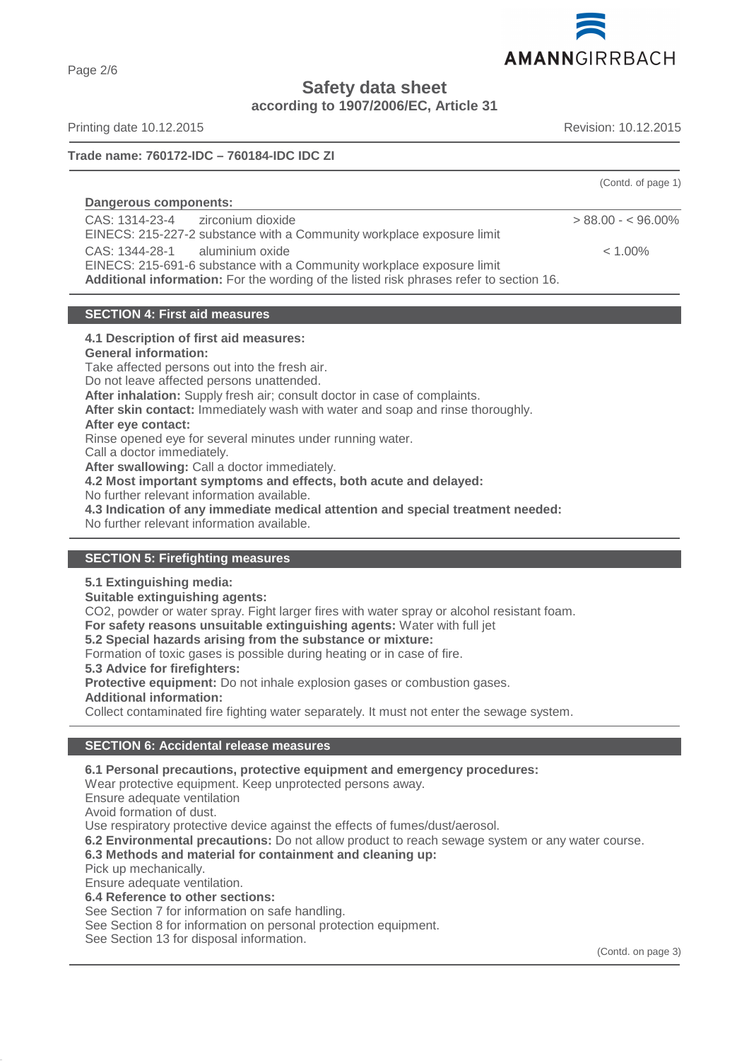

**Safety data sheet**

**according to 1907/2006/EC, Article 31**

Printing date 10.12.2015 **Revision: 10.12.2015** Revision: 10.12.2015

Page 2/6

# **Trade name: 760172-IDC – 760184-IDC IDC ZI**

|                                                                                                                                                                                                    | (Contd. of page 1) |
|----------------------------------------------------------------------------------------------------------------------------------------------------------------------------------------------------|--------------------|
| Dangerous components:                                                                                                                                                                              |                    |
| CAS: 1314-23-4 zirconium dioxide<br>EINECS: 215-227-2 substance with a Community workplace exposure limit                                                                                          | $> 88.00 - 5.00\%$ |
| CAS: 1344-28-1 aluminium oxide<br>EINECS: 215-691-6 substance with a Community workplace exposure limit<br>Additional information: For the wording of the listed risk phrases refer to section 16. | $< 1.00\%$         |

#### **SECTION 4: First aid measures**

# **4.1 Description of first aid measures:**

**General information:**

Take affected persons out into the fresh air.

Do not leave affected persons unattended.

**After inhalation:** Supply fresh air; consult doctor in case of complaints.

**After skin contact:** Immediately wash with water and soap and rinse thoroughly.

**After eye contact:**

Rinse opened eye for several minutes under running water.

Call a doctor immediately.

**After swallowing:** Call a doctor immediately.

**4.2 Most important symptoms and effects, both acute and delayed:**

No further relevant information available.

**4.3 Indication of any immediate medical attention and special treatment needed:**

No further relevant information available.

# **SECTION 5: Firefighting measures**

# **5.1 Extinguishing media:**

**Suitable extinguishing agents:**

CO2, powder or water spray. Fight larger fires with water spray or alcohol resistant foam.

**For safety reasons unsuitable extinguishing agents:** Water with full jet

**5.2 Special hazards arising from the substance or mixture:**

Formation of toxic gases is possible during heating or in case of fire.

**5.3 Advice for firefighters:**

**Protective equipment:** Do not inhale explosion gases or combustion gases.

**Additional information:**

Collect contaminated fire fighting water separately. It must not enter the sewage system.

# **SECTION 6: Accidental release measures**

**6.1 Personal precautions, protective equipment and emergency procedures:**

Wear protective equipment. Keep unprotected persons away.

Ensure adequate ventilation

Avoid formation of dust.

Use respiratory protective device against the effects of fumes/dust/aerosol.

**6.2 Environmental precautions:** Do not allow product to reach sewage system or any water course.

# **6.3 Methods and material for containment and cleaning up:**

Pick up mechanically.

Ensure adequate ventilation.

**6.4 Reference to other sections:**

See Section 7 for information on safe handling.

See Section 8 for information on personal protection equipment.

See Section 13 for disposal information.

(Contd. on page 3)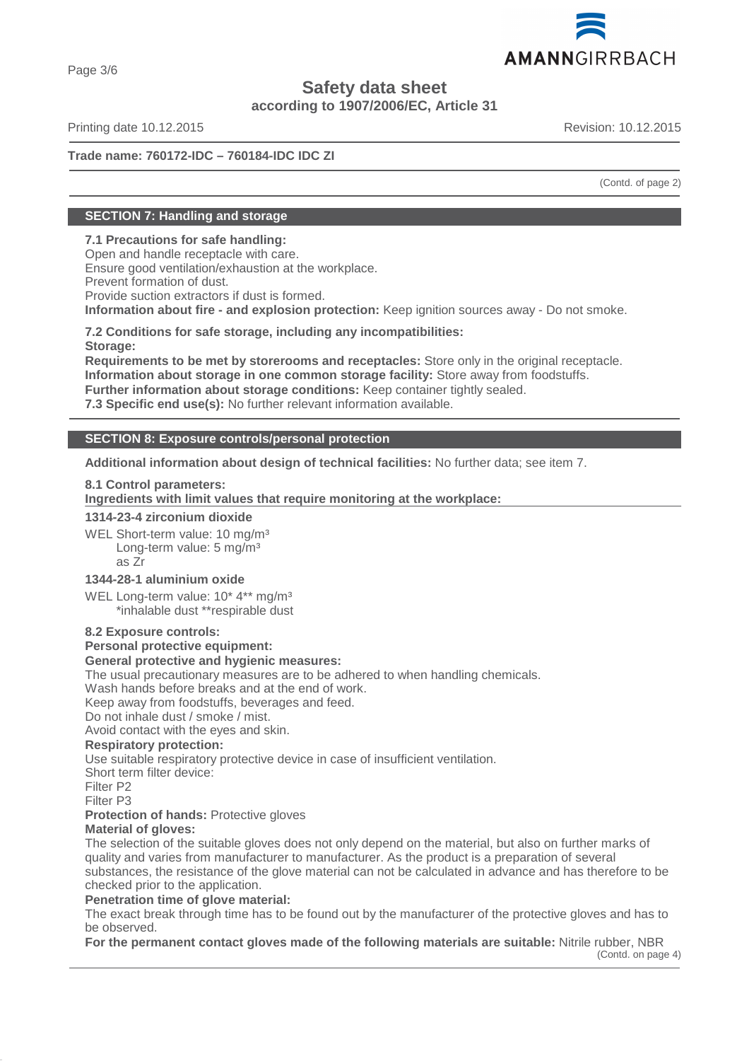

Page 3/6

# **Safety data sheet**

**according to 1907/2006/EC, Article 31**

Printing date 10.12.2015 **Revision: 10.12.2015** Revision: 10.12.2015

# **Trade name: 760172-IDC – 760184-IDC IDC ZI**

(Contd. of page 2)

# **SECTION 7: Handling and storage**

# **7.1 Precautions for safe handling:**

Open and handle receptacle with care. Ensure good ventilation/exhaustion at the workplace. Prevent formation of dust. Provide suction extractors if dust is formed.

**Information about fire - and explosion protection:** Keep ignition sources away - Do not smoke.

**7.2 Conditions for safe storage, including any incompatibilities: Storage:**

**Requirements to be met by storerooms and receptacles:** Store only in the original receptacle. **Information about storage in one common storage facility:** Store away from foodstuffs. **Further information about storage conditions:** Keep container tightly sealed.

**7.3 Specific end use(s):** No further relevant information available.

# **SECTION 8: Exposure controls/personal protection**

**Additional information about design of technical facilities:** No further data; see item 7.

# **8.1 Control parameters:**

**Ingredients with limit values that require monitoring at the workplace:** 

#### **1314-23-4 zirconium dioxide**

WEL Short-term value: 10 mg/m<sup>3</sup> Long-term value: 5 mg/m<sup>3</sup> as Zr

# **1344-28-1 aluminium oxide**

WEL Long-term value: 10<sup>\*</sup> 4<sup>\*\*</sup> mg/m<sup>3</sup> \*inhalable dust \*\*respirable dust

# **8.2 Exposure controls:**

# **Personal protective equipment:**

#### **General protective and hygienic measures:**

The usual precautionary measures are to be adhered to when handling chemicals.

Wash hands before breaks and at the end of work.

Keep away from foodstuffs, beverages and feed.

Do not inhale dust / smoke / mist.

Avoid contact with the eyes and skin.

# **Respiratory protection:**

Use suitable respiratory protective device in case of insufficient ventilation.

Short term filter device:

Filter P2

Filter P3

**Protection of hands: Protective gloves** 

# **Material of gloves:**

The selection of the suitable gloves does not only depend on the material, but also on further marks of quality and varies from manufacturer to manufacturer. As the product is a preparation of several substances, the resistance of the glove material can not be calculated in advance and has therefore to be checked prior to the application.

# **Penetration time of glove material:**

The exact break through time has to be found out by the manufacturer of the protective gloves and has to be observed.

**For the permanent contact gloves made of the following materials are suitable:** Nitrile rubber, NBR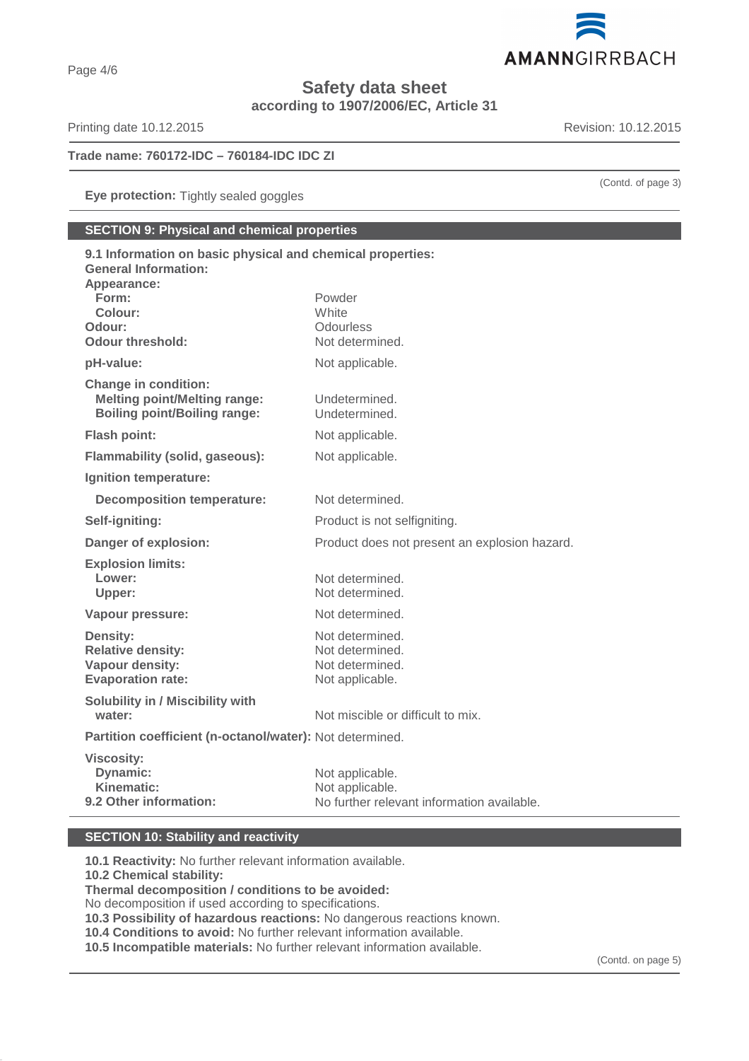

**Safety data sheet**

**according to 1907/2006/EC, Article 31**

Printing date 10.12.2015 **Revision: 10.12.2015** 

# **Trade name: 760172-IDC – 760184-IDC IDC ZI**

**Eye protection:** Tightly sealed goggles

# **SECTION 9: Physical and chemical properties**

| 9.1 Information on basic physical and chemical properties:<br><b>General Information:</b><br>Appearance:  |                                                                                  |
|-----------------------------------------------------------------------------------------------------------|----------------------------------------------------------------------------------|
| Form:<br>Colour:<br>Odour:<br>Odour threshold:                                                            | Powder<br>White<br>Odourless<br>Not determined.                                  |
| pH-value:                                                                                                 | Not applicable.                                                                  |
| <b>Change in condition:</b><br><b>Melting point/Melting range:</b><br><b>Boiling point/Boiling range:</b> | Undetermined.<br>Undetermined.                                                   |
| <b>Flash point:</b>                                                                                       | Not applicable.                                                                  |
| <b>Flammability (solid, gaseous):</b>                                                                     | Not applicable.                                                                  |
| Ignition temperature:                                                                                     |                                                                                  |
| <b>Decomposition temperature:</b>                                                                         | Not determined.                                                                  |
| Self-igniting:                                                                                            | Product is not selfigniting.                                                     |
| Danger of explosion:                                                                                      | Product does not present an explosion hazard.                                    |
| <b>Explosion limits:</b><br>Lower:<br>Upper:                                                              | Not determined.<br>Not determined.                                               |
| Vapour pressure:                                                                                          | Not determined.                                                                  |
| <b>Density:</b><br><b>Relative density:</b><br>Vapour density:<br><b>Evaporation rate:</b>                | Not determined.<br>Not determined.<br>Not determined.<br>Not applicable.         |
| <b>Solubility in / Miscibility with</b><br>water:                                                         | Not miscible or difficult to mix.                                                |
| Partition coefficient (n-octanol/water): Not determined.                                                  |                                                                                  |
| <b>Viscosity:</b><br>Dynamic:<br>Kinematic:<br>9.2 Other information:                                     | Not applicable.<br>Not applicable.<br>No further relevant information available. |

# **SECTION 10: Stability and reactivity**

**10.1 Reactivity:** No further relevant information available. **10.2 Chemical stability: Thermal decomposition / conditions to be avoided:** No decomposition if used according to specifications. **10.3 Possibility of hazardous reactions:** No dangerous reactions known. **10.4 Conditions to avoid:** No further relevant information available.

**10.5 Incompatible materials:** No further relevant information available.

(Contd. of page 3)

(Contd. on page 5)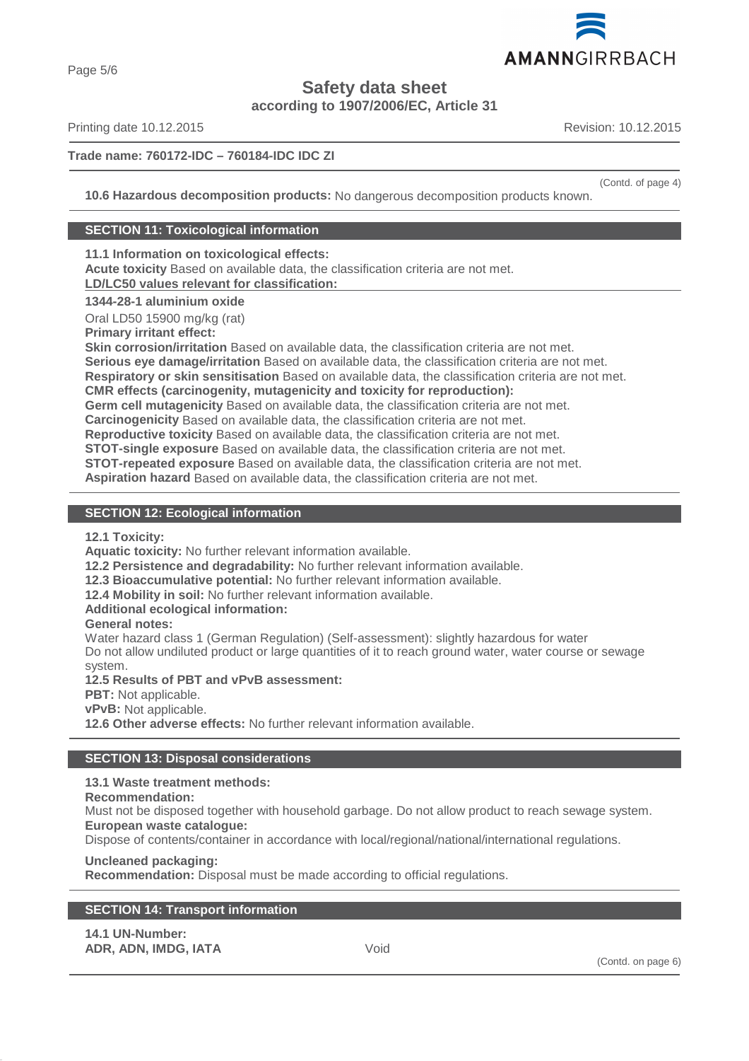

Page 5/6

**Safety data sheet**

**according to 1907/2006/EC, Article 31**

Printing date 10.12.2015 **Revision: 10.12.2015** Revision: 10.12.2015

# **Trade name: 760172-IDC – 760184-IDC IDC ZI**

(Contd. of page 4)

**10.6 Hazardous decomposition products:** No dangerous decomposition products known.

# **SECTION 11: Toxicological information**

**11.1 Information on toxicological effects:**

**Acute toxicity** Based on available data, the classification criteria are not met. **LD/LC50 values relevant for classification:** 

# **1344-28-1 aluminium oxide**

Oral LD50 15900 mg/kg (rat)

**Primary irritant effect:**

**Skin corrosion/irritation** Based on available data, the classification criteria are not met.

**Serious eye damage/irritation** Based on available data, the classification criteria are not met.

**Respiratory or skin sensitisation** Based on available data, the classification criteria are not met.

**CMR effects (carcinogenity, mutagenicity and toxicity for reproduction):**

**Germ cell mutagenicity** Based on available data, the classification criteria are not met.

**Carcinogenicity** Based on available data, the classification criteria are not met.

**Reproductive toxicity** Based on available data, the classification criteria are not met.

**STOT-single exposure** Based on available data, the classification criteria are not met.

**STOT-repeated exposure** Based on available data, the classification criteria are not met.

**Aspiration hazard** Based on available data, the classification criteria are not met.

# **SECTION 12: Ecological information**

**12.1 Toxicity:**

**Aquatic toxicity:** No further relevant information available.

**12.2 Persistence and degradability:** No further relevant information available.

**12.3 Bioaccumulative potential:** No further relevant information available.

**12.4 Mobility in soil:** No further relevant information available.

# **Additional ecological information:**

# **General notes:**

Water hazard class 1 (German Regulation) (Self-assessment): slightly hazardous for water Do not allow undiluted product or large quantities of it to reach ground water, water course or sewage system.

**12.5 Results of PBT and vPvB assessment:**

**PBT:** Not applicable.

**vPvB:** Not applicable.

**12.6 Other adverse effects:** No further relevant information available.

# **SECTION 13: Disposal considerations**

# **13.1 Waste treatment methods:**

# **Recommendation:**

Must not be disposed together with household garbage. Do not allow product to reach sewage system. **European waste catalogue:**

Dispose of contents/container in accordance with local/regional/national/international regulations.

# **Uncleaned packaging:**

**Recommendation:** Disposal must be made according to official regulations.

| <b>SECTION 14: Transport information</b> |  |
|------------------------------------------|--|
|------------------------------------------|--|

| <b>14.1 UN-Number:</b> |      |
|------------------------|------|
| ADR, ADN, IMDG, IATA   | Void |

(Contd. on page 6)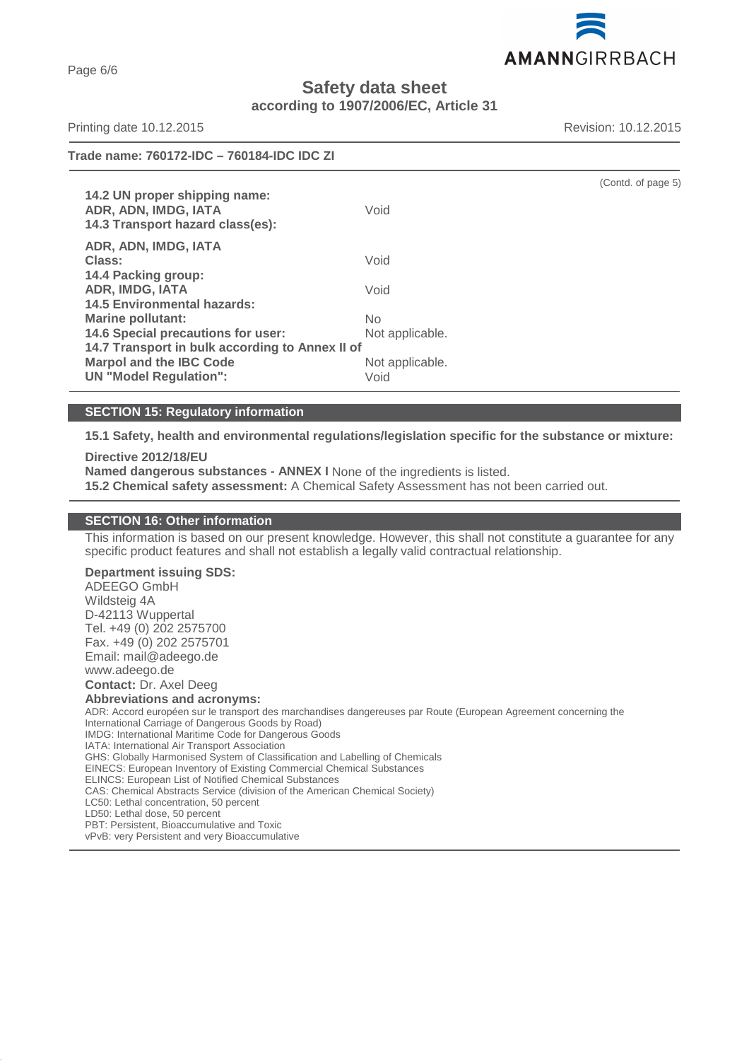AMANNGIRRBACH

# **Safety data sheet according to 1907/2006/EC, Article 31**

Printing date 10.12.2015 **Revision: 10.12.2015** Revision: 10.12.2015

Page 6/6

| Trade name: 760172-IDC - 760184-IDC IDC ZI                                                                         |                         |                    |
|--------------------------------------------------------------------------------------------------------------------|-------------------------|--------------------|
| 14.2 UN proper shipping name:<br>ADR, ADN, IMDG, IATA<br>14.3 Transport hazard class(es):                          | Void                    | (Contd. of page 5) |
| ADR, ADN, IMDG, IATA<br>Class:<br>14.4 Packing group:                                                              | Void                    |                    |
| <b>ADR, IMDG, IATA</b><br><b>14.5 Environmental hazards:</b>                                                       | Void                    |                    |
| Marine pollutant:<br>14.6 Special precautions for user:                                                            | No.<br>Not applicable.  |                    |
| 14.7 Transport in bulk according to Annex II of<br><b>Marpol and the IBC Code</b><br><b>UN "Model Regulation":</b> | Not applicable.<br>Void |                    |

# **SECTION 15: Regulatory information**

**15.1 Safety, health and environmental regulations/legislation specific for the substance or mixture:**

#### **Directive 2012/18/EU**

**Named dangerous substances - ANNEX I** None of the ingredients is listed.

**15.2 Chemical safety assessment:** A Chemical Safety Assessment has not been carried out.

#### **SECTION 16: Other information**

This information is based on our present knowledge. However, this shall not constitute a guarantee for any specific product features and shall not establish a legally valid contractual relationship.

**Department issuing SDS:**

ADEEGO GmbH Wildsteig 4A D-42113 Wuppertal Tel. +49 (0) 202 2575700 Fax. +49 (0) 202 2575701 Email: mail@adeego.de www.adeego.de

**Contact:** Dr. Axel Deeg

#### **Abbreviations and acronyms:**

ADR: Accord européen sur le transport des marchandises dangereuses par Route (European Agreement concerning the International Carriage of Dangerous Goods by Road) IMDG: International Maritime Code for Dangerous Goods IATA: International Air Transport Association GHS: Globally Harmonised System of Classification and Labelling of Chemicals EINECS: European Inventory of Existing Commercial Chemical Substances ELINCS: European List of Notified Chemical Substances CAS: Chemical Abstracts Service (division of the American Chemical Society) LC50: Lethal concentration, 50 percent LD50: Lethal dose, 50 percent PBT: Persistent, Bioaccumulative and Toxic vPvB: very Persistent and very Bioaccumulative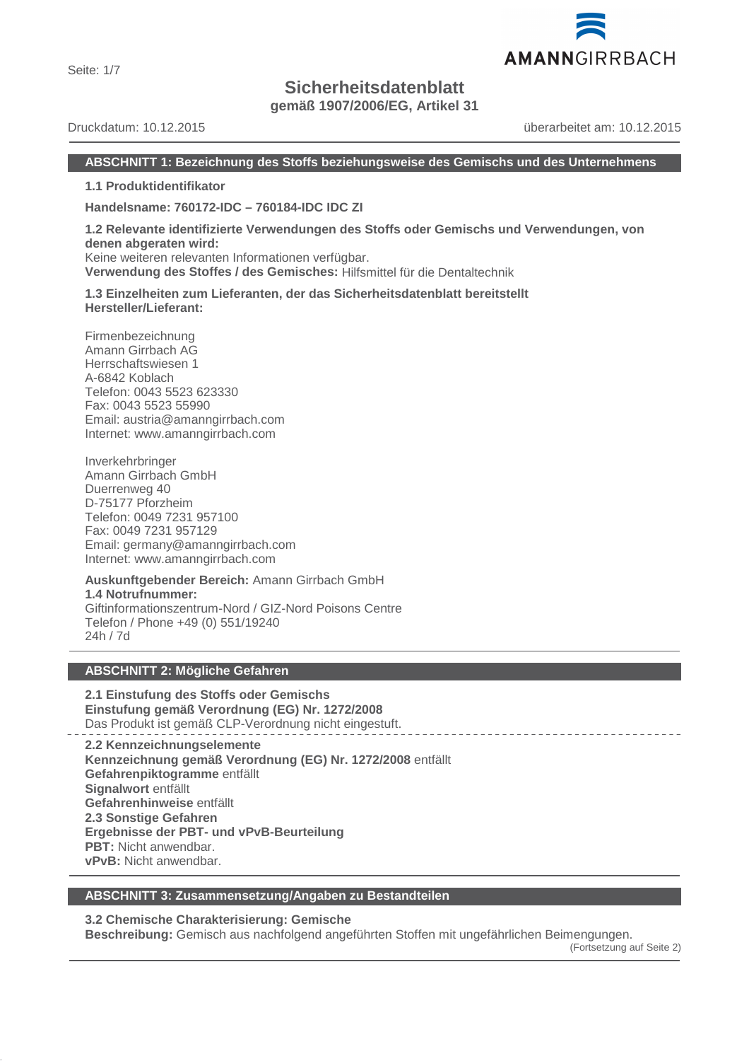Seite: 1/7

# **Sicherheitsdatenblatt**

**gemäß 1907/2006/EG, Artikel 31**

Druckdatum: 10.12.2015 überarbeitet am: 10.12.2015

# **ABSCHNITT 1: Bezeichnung des Stoffs beziehungsweise des Gemischs und des Unternehmens**

**1.1 Produktidentifikator**

**Handelsname: 760172-IDC – 760184-IDC IDC ZI**

**1.2 Relevante identifizierte Verwendungen des Stoffs oder Gemischs und Verwendungen, von denen abgeraten wird:** Keine weiteren relevanten Informationen verfügbar.

**Verwendung des Stoffes / des Gemisches:** Hilfsmittel für die Dentaltechnik

**1.3 Einzelheiten zum Lieferanten, der das Sicherheitsdatenblatt bereitstellt Hersteller/Lieferant:**

Firmenbezeichnung Amann Girrbach AG Herrschaftswiesen 1 A-6842 Koblach Telefon: 0043 5523 623330 Fax: 0043 5523 55990 Email: austria@amanngirrbach.com Internet: www.amanngirrbach.com

Inverkehrbringer Amann Girrbach GmbH Duerrenweg 40 D-75177 Pforzheim Telefon: 0049 7231 957100 Fax: 0049 7231 957129 Email: germany@amanngirrbach.com Internet: www.amanngirrbach.com

**Auskunftgebender Bereich:** Amann Girrbach GmbH **1.4 Notrufnummer:** Giftinformationszentrum-Nord / GIZ-Nord Poisons Centre Telefon / Phone +49 (0) 551/19240 24h / 7d

# **ABSCHNITT 2: Mögliche Gefahren**

**2.1 Einstufung des Stoffs oder Gemischs Einstufung gemäß Verordnung (EG) Nr. 1272/2008** Das Produkt ist gemäß CLP-Verordnung nicht eingestuft.

**2.2 Kennzeichnungselemente Kennzeichnung gemäß Verordnung (EG) Nr. 1272/2008** entfällt **Gefahrenpiktogramme** entfällt **Signalwort** entfällt **Gefahrenhinweise** entfällt **2.3 Sonstige Gefahren Ergebnisse der PBT- und vPvB-Beurteilung PBT:** Nicht anwendbar. **vPvB:** Nicht anwendbar.

# **ABSCHNITT 3: Zusammensetzung/Angaben zu Bestandteilen**

**3.2 Chemische Charakterisierung: Gemische**

**Beschreibung:** Gemisch aus nachfolgend angeführten Stoffen mit ungefährlichen Beimengungen.

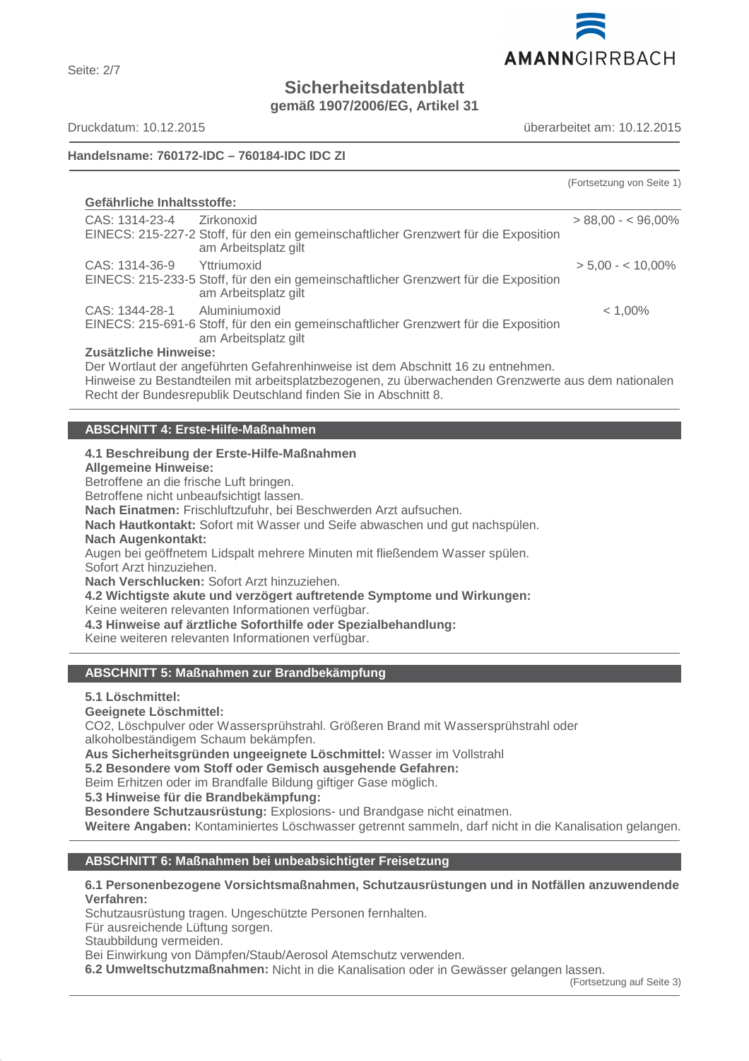

**Sicherheitsdatenblatt**

**gemäß 1907/2006/EG, Artikel 31**

Seite: 2/7

Druckdatum: 10.12.2015 überarbeitet am: 10.12.2015

# **Handelsname: 760172-IDC – 760184-IDC IDC ZI**

|                                                                                                                    |                                                                                                                                                                                                                                                            | (Fortsetzung von Seite 1) |
|--------------------------------------------------------------------------------------------------------------------|------------------------------------------------------------------------------------------------------------------------------------------------------------------------------------------------------------------------------------------------------------|---------------------------|
| Gefährliche Inhaltsstoffe:                                                                                         |                                                                                                                                                                                                                                                            |                           |
| CAS: 1314-23-4     Zirkonoxid                                                                                      | EINECS: 215-227-2 Stoff, für den ein gemeinschaftlicher Grenzwert für die Exposition<br>am Arbeitsplatz gilt                                                                                                                                               | $> 88,00 - 596,00\%$      |
| CAS: 1314-36-9 Yttriumoxid                                                                                         | EINECS: 215-233-5 Stoff, für den ein gemeinschaftlicher Grenzwert für die Exposition<br>am Arbeitsplatz gilt                                                                                                                                               | $> 5,00 - 10,00\%$        |
| CAS: 1344-28-1 Aluminiumoxid                                                                                       | EINECS: 215-691-6 Stoff, für den ein gemeinschaftlicher Grenzwert für die Exposition<br>am Arbeitsplatz gilt                                                                                                                                               | $< 1,00\%$                |
| Zusätzliche Hinweise:                                                                                              | Der Wortlaut der angeführten Gefahrenhinweise ist dem Abschnitt 16 zu entnehmen.<br>Hinweise zu Bestandteilen mit arbeitsplatzbezogenen, zu überwachenden Grenzwerte aus dem nationalen<br>Recht der Bundesrepublik Deutschland finden Sie in Abschnitt 8. |                           |
|                                                                                                                    |                                                                                                                                                                                                                                                            |                           |
| <b>ABSCHNITT 4: Erste-Hilfe-Maßnahmen</b>                                                                          |                                                                                                                                                                                                                                                            |                           |
| <b>Allgemeine Hinweise:</b><br>Betroffene an die frische Luft bringen.<br>Betroffene nicht unbeaufsichtigt lassen. | 4.1 Beschreibung der Erste-Hilfe-Maßnahmen<br>Nach Einatmen: Frischluftzufuhr, bei Beschwerden Arzt aufsuchen.                                                                                                                                             |                           |

**Nach Hautkontakt:** Sofort mit Wasser und Seife abwaschen und gut nachspülen.

# **Nach Augenkontakt:**

Augen bei geöffnetem Lidspalt mehrere Minuten mit fließendem Wasser spülen. Sofort Arzt hinzuziehen.

**Nach Verschlucken:** Sofort Arzt hinzuziehen.

**4.2 Wichtigste akute und verzögert auftretende Symptome und Wirkungen:**

Keine weiteren relevanten Informationen verfügbar.

**4.3 Hinweise auf ärztliche Soforthilfe oder Spezialbehandlung:**

Keine weiteren relevanten Informationen verfügbar.

# **ABSCHNITT 5: Maßnahmen zur Brandbekämpfung**

# **5.1 Löschmittel:**

# **Geeignete Löschmittel:**

CO2, Löschpulver oder Wassersprühstrahl. Größeren Brand mit Wassersprühstrahl oder alkoholbeständigem Schaum bekämpfen.

**Aus Sicherheitsgründen ungeeignete Löschmittel:** Wasser im Vollstrahl

**5.2 Besondere vom Stoff oder Gemisch ausgehende Gefahren:**

Beim Erhitzen oder im Brandfalle Bildung giftiger Gase möglich.

**5.3 Hinweise für die Brandbekämpfung:**

**Besondere Schutzausrüstung:** Explosions- und Brandgase nicht einatmen.

**Weitere Angaben:** Kontaminiertes Löschwasser getrennt sammeln, darf nicht in die Kanalisation gelangen.

# **ABSCHNITT 6: Maßnahmen bei unbeabsichtigter Freisetzung**

#### **6.1 Personenbezogene Vorsichtsmaßnahmen, Schutzausrüstungen und in Notfällen anzuwendende Verfahren:**

Schutzausrüstung tragen. Ungeschützte Personen fernhalten.

Für ausreichende Lüftung sorgen.

Staubbildung vermeiden.

Bei Einwirkung von Dämpfen/Staub/Aerosol Atemschutz verwenden.

**6.2 Umweltschutzmaßnahmen:** Nicht in die Kanalisation oder in Gewässer gelangen lassen.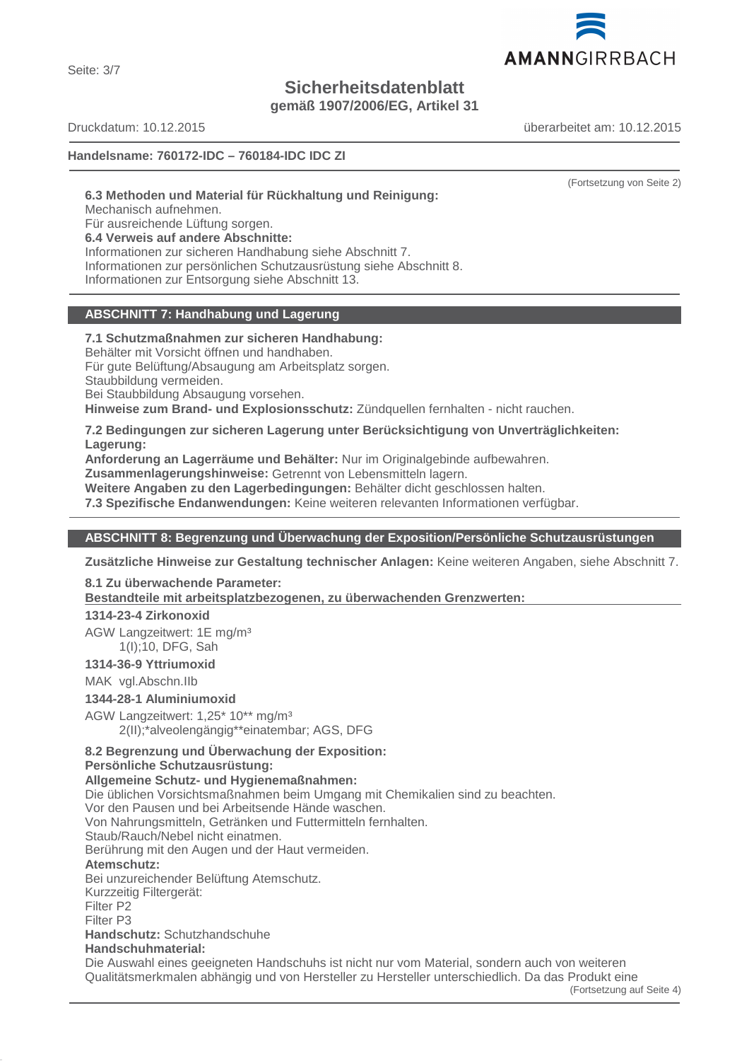Seite: 3/7

# **Sicherheitsdatenblatt**

**gemäß 1907/2006/EG, Artikel 31**

Druckdatum: 10.12.2015 überarbeitet am: 10.12.2015

**Handelsname: 760172-IDC – 760184-IDC IDC ZI**

(Fortsetzung von Seite 2)

**6.3 Methoden und Material für Rückhaltung und Reinigung:**

Mechanisch aufnehmen.

Für ausreichende Lüftung sorgen.

**6.4 Verweis auf andere Abschnitte:**

Informationen zur sicheren Handhabung siehe Abschnitt 7. Informationen zur persönlichen Schutzausrüstung siehe Abschnitt 8. Informationen zur Entsorgung siehe Abschnitt 13.

# **ABSCHNITT 7: Handhabung und Lagerung**

**7.1 Schutzmaßnahmen zur sicheren Handhabung:** Behälter mit Vorsicht öffnen und handhaben. Für gute Belüftung/Absaugung am Arbeitsplatz sorgen. Staubbildung vermeiden. Bei Staubbildung Absaugung vorsehen.

**Hinweise zum Brand- und Explosionsschutz:** Zündquellen fernhalten - nicht rauchen.

# **7.2 Bedingungen zur sicheren Lagerung unter Berücksichtigung von Unverträglichkeiten: Lagerung:**

**Anforderung an Lagerräume und Behälter:** Nur im Originalgebinde aufbewahren.

**Zusammenlagerungshinweise:** Getrennt von Lebensmitteln lagern.

**Weitere Angaben zu den Lagerbedingungen:** Behälter dicht geschlossen halten.

**7.3 Spezifische Endanwendungen:** Keine weiteren relevanten Informationen verfügbar.

# **ABSCHNITT 8: Begrenzung und Überwachung der Exposition/Persönliche Schutzausrüstungen**

**Zusätzliche Hinweise zur Gestaltung technischer Anlagen:** Keine weiteren Angaben, siehe Abschnitt 7.

# **8.1 Zu überwachende Parameter:**

Bestandteile mit arbeitsplatzbezogenen, zu überwachenden Grenzwerten:

# **1314-23-4 Zirkonoxid**

AGW Langzeitwert: 1E mg/m³ 1(I);10, DFG, Sah

# **1314-36-9 Yttriumoxid**

MAK vgl.Abschn.IIb

# **1344-28-1 Aluminiumoxid**

AGW Langzeitwert: 1,25\* 10\*\* mg/m³ 2(II);\*alveolengängig\*\*einatembar; AGS, DFG

# **8.2 Begrenzung und Überwachung der Exposition:**

# **Persönliche Schutzausrüstung:**

# **Allgemeine Schutz- und Hygienemaßnahmen:**

Die üblichen Vorsichtsmaßnahmen beim Umgang mit Chemikalien sind zu beachten.

Vor den Pausen und bei Arbeitsende Hände waschen.

Von Nahrungsmitteln, Getränken und Futtermitteln fernhalten.

Staub/Rauch/Nebel nicht einatmen. Berührung mit den Augen und der Haut vermeiden.

# **Atemschutz:**

Bei unzureichender Belüftung Atemschutz.

Kurzzeitig Filtergerät:

Filter P2

Filter P3

# **Handschutz:** Schutzhandschuhe

# **Handschuhmaterial:**

Die Auswahl eines geeigneten Handschuhs ist nicht nur vom Material, sondern auch von weiteren Qualitätsmerkmalen abhängig und von Hersteller zu Hersteller unterschiedlich. Da das Produkt eine

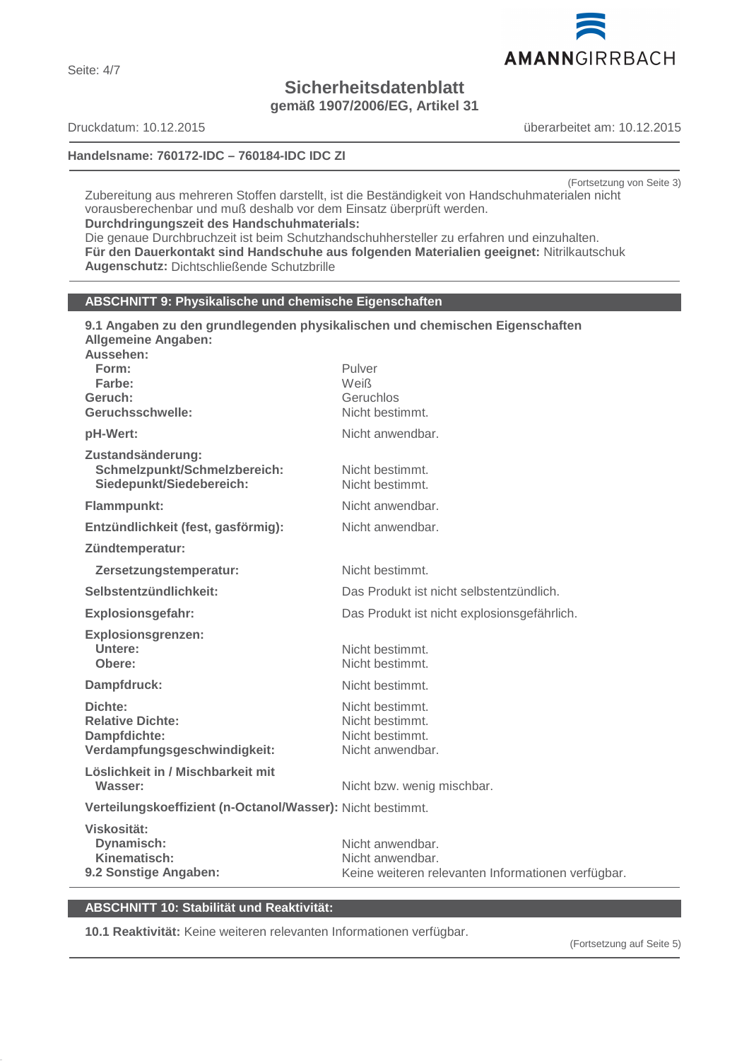

# **Sicherheitsdatenblatt**

**gemäß 1907/2006/EG, Artikel 31**

# **Handelsname: 760172-IDC – 760184-IDC IDC ZI**

Druckdatum: 10.12.2015 überarbeitet am: 10.12.2015

(Fortsetzung von Seite 3)

Zubereitung aus mehreren Stoffen darstellt, ist die Beständigkeit von Handschuhmaterialen nicht vorausberechenbar und muß deshalb vor dem Einsatz überprüft werden. **Durchdringungszeit des Handschuhmaterials:**

Die genaue Durchbruchzeit ist beim Schutzhandschuhhersteller zu erfahren und einzuhalten. **Für den Dauerkontakt sind Handschuhe aus folgenden Materialien geeignet:** Nitrilkautschuk **Augenschutz:** Dichtschließende Schutzbrille

**9.1 Angaben zu den grundlegenden physikalischen und chemischen Eigenschaften**

# **ABSCHNITT 9: Physikalische und chemische Eigenschaften**

| <b>Allgemeine Angaben:</b><br>Aussehen:                                       |                                                                        |
|-------------------------------------------------------------------------------|------------------------------------------------------------------------|
| Form:                                                                         | Pulver                                                                 |
| Farbe:<br>Geruch:                                                             | Weiß<br>Geruchlos                                                      |
| Geruchsschwelle:                                                              | Nicht bestimmt.                                                        |
| pH-Wert:                                                                      | Nicht anwendbar.                                                       |
| Zustandsänderung:<br>Schmelzpunkt/Schmelzbereich:<br>Siedepunkt/Siedebereich: | Nicht bestimmt.<br>Nicht bestimmt.                                     |
| Flammpunkt:                                                                   | Nicht anwendbar.                                                       |
| Entzündlichkeit (fest, gasförmig):                                            | Nicht anwendbar.                                                       |
| Zündtemperatur:                                                               |                                                                        |
| Zersetzungstemperatur:                                                        | Nicht bestimmt.                                                        |
| Selbstentzündlichkeit:                                                        | Das Produkt ist nicht selbstentzündlich.                               |
| <b>Explosionsgefahr:</b>                                                      | Das Produkt ist nicht explosionsgefährlich.                            |
| <b>Explosionsgrenzen:</b>                                                     |                                                                        |
| Untere:<br>Obere:                                                             | Nicht bestimmt.<br>Nicht bestimmt.                                     |
| Dampfdruck:                                                                   | Nicht bestimmt.                                                        |
| Dichte:                                                                       | Nicht bestimmt.                                                        |
| <b>Relative Dichte:</b>                                                       | Nicht bestimmt.                                                        |
| Dampfdichte:<br>Verdampfungsgeschwindigkeit:                                  | Nicht bestimmt.<br>Nicht anwendbar.                                    |
| Löslichkeit in / Mischbarkeit mit                                             |                                                                        |
| Wasser:                                                                       | Nicht bzw. wenig mischbar.                                             |
| Verteilungskoeffizient (n-Octanol/Wasser): Nicht bestimmt.                    |                                                                        |
| Viskosität:                                                                   |                                                                        |
| Dynamisch:                                                                    | Nicht anwendbar.                                                       |
| Kinematisch:<br>9.2 Sonstige Angaben:                                         | Nicht anwendbar.<br>Keine weiteren relevanten Informationen verfügbar. |
|                                                                               |                                                                        |

# **ABSCHNITT 10: Stabilität und Reaktivität:**

**10.1 Reaktivität:** Keine weiteren relevanten Informationen verfügbar.

(Fortsetzung auf Seite 5)

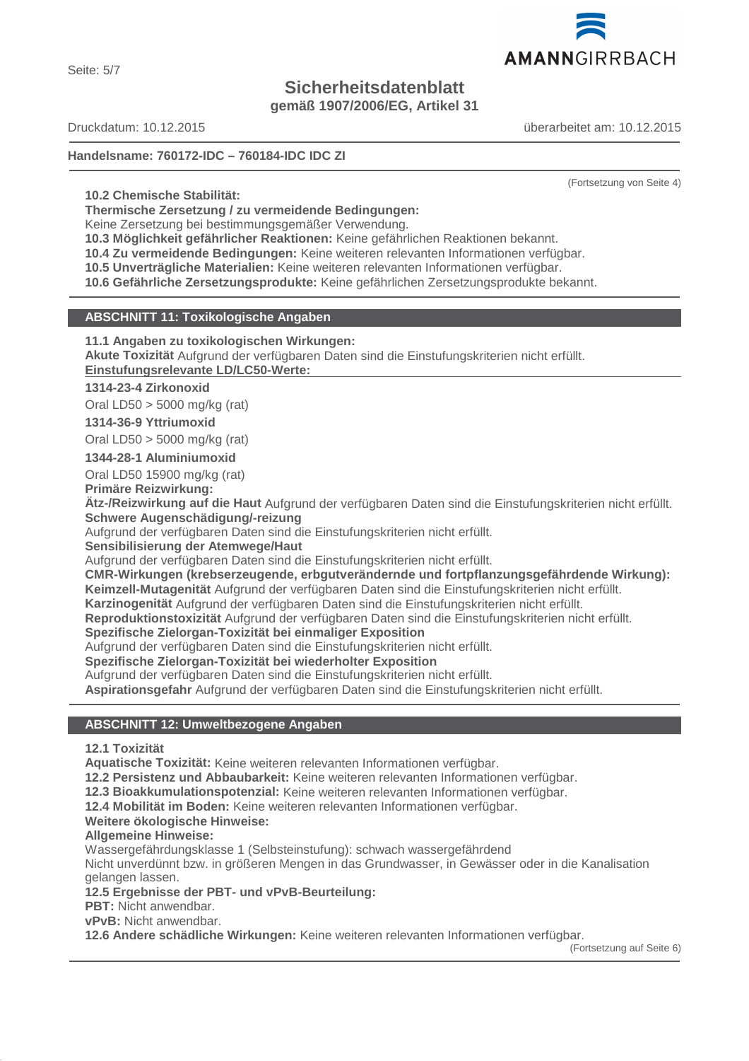Seite: 5/7

# **Sicherheitsdatenblatt**

**gemäß 1907/2006/EG, Artikel 31**

Druckdatum: 10.12.2015 überarbeitet am: 10.12.2015

# **Handelsname: 760172-IDC – 760184-IDC IDC ZI**

**10.2 Chemische Stabilität:**

**Thermische Zersetzung / zu vermeidende Bedingungen:**

Keine Zersetzung bei bestimmungsgemäßer Verwendung.

**10.3 Möglichkeit gefährlicher Reaktionen:** Keine gefährlichen Reaktionen bekannt.

**10.4 Zu vermeidende Bedingungen:** Keine weiteren relevanten Informationen verfügbar.

**10.5 Unverträgliche Materialien:** Keine weiteren relevanten Informationen verfügbar.

**10.6 Gefährliche Zersetzungsprodukte:** Keine gefährlichen Zersetzungsprodukte bekannt.

# **ABSCHNITT 11: Toxikologische Angaben**

**11.1 Angaben zu toxikologischen Wirkungen:**

**Akute Toxizität** Aufgrund der verfügbaren Daten sind die Einstufungskriterien nicht erfüllt. **Einstufungsrelevante LD/LC50-Werte:** 

# **1314-23-4 Zirkonoxid**

Oral LD50 > 5000 mg/kg (rat)

# **1314-36-9 Yttriumoxid**

Oral LD50 > 5000 mg/kg (rat)

**1344-28-1 Aluminiumoxid**

Oral LD50 15900 mg/kg (rat)

**Primäre Reizwirkung:**

**Ätz-/Reizwirkung auf die Haut** Aufgrund der verfügbaren Daten sind die Einstufungskriterien nicht erfüllt. **Schwere Augenschädigung/-reizung**

Aufgrund der verfügbaren Daten sind die Einstufungskriterien nicht erfüllt.

**Sensibilisierung der Atemwege/Haut**

Aufgrund der verfügbaren Daten sind die Einstufungskriterien nicht erfüllt.

**CMR-Wirkungen (krebserzeugende, erbgutverändernde und fortpflanzungsgefährdende Wirkung): Keimzell-Mutagenität** Aufgrund der verfügbaren Daten sind die Einstufungskriterien nicht erfüllt.

**Karzinogenität** Aufgrund der verfügbaren Daten sind die Einstufungskriterien nicht erfüllt.

**Reproduktionstoxizität** Aufgrund der verfügbaren Daten sind die Einstufungskriterien nicht erfüllt.

# **Spezifische Zielorgan-Toxizität bei einmaliger Exposition**

Aufgrund der verfügbaren Daten sind die Einstufungskriterien nicht erfüllt.

**Spezifische Zielorgan-Toxizität bei wiederholter Exposition**

Aufgrund der verfügbaren Daten sind die Einstufungskriterien nicht erfüllt.

**Aspirationsgefahr** Aufgrund der verfügbaren Daten sind die Einstufungskriterien nicht erfüllt.

# **ABSCHNITT 12: Umweltbezogene Angaben**

# **12.1 Toxizität**

**Aquatische Toxizität:** Keine weiteren relevanten Informationen verfügbar.

**12.2 Persistenz und Abbaubarkeit:** Keine weiteren relevanten Informationen verfügbar.

**12.3 Bioakkumulationspotenzial:** Keine weiteren relevanten Informationen verfügbar.

**12.4 Mobilität im Boden:** Keine weiteren relevanten Informationen verfügbar.

# **Weitere ökologische Hinweise:**

# **Allgemeine Hinweise:**

Wassergefährdungsklasse 1 (Selbsteinstufung): schwach wassergefährdend

Nicht unverdünnt bzw. in größeren Mengen in das Grundwasser, in Gewässer oder in die Kanalisation gelangen lassen.

# **12.5 Ergebnisse der PBT- und vPvB-Beurteilung:**

**PBT:** Nicht anwendbar.

**vPvB:** Nicht anwendbar.

**12.6 Andere schädliche Wirkungen:** Keine weiteren relevanten Informationen verfügbar.

(Fortsetzung auf Seite 6)



(Fortsetzung von Seite 4)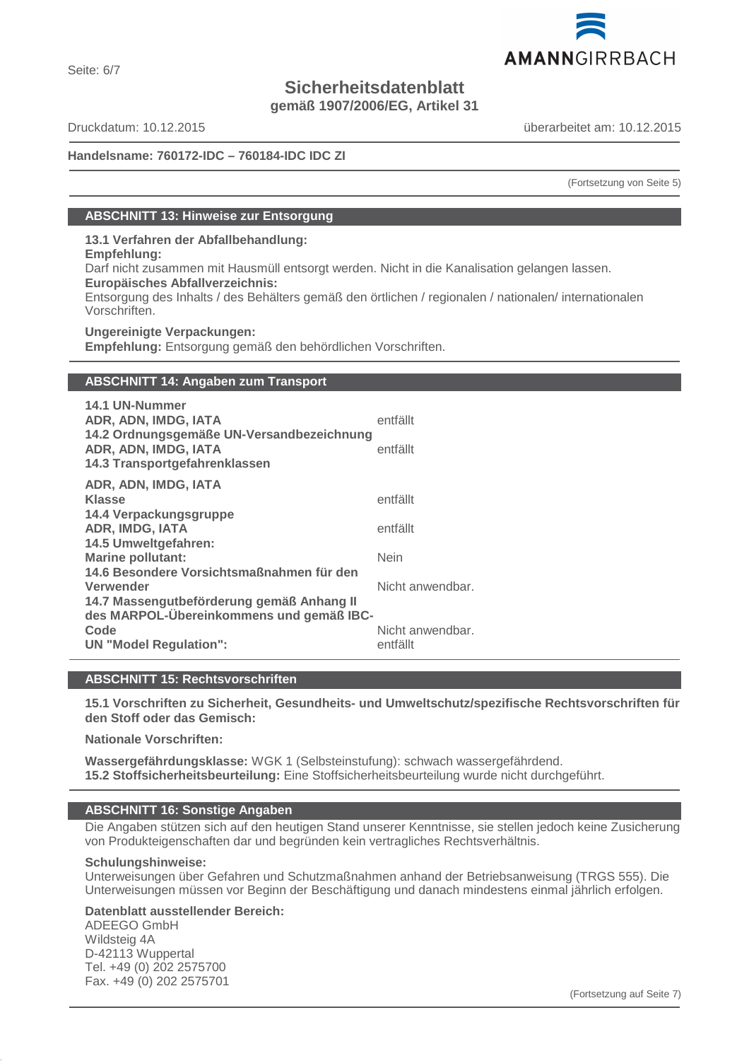# **Sicherheitsdatenblatt**

**gemäß 1907/2006/EG, Artikel 31**

Seite: 6/7

Druckdatum: 10.12.2015 überarbeitet am: 10.12.2015

# **Handelsname: 760172-IDC – 760184-IDC IDC ZI**

(Fortsetzung von Seite 5)

# **ABSCHNITT 13: Hinweise zur Entsorgung**

**13.1 Verfahren der Abfallbehandlung:**

**Empfehlung:**

Darf nicht zusammen mit Hausmüll entsorgt werden. Nicht in die Kanalisation gelangen lassen.

**Europäisches Abfallverzeichnis:**

Entsorgung des Inhalts / des Behälters gemäß den örtlichen / regionalen / nationalen/ internationalen Vorschriften.

**Ungereinigte Verpackungen:**

**Empfehlung:** Entsorgung gemäß den behördlichen Vorschriften.

# **ABSCHNITT 14: Angaben zum Transport**

| 14.1 UN-Nummer<br>ADR, ADN, IMDG, IATA<br>14.2 Ordnungsgemäße UN-Versandbezeichnung<br>ADR, ADN, IMDG, IATA<br>14.3 Transportgefahrenklassen | entfällt<br>entfällt         |
|----------------------------------------------------------------------------------------------------------------------------------------------|------------------------------|
| ADR, ADN, IMDG, IATA                                                                                                                         |                              |
| <b>Klasse</b>                                                                                                                                | entfällt                     |
| 14.4 Verpackungsgruppe<br>ADR, IMDG, IATA                                                                                                    | entfällt                     |
| 14.5 Umweltgefahren:<br><b>Marine pollutant:</b>                                                                                             | <b>Nein</b>                  |
| 14.6 Besondere Vorsichtsmaßnahmen für den<br>Verwender<br>14.7 Massengutbeförderung gemäß Anhang II                                          | Nicht anwendbar.             |
| des MARPOL-Übereinkommens und gemäß IBC-<br>Code<br><b>UN "Model Regulation":</b>                                                            | Nicht anwendbar.<br>entfällt |
|                                                                                                                                              |                              |

# **ABSCHNITT 15: Rechtsvorschriften**

**15.1 Vorschriften zu Sicherheit, Gesundheits- und Umweltschutz/spezifische Rechtsvorschriften für den Stoff oder das Gemisch:**

**Nationale Vorschriften:**

**Wassergefährdungsklasse:** WGK 1 (Selbsteinstufung): schwach wassergefährdend. **15.2 Stoffsicherheitsbeurteilung:** Eine Stoffsicherheitsbeurteilung wurde nicht durchgeführt.

# **ABSCHNITT 16: Sonstige Angaben**

Die Angaben stützen sich auf den heutigen Stand unserer Kenntnisse, sie stellen jedoch keine Zusicherung von Produkteigenschaften dar und begründen kein vertragliches Rechtsverhältnis.

# **Schulungshinweise:**

Unterweisungen über Gefahren und Schutzmaßnahmen anhand der Betriebsanweisung (TRGS 555). Die Unterweisungen müssen vor Beginn der Beschäftigung und danach mindestens einmal jährlich erfolgen.

# **Datenblatt ausstellender Bereich:**

ADEEGO GmbH Wildsteig 4A D-42113 Wuppertal Tel. +49 (0) 202 2575700 Fax. +49 (0) 202 2575701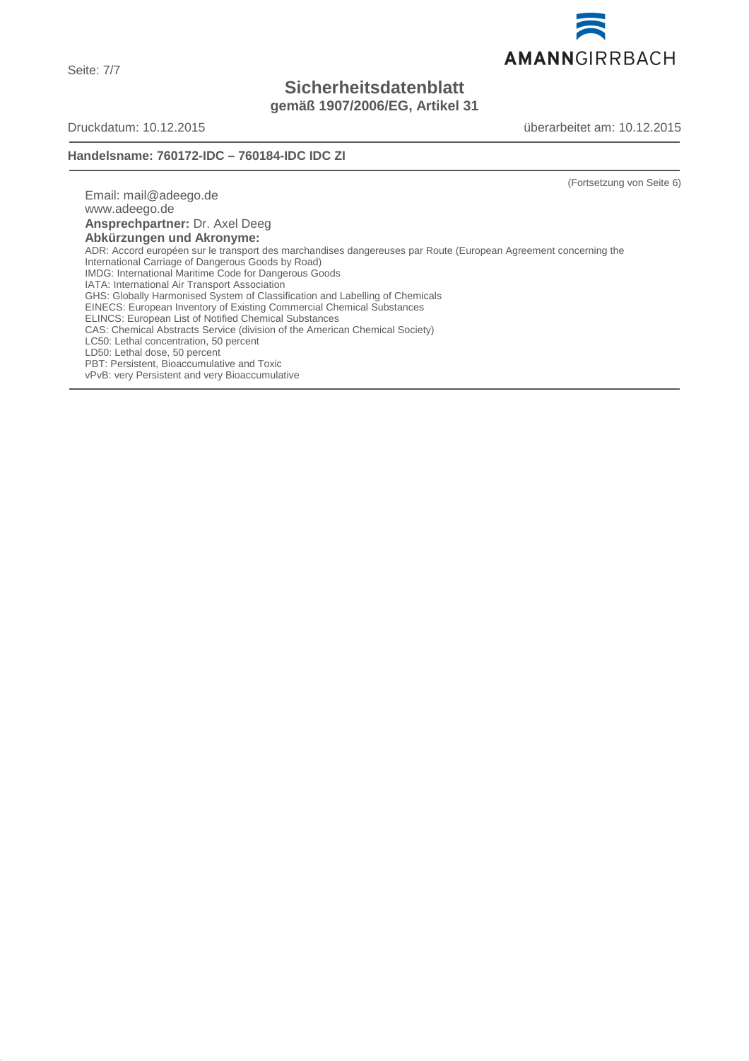Seite: 7/7

# **Sicherheitsdatenblatt**

**gemäß 1907/2006/EG, Artikel 31**

Druckdatum: 10.12.2015 überarbeitet am: 10.12.2015

# **Handelsname: 760172-IDC – 760184-IDC IDC ZI**

(Fortsetzung von Seite 6)

Email: mail@adeego.de www.adeego.de **Ansprechpartner:** Dr. Axel Deeg **Abkürzungen und Akronyme:** ADR: Accord européen sur le transport des marchandises dangereuses par Route (European Agreement concerning the International Carriage of Dangerous Goods by Road) IMDG: International Maritime Code for Dangerous Goods IATA: International Air Transport Association GHS: Globally Harmonised System of Classification and Labelling of Chemicals EINECS: European Inventory of Existing Commercial Chemical Substances ELINCS: European List of Notified Chemical Substances CAS: Chemical Abstracts Service (division of the American Chemical Society) LC50: Lethal concentration, 50 percent LD50: Lethal dose, 50 percent PBT: Persistent, Bioaccumulative and Toxic vPvB: very Persistent and very Bioaccumulative

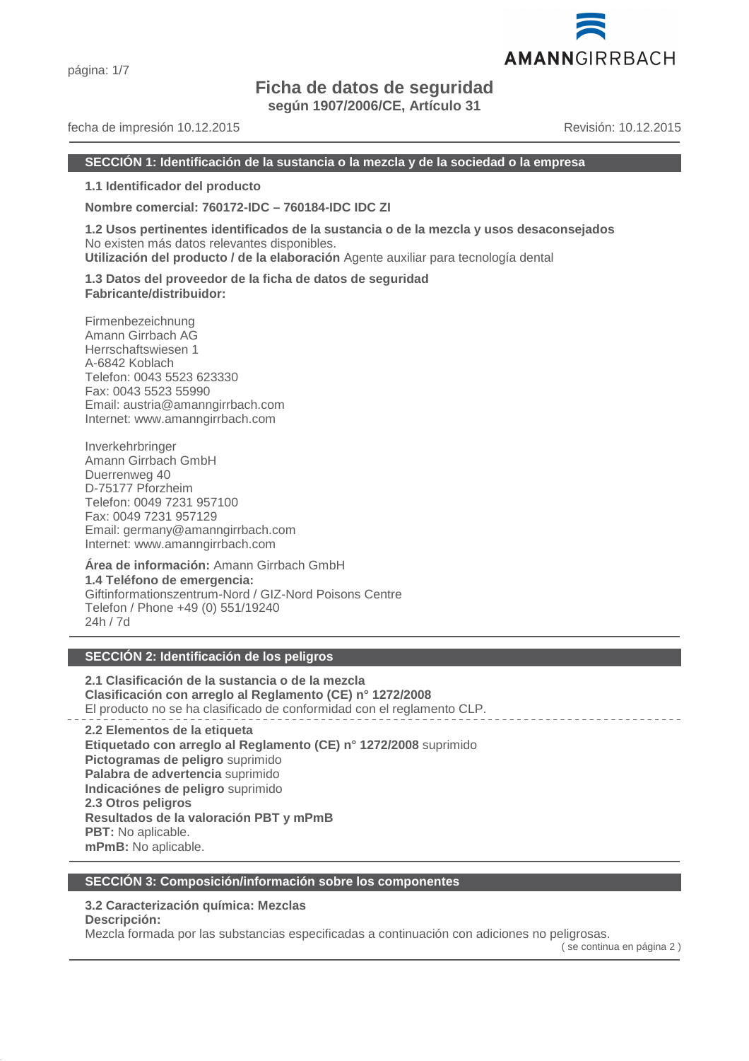# **Ficha de datos de seguridad**

**según 1907/2006/CE, Artículo 31**

# fecha de impresión 10.12.2015 Revisión: 10.12.2015

AMANNGIRRBACH

#### **SECCIÓN 1: Identificación de la sustancia o la mezcla y de la sociedad o la empresa**

**1.1 Identificador del producto**

**Nombre comercial: 760172-IDC – 760184-IDC IDC ZI**

**1.2 Usos pertinentes identificados de la sustancia o de la mezcla y usos desaconsejados** No existen más datos relevantes disponibles.

**Utilización del producto / de la elaboración** Agente auxiliar para tecnología dental

**1.3 Datos del proveedor de la ficha de datos de seguridad Fabricante/distribuidor:**

Firmenbezeichnung Amann Girrbach AG Herrschaftswiesen 1 A-6842 Koblach Telefon: 0043 5523 623330 Fax: 0043 5523 55990 Email: austria@amanngirrbach.com Internet: www.amanngirrbach.com

Inverkehrbringer Amann Girrbach GmbH Duerrenweg 40 D-75177 Pforzheim Telefon: 0049 7231 957100 Fax: 0049 7231 957129 Email: germany@amanngirrbach.com Internet: www.amanngirrbach.com

**Área de información:** Amann Girrbach GmbH **1.4 Teléfono de emergencia:** Giftinformationszentrum-Nord / GIZ-Nord Poisons Centre Telefon / Phone +49 (0) 551/19240 24h / 7d

# **SECCIÓN 2: Identificación de los peligros**

**2.1 Clasificación de la sustancia o de la mezcla Clasificación con arreglo al Reglamento (CE) n° 1272/2008** El producto no se ha clasificado de conformidad con el reglamento CLP.

**2.2 Elementos de la etiqueta Etiquetado con arreglo al Reglamento (CE) n° 1272/2008** suprimido **Pictogramas de peligro** suprimido **Palabra de advertencia** suprimido **Indicaciónes de peligro** suprimido **2.3 Otros peligros Resultados de la valoración PBT y mPmB PBT:** No aplicable. **mPmB:** No aplicable.

# **SECCIÓN 3: Composición/información sobre los componentes**

# **3.2 Caracterización química: Mezclas**

**Descripción:**

Mezcla formada por las substancias especificadas a continuación con adiciones no peligrosas.

( se continua en página 2 )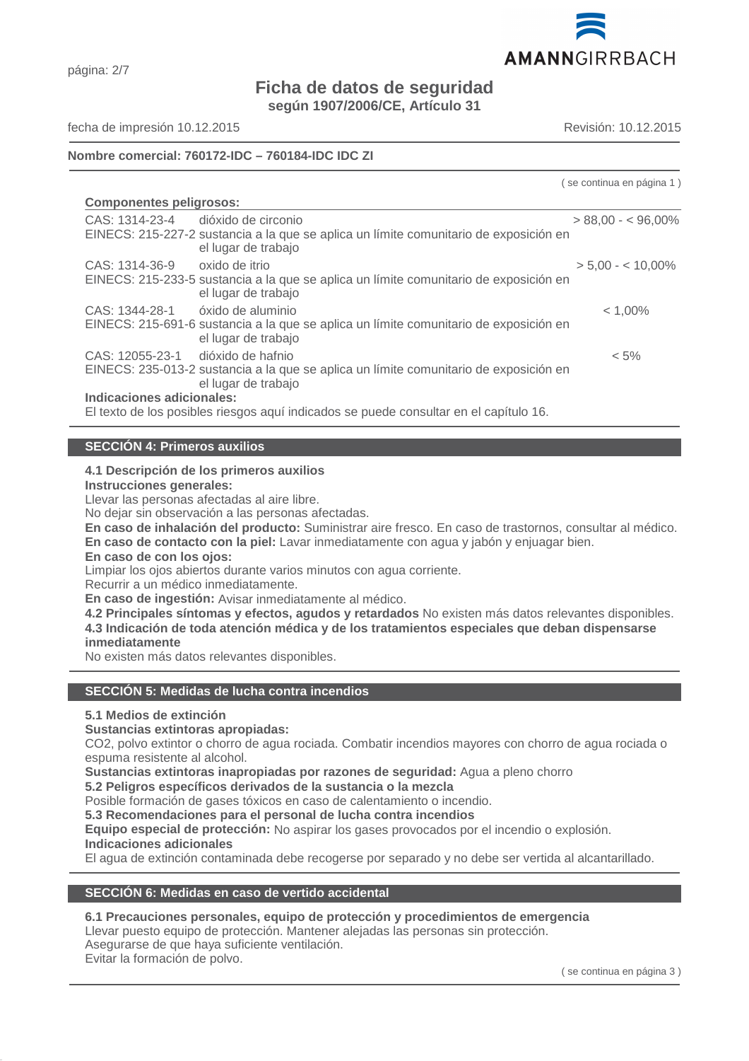

# **Ficha de datos de seguridad**

**según 1907/2006/CE, Artículo 31**

página: 2/7

fecha de impresión 10.12.2015 Revisión: 10.12.2015

# **Nombre comercial: 760172-IDC – 760184-IDC IDC ZI**

( se continua en página 1 )

| <b>Componentes peligrosos:</b>                                                        |                                                                                                              |                     |  |
|---------------------------------------------------------------------------------------|--------------------------------------------------------------------------------------------------------------|---------------------|--|
| CAS: 1314-23-4 dióxido de circonio                                                    |                                                                                                              | $> 88.00 - 5.060\%$ |  |
|                                                                                       | EINECS: 215-227-2 sustancia a la que se aplica un límite comunitario de exposición en<br>el lugar de trabajo |                     |  |
| CAS: 1314-36-9                                                                        | oxido de itrio                                                                                               | $> 5.00 - 5.00$     |  |
|                                                                                       | EINECS: 215-233-5 sustancia a la que se aplica un límite comunitario de exposición en<br>el lugar de trabajo |                     |  |
| CAS: 1344-28-1                                                                        | óxido de aluminio                                                                                            | $< 1,00\%$          |  |
|                                                                                       | EINECS: 215-691-6 sustancia a la que se aplica un límite comunitario de exposición en<br>el lugar de trabajo |                     |  |
| CAS: 12055-23-1 dióxido de hafnio                                                     |                                                                                                              | $< 5\%$             |  |
|                                                                                       | EINECS: 235-013-2 sustancia a la que se aplica un límite comunitario de exposición en<br>el lugar de trabajo |                     |  |
| Indicaciones adicionales:                                                             |                                                                                                              |                     |  |
| El texto de los posibles riesgos aquí indicados se puede consultar en el capítulo 16. |                                                                                                              |                     |  |

**SECCIÓN 4: Primeros auxilios**

# **4.1 Descripción de los primeros auxilios**

**Instrucciones generales:**

Llevar las personas afectadas al aire libre.

No dejar sin observación a las personas afectadas.

**En caso de inhalación del producto:** Suministrar aire fresco. En caso de trastornos, consultar al médico.

**En caso de contacto con la piel:** Lavar inmediatamente con agua y jabón y enjuagar bien.

# **En caso de con los ojos:**

Limpiar los ojos abiertos durante varios minutos con agua corriente.

Recurrir a un médico inmediatamente.

**En caso de ingestión:** Avisar inmediatamente al médico.

**4.2 Principales síntomas y efectos, agudos y retardados** No existen más datos relevantes disponibles. **4.3 Indicación de toda atención médica y de los tratamientos especiales que deban dispensarse inmediatamente**

No existen más datos relevantes disponibles.

# **SECCIÓN 5: Medidas de lucha contra incendios**

# **5.1 Medios de extinción**

# **Sustancias extintoras apropiadas:**

CO2, polvo extintor o chorro de agua rociada. Combatir incendios mayores con chorro de agua rociada o espuma resistente al alcohol.

**Sustancias extintoras inapropiadas por razones de seguridad:** Agua a pleno chorro

**5.2 Peligros específicos derivados de la sustancia o la mezcla**

Posible formación de gases tóxicos en caso de calentamiento o incendio.

**5.3 Recomendaciones para el personal de lucha contra incendios**

**Equipo especial de protección:** No aspirar los gases provocados por el incendio o explosión.

# **Indicaciones adicionales**

El agua de extinción contaminada debe recogerse por separado y no debe ser vertida al alcantarillado.

# **SECCIÓN 6: Medidas en caso de vertido accidental**

# **6.1 Precauciones personales, equipo de protección y procedimientos de emergencia**

Llevar puesto equipo de protección. Mantener alejadas las personas sin protección.

# Asegurarse de que haya suficiente ventilación.

Evitar la formación de polvo.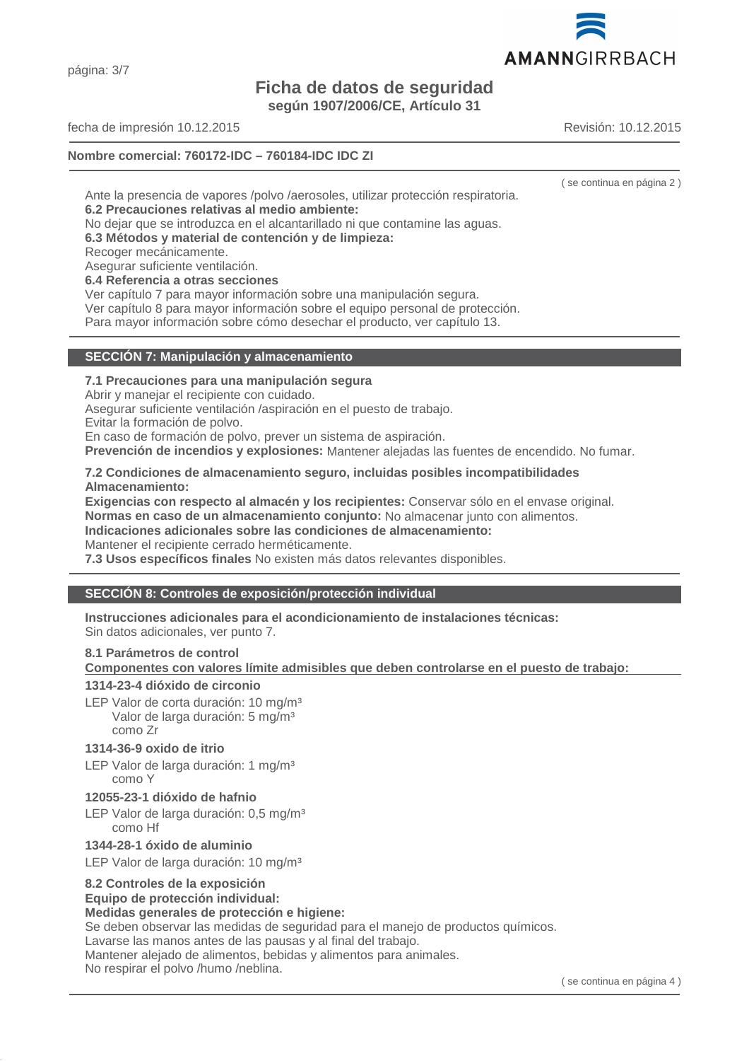página: 3/7

# **Ficha de datos de seguridad**

**según 1907/2006/CE, Artículo 31**

fecha de impresión 10.12.2015 Revisión: 10.12.2015

# **Nombre comercial: 760172-IDC – 760184-IDC IDC ZI**

Ante la presencia de vapores /polvo /aerosoles, utilizar protección respiratoria. **6.2 Precauciones relativas al medio ambiente:**

No dejar que se introduzca en el alcantarillado ni que contamine las aguas.

**6.3 Métodos y material de contención y de limpieza:**

Recoger mecánicamente.

Asegurar suficiente ventilación.

# **6.4 Referencia a otras secciones**

Ver capítulo 7 para mayor información sobre una manipulación segura.

Ver capítulo 8 para mayor información sobre el equipo personal de protección. Para mayor información sobre cómo desechar el producto, ver capítulo 13.

# **7.1 Precauciones para una manipulación segura**

**SECCIÓN 7: Manipulación y almacenamiento**

Abrir y manejar el recipiente con cuidado.

Asegurar suficiente ventilación /aspiración en el puesto de trabajo.

Evitar la formación de polvo.

En caso de formación de polvo, prever un sistema de aspiración.

**Prevención de incendios y explosiones:** Mantener alejadas las fuentes de encendido. No fumar.

# **7.2 Condiciones de almacenamiento seguro, incluidas posibles incompatibilidades Almacenamiento:**

**Exigencias con respecto al almacén y los recipientes:** Conservar sólo en el envase original. **Normas en caso de un almacenamiento conjunto:** No almacenar junto con alimentos.

**Indicaciones adicionales sobre las condiciones de almacenamiento:**

Mantener el recipiente cerrado herméticamente.

**7.3 Usos específicos finales** No existen más datos relevantes disponibles.

# **SECCIÓN 8: Controles de exposición/protección individual**

**Instrucciones adicionales para el acondicionamiento de instalaciones técnicas:**

Sin datos adicionales, ver punto 7.

# **8.1 Parámetros de control**

**Componentes con valores límite admisibles que deben controlarse en el puesto de trabajo:** 

# **1314-23-4 dióxido de circonio**

LEP Valor de corta duración: 10 mg/m<sup>3</sup> Valor de larga duración: 5 mg/m<sup>3</sup> como Zr

# **1314-36-9 oxido de itrio**

LEP Valor de larga duración: 1 mg/m<sup>3</sup> como Y

# **12055-23-1 dióxido de hafnio**

LEP Valor de larga duración: 0,5 mg/m<sup>3</sup> como Hf

# **1344-28-1 óxido de aluminio**

LEP Valor de larga duración: 10 mg/m<sup>3</sup>

# **8.2 Controles de la exposición**

# **Equipo de protección individual:**

# **Medidas generales de protección e higiene:**

Se deben observar las medidas de seguridad para el manejo de productos químicos.

Lavarse las manos antes de las pausas y al final del trabajo.

Mantener alejado de alimentos, bebidas y alimentos para animales.

No respirar el polvo /humo /neblina.



( se continua en página 2 )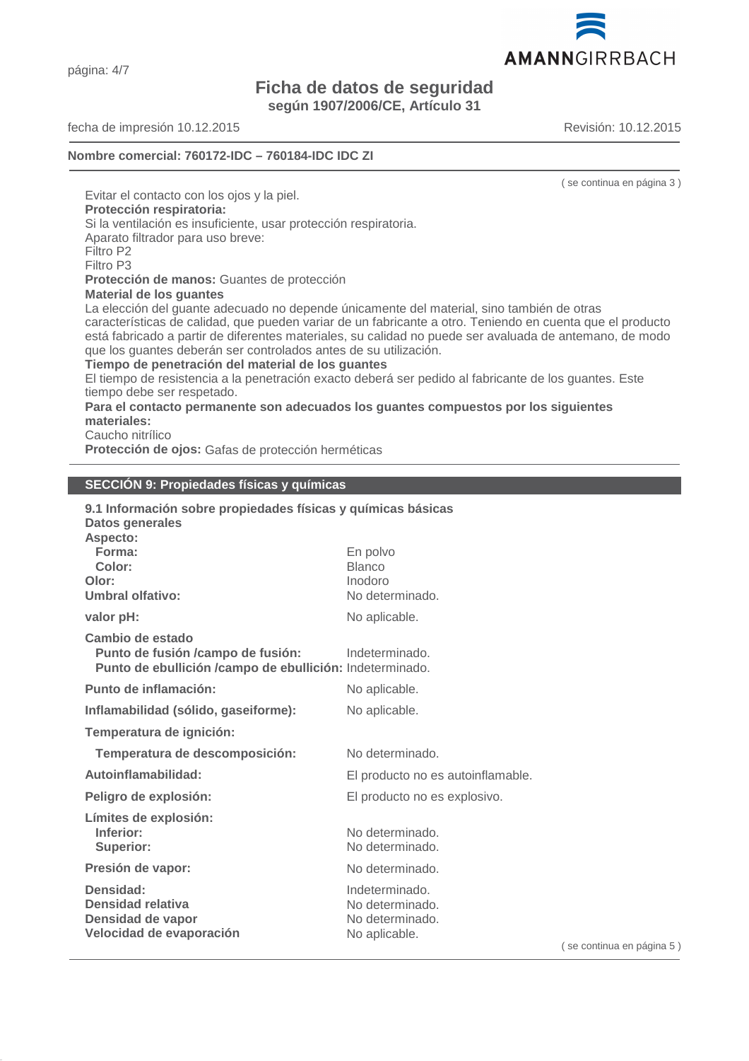página: 4/7

# **Ficha de datos de seguridad**

**según 1907/2006/CE, Artículo 31**

fecha de impresión 10.12.2015 Revisión: 10.12.2015

**Nombre comercial: 760172-IDC – 760184-IDC IDC ZI**

( se continua en página 3 )

Evitar el contacto con los ojos y la piel. **Protección respiratoria:** Si la ventilación es insuficiente, usar protección respiratoria. Aparato filtrador para uso breve: Filtro P2 Filtro P3 **Protección de manos:** Guantes de protección **Material de los guantes** La elección del guante adecuado no depende únicamente del material, sino también de otras características de calidad, que pueden variar de un fabricante a otro. Teniendo en cuenta que el producto está fabricado a partir de diferentes materiales, su calidad no puede ser avaluada de antemano, de modo que los guantes deberán ser controlados antes de su utilización. **Tiempo de penetración del material de los guantes** El tiempo de resistencia a la penetración exacto deberá ser pedido al fabricante de los guantes. Este tiempo debe ser respetado. **Para el contacto permanente son adecuados los guantes compuestos por los siguientes materiales:** Caucho nitrílico **Protección de ojos:** Gafas de protección herméticas

# **SECCIÓN 9: Propiedades físicas y químicas**

| 9.1 Información sobre propiedades físicas y químicas básicas          |                                                          |
|-----------------------------------------------------------------------|----------------------------------------------------------|
| En polvo<br><b>Blanco</b><br>Inodoro<br>No determinado.               |                                                          |
| No aplicable.                                                         |                                                          |
| Indeterminado.                                                        |                                                          |
| No aplicable.                                                         |                                                          |
| No aplicable.                                                         |                                                          |
|                                                                       |                                                          |
| No determinado.                                                       |                                                          |
| El producto no es autoinflamable.                                     |                                                          |
| El producto no es explosivo.                                          |                                                          |
| No determinado.<br>No determinado.                                    |                                                          |
| No determinado.                                                       |                                                          |
| Indeterminado.<br>No determinado.<br>No determinado.<br>No aplicable. | $($ se                                                   |
|                                                                       | Punto de ebullición /campo de ebullición: Indeterminado. |



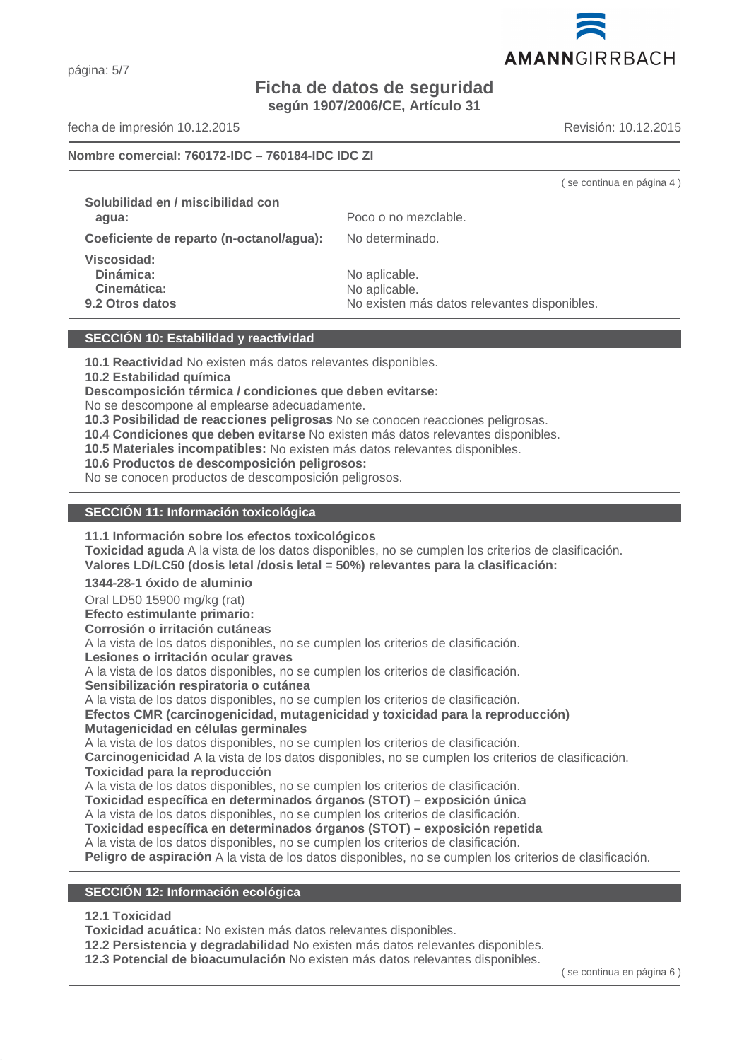# **Ficha de datos de seguridad**

**según 1907/2006/CE, Artículo 31**

fecha de impresión 10.12.2015 Revisión: 10.12.2015

# **Nombre comercial: 760172-IDC – 760184-IDC IDC ZI**

( se continua en página 4 ) **Solubilidad en / miscibilidad con agua:** Poco o no mezclable. **Coeficiente de reparto (n-octanol/agua):** No determinado. **Viscosidad: Dinámica:** No aplicable. Cinemática: No aplicable. **9.2 Otros datos** No existen más datos relevantes disponibles.

# **SECCIÓN 10: Estabilidad y reactividad**

**10.1 Reactividad** No existen más datos relevantes disponibles.

**10.2 Estabilidad química**

**Descomposición térmica / condiciones que deben evitarse:**

No se descompone al emplearse adecuadamente.

**10.3 Posibilidad de reacciones peligrosas** No se conocen reacciones peligrosas.

**10.4 Condiciones que deben evitarse** No existen más datos relevantes disponibles.

**10.5 Materiales incompatibles:** No existen más datos relevantes disponibles.

**10.6 Productos de descomposición peligrosos:**

No se conocen productos de descomposición peligrosos.

#### **SECCIÓN 11: Información toxicológica**

**11.1 Información sobre los efectos toxicológicos**

**Toxicidad aguda** A la vista de los datos disponibles, no se cumplen los criterios de clasificación. Valores LD/LC50 (dosis letal /dosis letal = 50%) relevantes para la clasificación:

**1344-28-1 óxido de aluminio**

Oral LD50 15900 mg/kg (rat)

**Efecto estimulante primario:**

**Corrosión o irritación cutáneas**

A la vista de los datos disponibles, no se cumplen los criterios de clasificación.

**Lesiones o irritación ocular graves**

A la vista de los datos disponibles, no se cumplen los criterios de clasificación.

**Sensibilización respiratoria o cutánea**

A la vista de los datos disponibles, no se cumplen los criterios de clasificación.

**Efectos CMR (carcinogenicidad, mutagenicidad y toxicidad para la reproducción) Mutagenicidad en células germinales**

A la vista de los datos disponibles, no se cumplen los criterios de clasificación.

**Carcinogenicidad** A la vista de los datos disponibles, no se cumplen los criterios de clasificación. **Toxicidad para la reproducción**

A la vista de los datos disponibles, no se cumplen los criterios de clasificación.

**Toxicidad específica en determinados órganos (STOT) – exposición única**

A la vista de los datos disponibles, no se cumplen los criterios de clasificación.

**Toxicidad específica en determinados órganos (STOT) – exposición repetida**

A la vista de los datos disponibles, no se cumplen los criterios de clasificación.

**Peligro de aspiración** A la vista de los datos disponibles, no se cumplen los criterios de clasificación.

#### **SECCIÓN 12: Información ecológica**

# **12.1 Toxicidad**

**Toxicidad acuática:** No existen más datos relevantes disponibles.

**12.2 Persistencia y degradabilidad** No existen más datos relevantes disponibles.

**12.3 Potencial de bioacumulación** No existen más datos relevantes disponibles.

( se continua en página 6 )

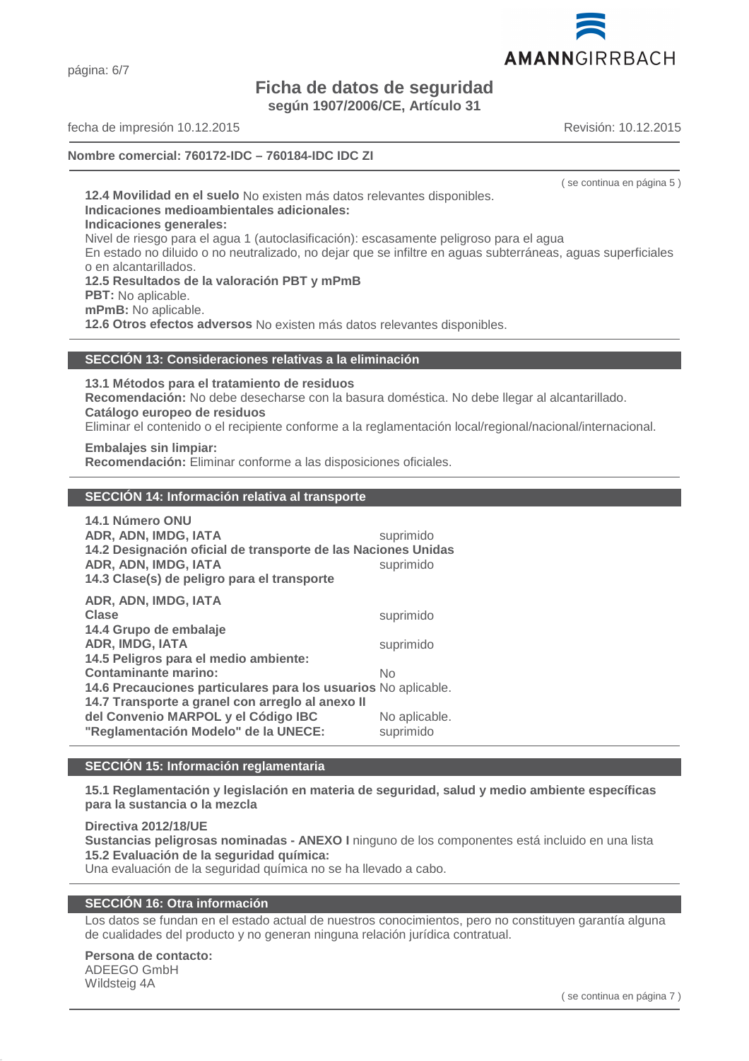página: 6/7

# **Ficha de datos de seguridad**

**según 1907/2006/CE, Artículo 31**

fecha de impresión 10.12.2015 Revisión: 10.12.2015

# **Nombre comercial: 760172-IDC – 760184-IDC IDC ZI**

( se continua en página 5 )

**12.4 Movilidad en el suelo** No existen más datos relevantes disponibles. **Indicaciones medioambientales adicionales: Indicaciones generales:** Nivel de riesgo para el agua 1 (autoclasificación): escasamente peligroso para el agua En estado no diluido o no neutralizado, no dejar que se infiltre en aguas subterráneas, aguas superficiales o en alcantarillados. **12.5 Resultados de la valoración PBT y mPmB PBT:** No aplicable. **mPmB:** No aplicable. **12.6 Otros efectos adversos** No existen más datos relevantes disponibles.

#### **SECCIÓN 13: Consideraciones relativas a la eliminación**

**13.1 Métodos para el tratamiento de residuos**

**Recomendación:** No debe desecharse con la basura doméstica. No debe llegar al alcantarillado. **Catálogo europeo de residuos**

Eliminar el contenido o el recipiente conforme a la reglamentación local/regional/nacional/internacional.

**Embalajes sin limpiar: Recomendación:** Eliminar conforme a las disposiciones oficiales.

#### **SECCIÓN 14: Información relativa al transporte**

| 14.1 Número ONU<br>ADR, ADN, IMDG, IATA<br>14.2 Designación oficial de transporte de las Naciones Unidas<br>ADR, ADN, IMDG, IATA<br>14.3 Clase(s) de peligro para el transporte | suprimido<br>suprimido |
|---------------------------------------------------------------------------------------------------------------------------------------------------------------------------------|------------------------|
| ADR, ADN, IMDG, IATA<br>Clase<br>14.4 Grupo de embalaje<br><b>ADR, IMDG, IATA</b>                                                                                               | suprimido<br>suprimido |
| 14.5 Peligros para el medio ambiente:<br><b>Contaminante marino:</b>                                                                                                            | No                     |
| 14.6 Precauciones particulares para los usuarios No aplicable.<br>14.7 Transporte a granel con arregio al anexo II<br>del Convenio MARPOL y el Código IBC                       | No aplicable.          |
| "Reglamentación Modelo" de la UNECE:                                                                                                                                            | suprimido              |

# **SECCIÓN 15: Información reglamentaria**

**15.1 Reglamentación y legislación en materia de seguridad, salud y medio ambiente específicas para la sustancia o la mezcla**

**Directiva 2012/18/UE**

**Sustancias peligrosas nominadas - ANEXO I** ninguno de los componentes está incluido en una lista **15.2 Evaluación de la seguridad química:**

Una evaluación de la seguridad química no se ha llevado a cabo.

# **SECCIÓN 16: Otra información**

Los datos se fundan en el estado actual de nuestros conocimientos, pero no constituyen garantía alguna de cualidades del producto y no generan ninguna relación jurídica contratual.

# **Persona de contacto:**

ADEEGO GmbH Wildsteig 4A

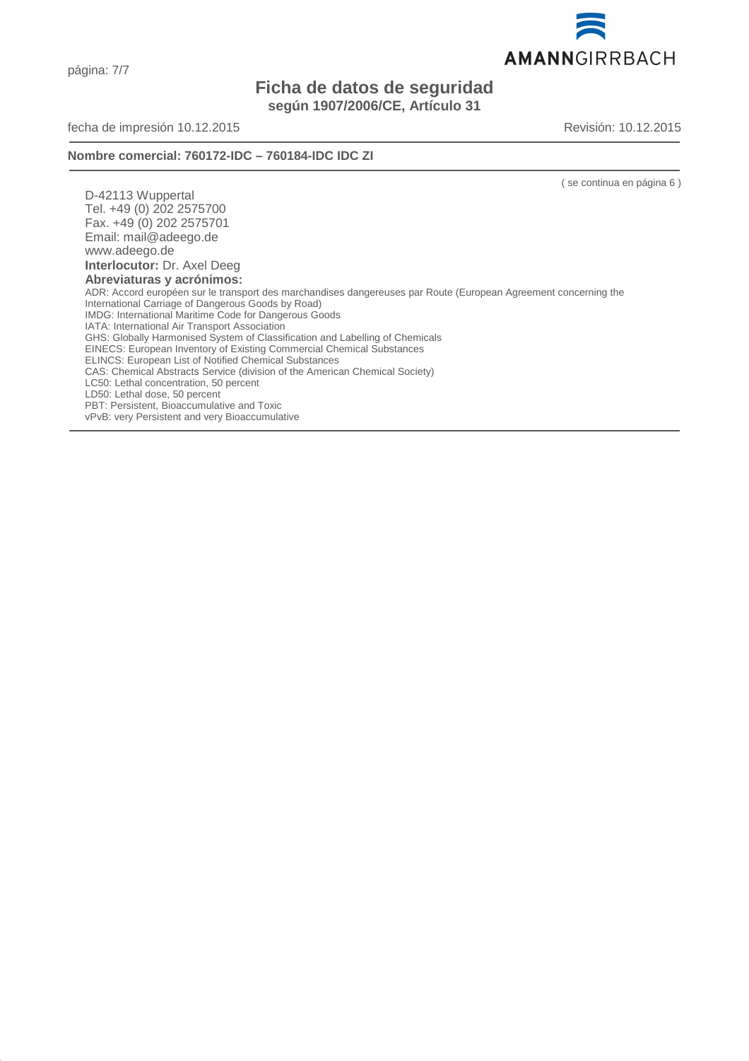página: 7/7

# **Ficha de datos de seguridad según 1907/2006/CE, Artículo 31**

fecha de impresión 10.12.2015 Revisión: 10.12.2015

**Nombre comercial: 760172-IDC – 760184-IDC IDC ZI**

( se continua en página 6 )

D-42113 Wuppertal Tel. +49 (0) 202 2575700 Fax. +49 (0) 202 2575701 Email: mail@adeego.de www.adeego.de **Interlocutor:** Dr. Axel Deeg **Abreviaturas y acrónimos:** ADR: Accord européen sur le transport des marchandises dangereuses par Route (European Agreement concerning the International Carriage of Dangerous Goods by Road) IMDG: International Maritime Code for Dangerous Goods IATA: International Air Transport Association GHS: Globally Harmonised System of Classification and Labelling of Chemicals EINECS: European Inventory of Existing Commercial Chemical Substances ELINCS: European List of Notified Chemical Substances CAS: Chemical Abstracts Service (division of the American Chemical Society) LC50: Lethal concentration, 50 percent LD50: Lethal dose, 50 percent PBT: Persistent, Bioaccumulative and Toxic vPvB: very Persistent and very Bioaccumulative

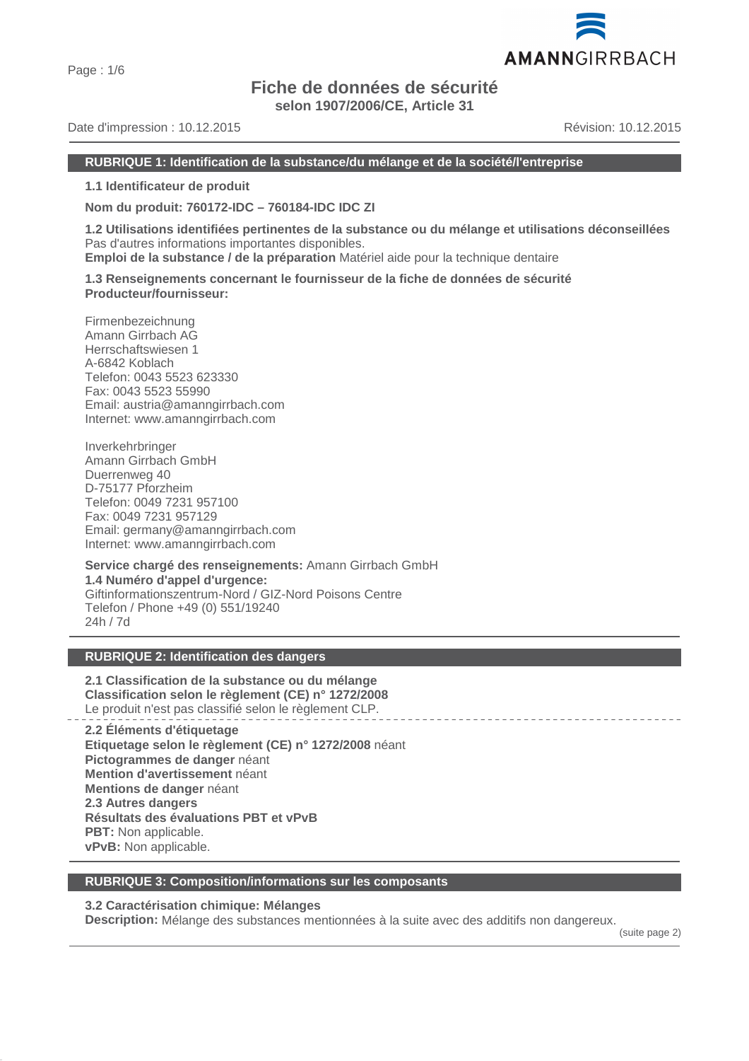Page : 1/6

# **Fiche de données de sécurité**

**selon 1907/2006/CE, Article 31**

Date d'impression : 10.12.2015 Révision: 10.12.2015

# **RUBRIQUE 1: Identification de la substance/du mélange et de la société/l'entreprise**

**1.1 Identificateur de produit**

**Nom du produit: 760172-IDC – 760184-IDC IDC ZI**

**1.2 Utilisations identifiées pertinentes de la substance ou du mélange et utilisations déconseillées** Pas d'autres informations importantes disponibles.

**Emploi de la substance / de la préparation** Matériel aide pour la technique dentaire

**1.3 Renseignements concernant le fournisseur de la fiche de données de sécurité Producteur/fournisseur:**

Firmenbezeichnung Amann Girrbach AG Herrschaftswiesen 1 A-6842 Koblach Telefon: 0043 5523 623330 Fax: 0043 5523 55990 Email: austria@amanngirrbach.com Internet: www.amanngirrbach.com

Inverkehrbringer Amann Girrbach GmbH Duerrenweg 40 D-75177 Pforzheim Telefon: 0049 7231 957100 Fax: 0049 7231 957129 Email: germany@amanngirrbach.com Internet: www.amanngirrbach.com

**Service chargé des renseignements:** Amann Girrbach GmbH **1.4 Numéro d'appel d'urgence:** Giftinformationszentrum-Nord / GIZ-Nord Poisons Centre Telefon / Phone +49 (0) 551/19240 24h / 7d

# **RUBRIQUE 2: Identification des dangers**

**2.1 Classification de la substance ou du mélange Classification selon le règlement (CE) n° 1272/2008** Le produit n'est pas classifié selon le règlement CLP.

**2.2 Éléments d'étiquetage Etiquetage selon le règlement (CE) n° 1272/2008** néant **Pictogrammes de danger** néant **Mention d'avertissement** néant **Mentions de danger** néant **2.3 Autres dangers Résultats des évaluations PBT et vPvB PBT:** Non applicable. **vPvB:** Non applicable.

#### **RUBRIQUE 3: Composition/informations sur les composants**

# **3.2 Caractérisation chimique: Mélanges**

**Description:** Mélange des substances mentionnées à la suite avec des additifs non dangereux.

(suite page 2)

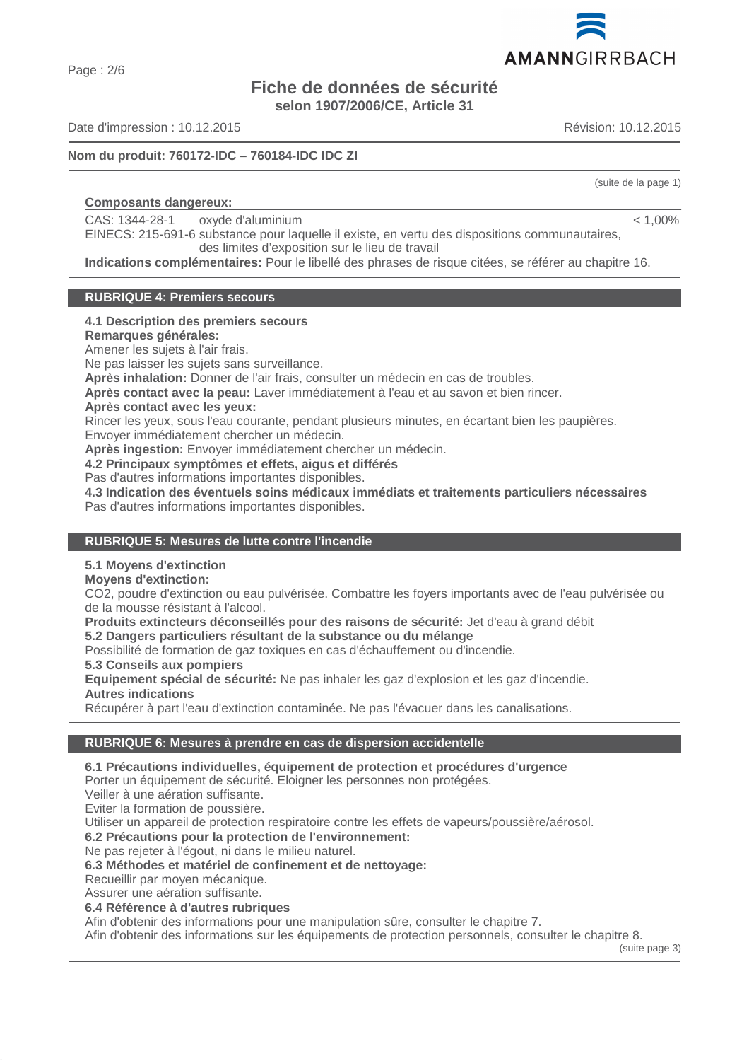Page : 2/6

# **Fiche de données de sécurité selon 1907/2006/CE, Article 31**

Date d'impression : 10.12.2015 Révision: 10.12.2015

# **Nom du produit: 760172-IDC – 760184-IDC IDC ZI**

# **Composants dangereux:**

CAS: 1344-28-1 oxyde d'aluminium

EINECS: 215-691-6 substance pour laquelle il existe, en vertu des dispositions communautaires, des limites d'exposition sur le lieu de travail

**Indications complémentaires:** Pour le libellé des phrases de risque citées, se référer au chapitre 16.

# **RUBRIQUE 4: Premiers secours**

# **4.1 Description des premiers secours**

**Remarques générales:**

Amener les sujets à l'air frais.

Ne pas laisser les sujets sans surveillance.

**Après inhalation:** Donner de l'air frais, consulter un médecin en cas de troubles.

**Après contact avec la peau:** Laver immédiatement à l'eau et au savon et bien rincer.

#### **Après contact avec les yeux:**

Rincer les yeux, sous l'eau courante, pendant plusieurs minutes, en écartant bien les paupières.

Envoyer immédiatement chercher un médecin.

**Après ingestion:** Envoyer immédiatement chercher un médecin.

**4.2 Principaux symptômes et effets, aigus et différés**

Pas d'autres informations importantes disponibles.

**4.3 Indication des éventuels soins médicaux immédiats et traitements particuliers nécessaires** Pas d'autres informations importantes disponibles.

# **RUBRIQUE 5: Mesures de lutte contre l'incendie**

# **5.1 Moyens d'extinction**

# **Moyens d'extinction:**

CO2, poudre d'extinction ou eau pulvérisée. Combattre les foyers importants avec de l'eau pulvérisée ou de la mousse résistant à l'alcool.

**Produits extincteurs déconseillés pour des raisons de sécurité:** Jet d'eau à grand débit

**5.2 Dangers particuliers résultant de la substance ou du mélange**

Possibilité de formation de gaz toxiques en cas d'échauffement ou d'incendie.

**5.3 Conseils aux pompiers**

**Equipement spécial de sécurité:** Ne pas inhaler les gaz d'explosion et les gaz d'incendie. **Autres indications**

Récupérer à part l'eau d'extinction contaminée. Ne pas l'évacuer dans les canalisations.

# **RUBRIQUE 6: Mesures à prendre en cas de dispersion accidentelle**

# **6.1 Précautions individuelles, équipement de protection et procédures d'urgence**

Porter un équipement de sécurité. Eloigner les personnes non protégées.

Veiller à une aération suffisante.

Eviter la formation de poussière.

Utiliser un appareil de protection respiratoire contre les effets de vapeurs/poussière/aérosol.

**6.2 Précautions pour la protection de l'environnement:**

Ne pas rejeter à l'égout, ni dans le milieu naturel.

**6.3 Méthodes et matériel de confinement et de nettoyage:**

Recueillir par moyen mécanique.

Assurer une aération suffisante.

**6.4 Référence à d'autres rubriques**

Afin d'obtenir des informations pour une manipulation sûre, consulter le chapitre 7.

Afin d'obtenir des informations sur les équipements de protection personnels, consulter le chapitre 8.

(suite page 3)

(suite de la page 1)

 $< 1.00\%$ 

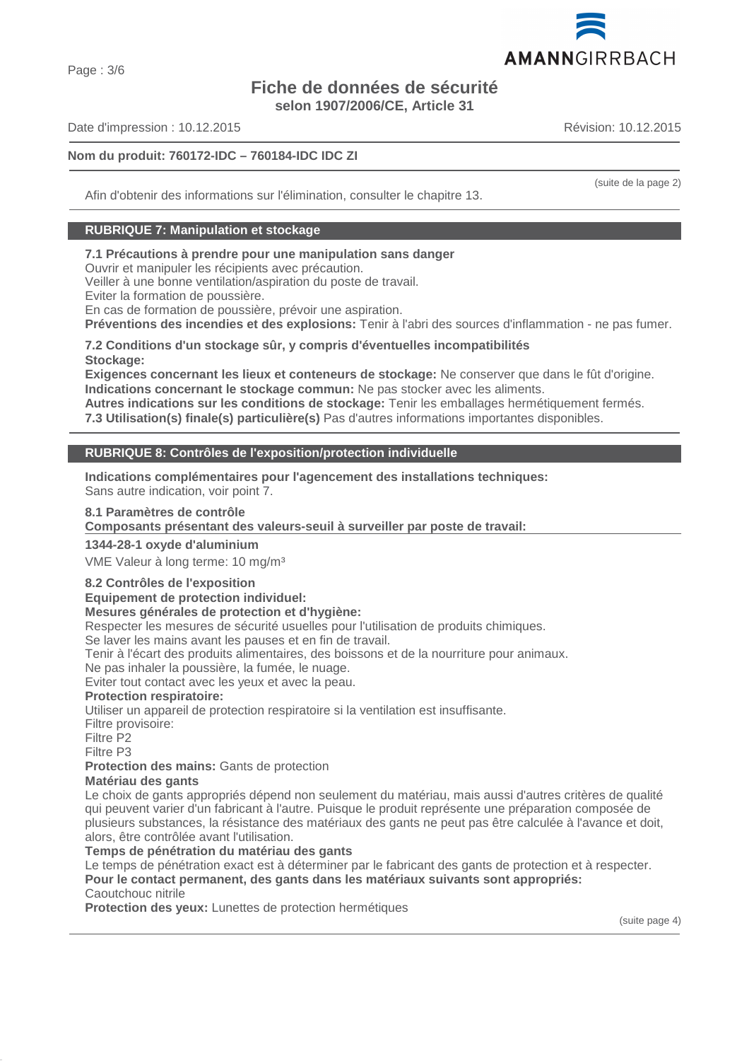# **Fiche de données de sécurité**

**selon 1907/2006/CE, Article 31**

Date d'impression : 10.12.2015 Révision: 10.12.2015

# **Nom du produit: 760172-IDC – 760184-IDC IDC ZI**

Afin d'obtenir des informations sur l'élimination, consulter le chapitre 13.

# **RUBRIQUE 7: Manipulation et stockage**

# **7.1 Précautions à prendre pour une manipulation sans danger**

Ouvrir et manipuler les récipients avec précaution.

Veiller à une bonne ventilation/aspiration du poste de travail.

Eviter la formation de poussière.

En cas de formation de poussière, prévoir une aspiration.

**Préventions des incendies et des explosions:** Tenir à l'abri des sources d'inflammation - ne pas fumer.

#### **7.2 Conditions d'un stockage sûr, y compris d'éventuelles incompatibilités Stockage:**

**Exigences concernant les lieux et conteneurs de stockage:** Ne conserver que dans le fût d'origine. **Indications concernant le stockage commun:** Ne pas stocker avec les aliments.

**Autres indications sur les conditions de stockage:** Tenir les emballages hermétiquement fermés. **7.3 Utilisation(s) finale(s) particulière(s)** Pas d'autres informations importantes disponibles.

# **RUBRIQUE 8: Contrôles de l'exposition/protection individuelle**

**Indications complémentaires pour l'agencement des installations techniques:** Sans autre indication, voir point 7.

# **8.1 Paramètres de contrôle**

Composants présentant des valeurs-seuil à surveiller par poste de travail:

# **1344-28-1 oxyde d'aluminium**

VME Valeur à long terme: 10 mg/m³

# **8.2 Contrôles de l'exposition**

**Equipement de protection individuel:**

# **Mesures générales de protection et d'hygiène:**

Respecter les mesures de sécurité usuelles pour l'utilisation de produits chimiques.

Se laver les mains avant les pauses et en fin de travail.

Tenir à l'écart des produits alimentaires, des boissons et de la nourriture pour animaux.

Ne pas inhaler la poussière, la fumée, le nuage.

Eviter tout contact avec les yeux et avec la peau.

#### **Protection respiratoire:**

Utiliser un appareil de protection respiratoire si la ventilation est insuffisante.

Filtre provisoire:

Filtre P2

Filtre P3

**Protection des mains:** Gants de protection

# **Matériau des gants**

Le choix de gants appropriés dépend non seulement du matériau, mais aussi d'autres critères de qualité qui peuvent varier d'un fabricant à l'autre. Puisque le produit représente une préparation composée de plusieurs substances, la résistance des matériaux des gants ne peut pas être calculée à l'avance et doit, alors, être contrôlée avant l'utilisation.

# **Temps de pénétration du matériau des gants**

Le temps de pénétration exact est à déterminer par le fabricant des gants de protection et à respecter. **Pour le contact permanent, des gants dans les matériaux suivants sont appropriés:** Caoutchouc nitrile

**Protection des yeux:** Lunettes de protection hermétiques





(suite de la page 2)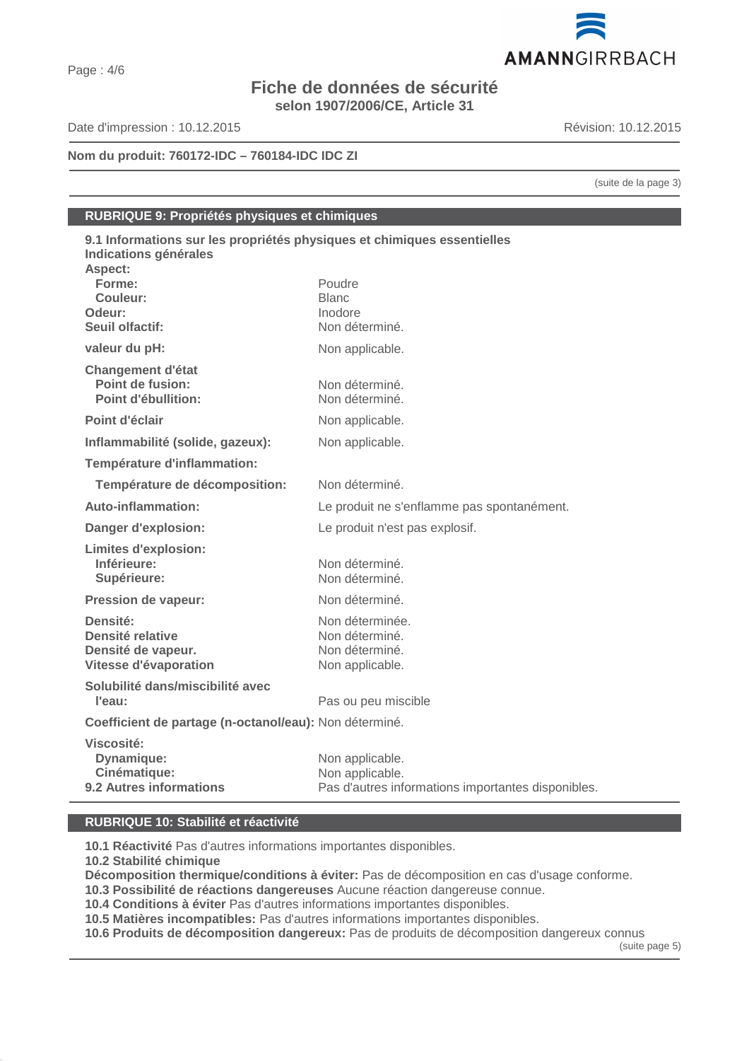# **Fiche de données de sécurité selon 1907/2006/CE, Article 31**

Date d'impression : 10.12.2015 Révision: 10.12.2015

**Nom du produit: 760172-IDC – 760184-IDC IDC ZI**

(suite de la page 3)

# **RUBRIQUE 9: Propriétés physiques et chimiques**

| 9.1 Informations sur les propriétés physiques et chimiques essentielles<br>Indications générales |                                                    |  |
|--------------------------------------------------------------------------------------------------|----------------------------------------------------|--|
| Aspect:                                                                                          |                                                    |  |
| Forme:                                                                                           | Poudre                                             |  |
| Couleur:                                                                                         | <b>Blanc</b>                                       |  |
| Odeur:                                                                                           | Inodore                                            |  |
| Seuil olfactif:                                                                                  | Non déterminé.                                     |  |
| valeur du pH:                                                                                    | Non applicable.                                    |  |
| <b>Changement d'état</b>                                                                         |                                                    |  |
| Point de fusion:                                                                                 | Non déterminé.                                     |  |
| Point d'ébullition:                                                                              | Non déterminé.                                     |  |
| Point d'éclair                                                                                   | Non applicable.                                    |  |
| Inflammabilité (solide, gazeux):                                                                 | Non applicable.                                    |  |
| Température d'inflammation:                                                                      |                                                    |  |
| Température de décomposition:                                                                    | Non déterminé.                                     |  |
| <b>Auto-inflammation:</b>                                                                        | Le produit ne s'enflamme pas spontanément.         |  |
| Danger d'explosion:                                                                              | Le produit n'est pas explosif.                     |  |
| <b>Limites d'explosion:</b>                                                                      |                                                    |  |
| Inférieure:                                                                                      | Non déterminé.                                     |  |
| Supérieure:                                                                                      | Non déterminé.                                     |  |
| Pression de vapeur:                                                                              | Non déterminé.                                     |  |
| Densité:                                                                                         | Non déterminée.                                    |  |
| Densité relative                                                                                 | Non déterminé.                                     |  |
| Densité de vapeur.                                                                               | Non déterminé.                                     |  |
| Vitesse d'évaporation                                                                            | Non applicable.                                    |  |
| Solubilité dans/miscibilité avec                                                                 |                                                    |  |
| l'eau:                                                                                           | Pas ou peu miscible                                |  |
| Coefficient de partage (n-octanol/eau): Non déterminé.                                           |                                                    |  |
| <b>Viscosité:</b>                                                                                |                                                    |  |
| Dynamique:                                                                                       | Non applicable.                                    |  |
| Cinématique:                                                                                     | Non applicable.                                    |  |
| 9.2 Autres informations                                                                          | Pas d'autres informations importantes disponibles. |  |

# **RUBRIQUE 10: Stabilité et réactivité**

**10.1 Réactivité** Pas d'autres informations importantes disponibles.

**10.2 Stabilité chimique**

**Décomposition thermique/conditions à éviter:** Pas de décomposition en cas d'usage conforme.

**10.3 Possibilité de réactions dangereuses** Aucune réaction dangereuse connue.

**10.4 Conditions à éviter** Pas d'autres informations importantes disponibles.

**10.5 Matières incompatibles:** Pas d'autres informations importantes disponibles.

**10.6 Produits de décomposition dangereux:** Pas de produits de décomposition dangereux connus

(suite page 5)

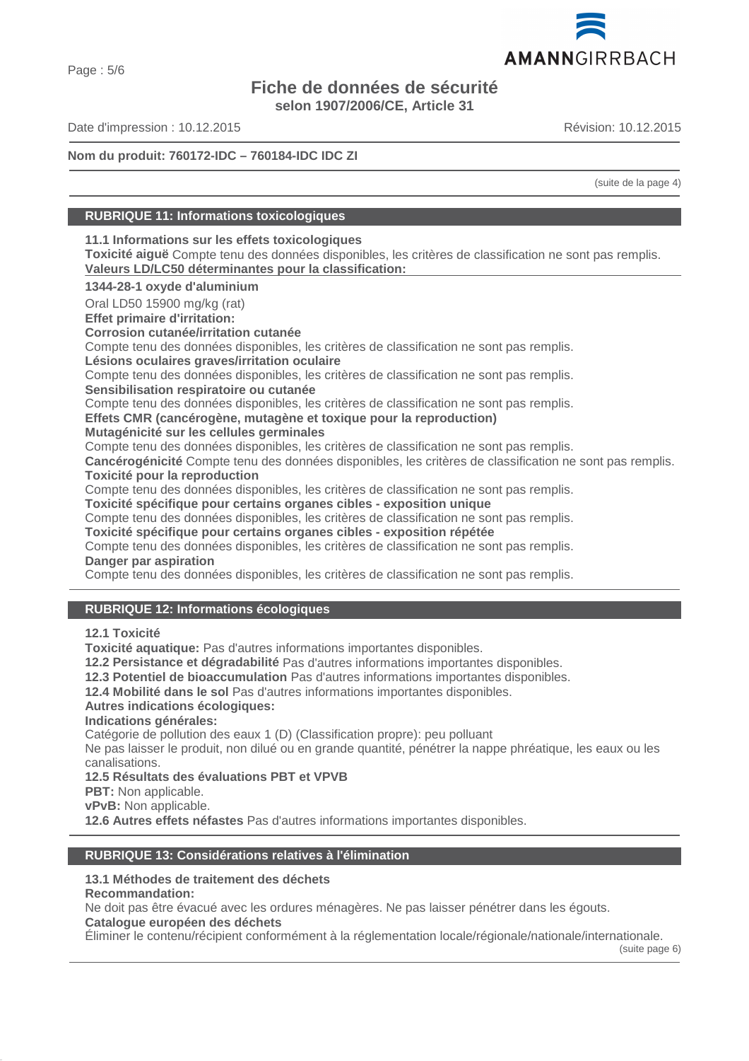# **Fiche de données de sécurité selon 1907/2006/CE, Article 31**

Date d'impression : 10.12.2015 Révision: 10.12.2015

**Nom du produit: 760172-IDC – 760184-IDC IDC ZI**

(suite de la page 4)

# **RUBRIQUE 11: Informations toxicologiques**

**11.1 Informations sur les effets toxicologiques**

**Toxicité aiguë** Compte tenu des données disponibles, les critères de classification ne sont pas remplis. Valeurs LD/LC50 déterminantes pour la classification:

**1344-28-1 oxyde d'aluminium**

Oral LD50 15900 mg/kg (rat)

**Effet primaire d'irritation:**

**Corrosion cutanée/irritation cutanée**

Compte tenu des données disponibles, les critères de classification ne sont pas remplis.

**Lésions oculaires graves/irritation oculaire**

Compte tenu des données disponibles, les critères de classification ne sont pas remplis.

**Sensibilisation respiratoire ou cutanée**

Compte tenu des données disponibles, les critères de classification ne sont pas remplis.

**Effets CMR (cancérogène, mutagène et toxique pour la reproduction)**

**Mutagénicité sur les cellules germinales**

Compte tenu des données disponibles, les critères de classification ne sont pas remplis.

**Cancérogénicité** Compte tenu des données disponibles, les critères de classification ne sont pas remplis. **Toxicité pour la reproduction**

Compte tenu des données disponibles, les critères de classification ne sont pas remplis.

**Toxicité spécifique pour certains organes cibles - exposition unique**

Compte tenu des données disponibles, les critères de classification ne sont pas remplis.

**Toxicité spécifique pour certains organes cibles - exposition répétée**

Compte tenu des données disponibles, les critères de classification ne sont pas remplis. **Danger par aspiration**

Compte tenu des données disponibles, les critères de classification ne sont pas remplis.

# **RUBRIQUE 12: Informations écologiques**

**12.1 Toxicité**

**Toxicité aquatique:** Pas d'autres informations importantes disponibles.

**12.2 Persistance et dégradabilité** Pas d'autres informations importantes disponibles.

**12.3 Potentiel de bioaccumulation** Pas d'autres informations importantes disponibles.

**12.4 Mobilité dans le sol** Pas d'autres informations importantes disponibles.

# **Autres indications écologiques:**

**Indications générales:**

Catégorie de pollution des eaux 1 (D) (Classification propre): peu polluant

Ne pas laisser le produit, non dilué ou en grande quantité, pénétrer la nappe phréatique, les eaux ou les canalisations.

**12.5 Résultats des évaluations PBT et VPVB**

**PBT:** Non applicable.

**vPvB:** Non applicable.

**12.6 Autres effets néfastes** Pas d'autres informations importantes disponibles.

# **RUBRIQUE 13: Considérations relatives à l'élimination**

# **13.1 Méthodes de traitement des déchets**

**Recommandation:**

Ne doit pas être évacué avec les ordures ménagères. Ne pas laisser pénétrer dans les égouts.

**Catalogue européen des déchets**

Éliminer le contenu/récipient conformément à la réglementation locale/régionale/nationale/internationale.

(suite page 6)

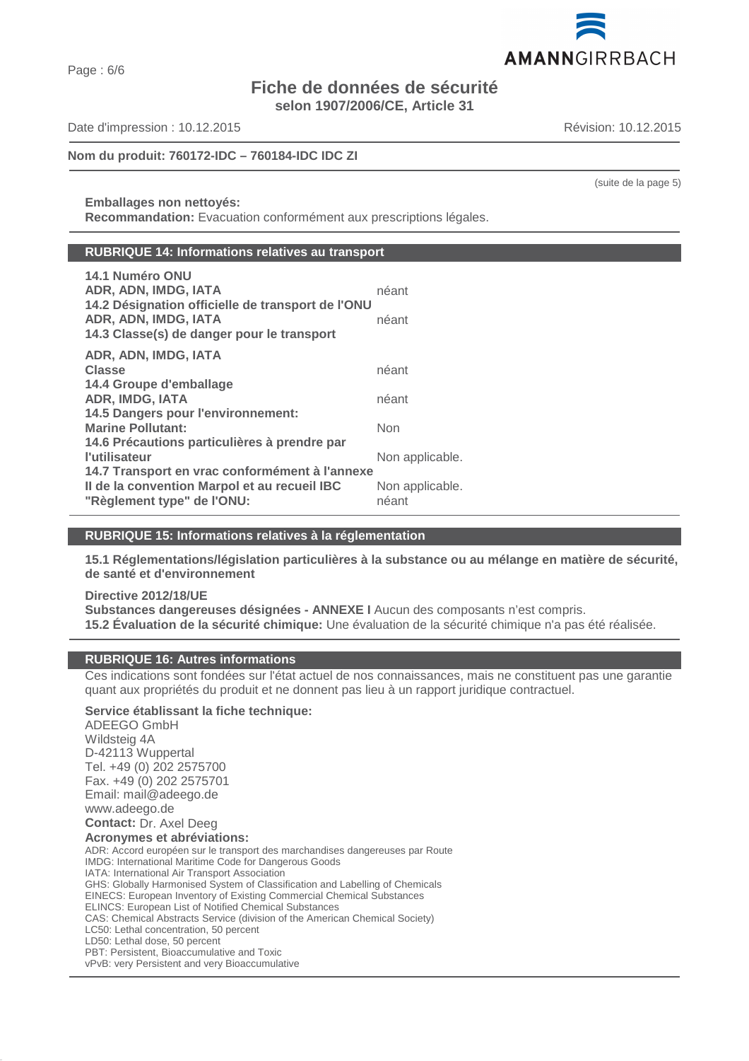Page : 6/6

# **Fiche de données de sécurité selon 1907/2006/CE, Article 31**

Date d'impression : 10.12.2015 Révision: 10.12.2015

**Nom du produit: 760172-IDC – 760184-IDC IDC ZI**

**Emballages non nettoyés: Recommandation:** Evacuation conformément aux prescriptions légales.

#### **RUBRIQUE 14: Informations relatives au transport**

| 14.1 Numéro ONU<br>ADR, ADN, IMDG, IATA<br>14.2 Désignation officielle de transport de l'ONU<br>ADR, ADN, IMDG, IATA<br>14.3 Classe(s) de danger pour le transport | néant<br>néant           |
|--------------------------------------------------------------------------------------------------------------------------------------------------------------------|--------------------------|
| ADR, ADN, IMDG, IATA                                                                                                                                               |                          |
| <b>Classe</b>                                                                                                                                                      | néant                    |
| 14.4 Groupe d'emballage                                                                                                                                            |                          |
| <b>ADR, IMDG, IATA</b>                                                                                                                                             | néant                    |
| 14.5 Dangers pour l'environnement:                                                                                                                                 |                          |
| <b>Marine Pollutant:</b>                                                                                                                                           | Non                      |
| 14.6 Précautions particulières à prendre par                                                                                                                       |                          |
| <b>l'utilisateur</b>                                                                                                                                               | Non applicable.          |
| 14.7 Transport en vrac conformément à l'annexe<br>Il de la convention Marpol et au recueil IBC<br>"Règlement type" de l'ONU:                                       | Non applicable.<br>néant |

# **RUBRIQUE 15: Informations relatives à la réglementation**

**15.1 Réglementations/législation particulières à la substance ou au mélange en matière de sécurité, de santé et d'environnement**

**Directive 2012/18/UE Substances dangereuses désignées - ANNEXE I** Aucun des composants n'est compris. **15.2 Évaluation de la sécurité chimique:** Une évaluation de la sécurité chimique n'a pas été réalisée.

# **RUBRIQUE 16: Autres informations**

Ces indications sont fondées sur l'état actuel de nos connaissances, mais ne constituent pas une garantie quant aux propriétés du produit et ne donnent pas lieu à un rapport juridique contractuel.

**Service établissant la fiche technique:** ADEEGO GmbH Wildsteig 4A D-42113 Wuppertal Tel. +49 (0) 202 2575700 Fax. +49 (0) 202 2575701 Email: mail@adeego.de www.adeego.de **Contact:** Dr. Axel Deeg **Acronymes et abréviations:** ADR: Accord européen sur le transport des marchandises dangereuses par Route IMDG: International Maritime Code for Dangerous Goods IATA: International Air Transport Association GHS: Globally Harmonised System of Classification and Labelling of Chemicals EINECS: European Inventory of Existing Commercial Chemical Substances ELINCS: European List of Notified Chemical Substances CAS: Chemical Abstracts Service (division of the American Chemical Society) LC50: Lethal concentration, 50 percent LD50: Lethal dose, 50 percent PBT: Persistent, Bioaccumulative and Toxic vPvB: very Persistent and very Bioaccumulative



(suite de la page 5)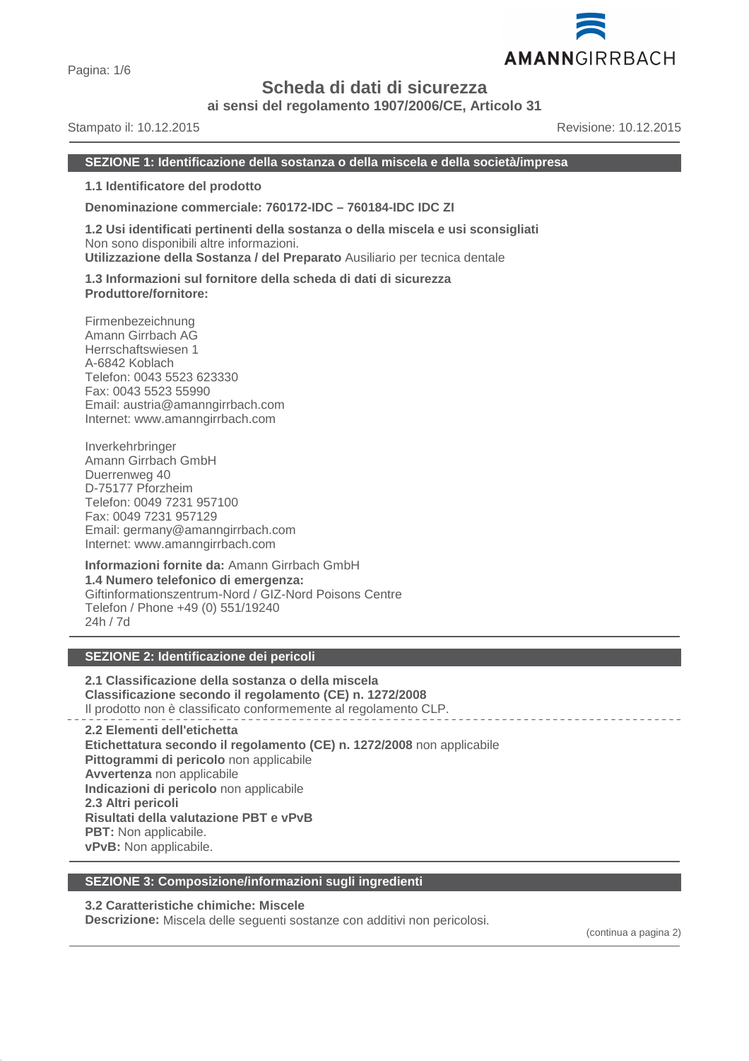

**ai sensi del regolamento 1907/2006/CE, Articolo 31**

Stampato il: 10.12.2015 Revisione: 10.12.2015

AMANNGIRRBACH

#### **SEZIONE 1: Identificazione della sostanza o della miscela e della società/impresa**

**1.1 Identificatore del prodotto**

**Denominazione commerciale: 760172-IDC – 760184-IDC IDC ZI**

**1.2 Usi identificati pertinenti della sostanza o della miscela e usi sconsigliati** Non sono disponibili altre informazioni. **Utilizzazione della Sostanza / del Preparato** Ausiliario per tecnica dentale

**1.3 Informazioni sul fornitore della scheda di dati di sicurezza Produttore/fornitore:**

Firmenbezeichnung Amann Girrbach AG Herrschaftswiesen 1 A-6842 Koblach Telefon: 0043 5523 623330 Fax: 0043 5523 55990 Email: austria@amanngirrbach.com Internet: www.amanngirrbach.com

Inverkehrbringer Amann Girrbach GmbH Duerrenweg 40 D-75177 Pforzheim Telefon: 0049 7231 957100 Fax: 0049 7231 957129 Email: germany@amanngirrbach.com Internet: www.amanngirrbach.com

**Informazioni fornite da:** Amann Girrbach GmbH **1.4 Numero telefonico di emergenza:** Giftinformationszentrum-Nord / GIZ-Nord Poisons Centre Telefon / Phone +49 (0) 551/19240 24h / 7d

# **SEZIONE 2: Identificazione dei pericoli**

**2.1 Classificazione della sostanza o della miscela Classificazione secondo il regolamento (CE) n. 1272/2008** Il prodotto non è classificato conformemente al regolamento CLP.

**2.2 Elementi dell'etichetta Etichettatura secondo il regolamento (CE) n. 1272/2008** non applicabile **Pittogrammi di pericolo** non applicabile **Avvertenza** non applicabile **Indicazioni di pericolo** non applicabile **2.3 Altri pericoli Risultati della valutazione PBT e vPvB PBT:** Non applicabile. **vPvB:** Non applicabile.

#### **SEZIONE 3: Composizione/informazioni sugli ingredienti**

#### **3.2 Caratteristiche chimiche: Miscele**

**Descrizione:** Miscela delle seguenti sostanze con additivi non pericolosi.

(continua a pagina 2)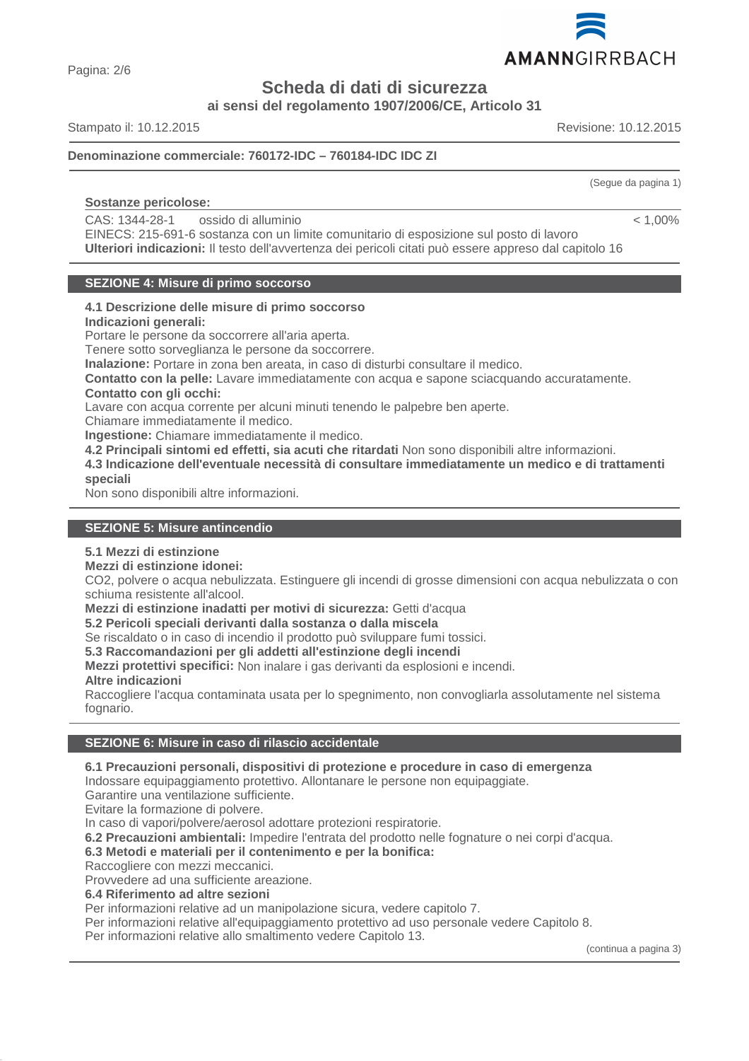

Pagina: 2/6

**Scheda di dati di sicurezza**

**ai sensi del regolamento 1907/2006/CE, Articolo 31**

Stampato il: 10.12.2015 Revisione: 10.12.2015

(Segue da pagina 1)

 $< 1,00\%$ 

# **Denominazione commerciale: 760172-IDC – 760184-IDC IDC ZI**

# **Sostanze pericolose:**

CAS: 1344-28-1 ossido di alluminio

EINECS: 215-691-6 sostanza con un limite comunitario di esposizione sul posto di lavoro **Ulteriori indicazioni:** Il testo dell'avvertenza dei pericoli citati può essere appreso dal capitolo 16

# **SEZIONE 4: Misure di primo soccorso**

#### **4.1 Descrizione delle misure di primo soccorso Indicazioni generali:**

Portare le persone da soccorrere all'aria aperta.

Tenere sotto sorveglianza le persone da soccorrere.

**Inalazione:** Portare in zona ben areata, in caso di disturbi consultare il medico.

**Contatto con la pelle:** Lavare immediatamente con acqua e sapone sciacquando accuratamente. **Contatto con gli occhi:**

Lavare con acqua corrente per alcuni minuti tenendo le palpebre ben aperte.

Chiamare immediatamente il medico. **Ingestione:** Chiamare immediatamente il medico.

**4.2 Principali sintomi ed effetti, sia acuti che ritardati** Non sono disponibili altre informazioni.

**4.3 Indicazione dell'eventuale necessità di consultare immediatamente un medico e di trattamenti speciali**

Non sono disponibili altre informazioni.

# **SEZIONE 5: Misure antincendio**

# **5.1 Mezzi di estinzione**

# **Mezzi di estinzione idonei:**

CO2, polvere o acqua nebulizzata. Estinguere gli incendi di grosse dimensioni con acqua nebulizzata o con schiuma resistente all'alcool.

**Mezzi di estinzione inadatti per motivi di sicurezza:** Getti d'acqua

**5.2 Pericoli speciali derivanti dalla sostanza o dalla miscela**

Se riscaldato o in caso di incendio il prodotto può sviluppare fumi tossici.

**5.3 Raccomandazioni per gli addetti all'estinzione degli incendi**

**Mezzi protettivi specifici:** Non inalare i gas derivanti da esplosioni e incendi.

# **Altre indicazioni**

Raccogliere l'acqua contaminata usata per lo spegnimento, non convogliarla assolutamente nel sistema fognario.

# **SEZIONE 6: Misure in caso di rilascio accidentale**

# **6.1 Precauzioni personali, dispositivi di protezione e procedure in caso di emergenza**

Indossare equipaggiamento protettivo. Allontanare le persone non equipaggiate.

Garantire una ventilazione sufficiente.

Evitare la formazione di polvere.

In caso di vapori/polvere/aerosol adottare protezioni respiratorie.

**6.2 Precauzioni ambientali:** Impedire l'entrata del prodotto nelle fognature o nei corpi d'acqua.

# **6.3 Metodi e materiali per il contenimento e per la bonifica:**

Raccogliere con mezzi meccanici.

Provvedere ad una sufficiente areazione.

**6.4 Riferimento ad altre sezioni**

Per informazioni relative ad un manipolazione sicura, vedere capitolo 7.

Per informazioni relative all'equipaggiamento protettivo ad uso personale vedere Capitolo 8.

Per informazioni relative allo smaltimento vedere Capitolo 13.

(continua a pagina 3)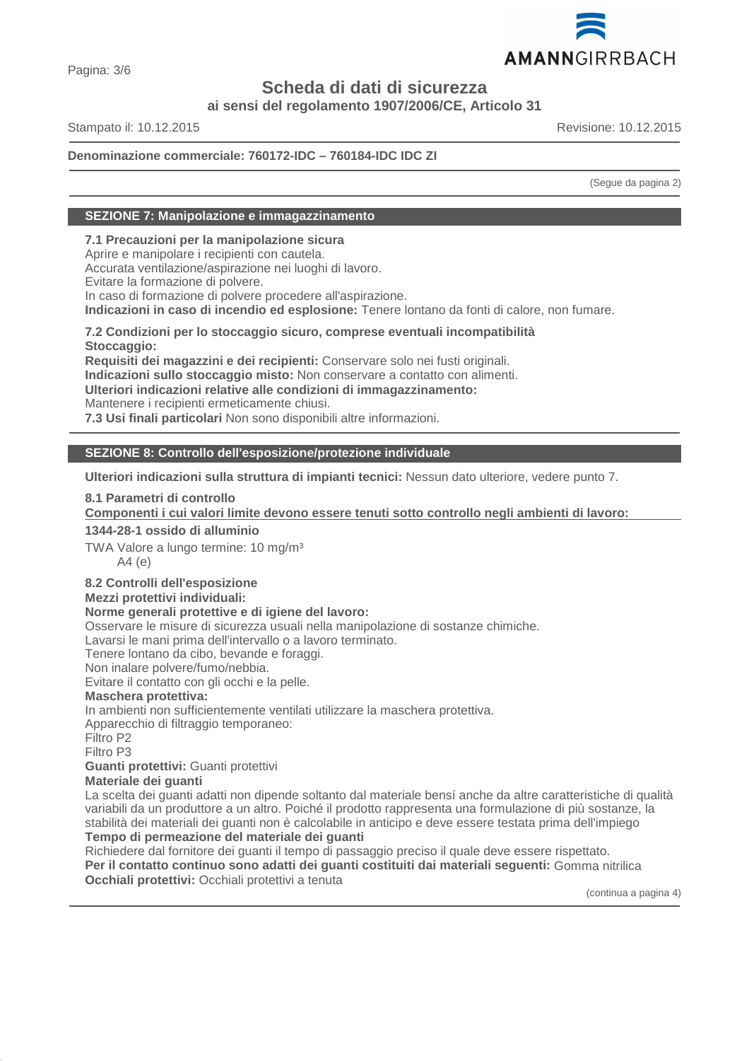

**ai sensi del regolamento 1907/2006/CE, Articolo 31**

Stampato il: 10.12.2015 Revisione: 10.12.2015

# **Denominazione commerciale: 760172-IDC – 760184-IDC IDC ZI**

(Segue da pagina 2)

# **SEZIONE 7: Manipolazione e immagazzinamento**

**7.1 Precauzioni per la manipolazione sicura**

Aprire e manipolare i recipienti con cautela.

Accurata ventilazione/aspirazione nei luoghi di lavoro.

Evitare la formazione di polvere.

In caso di formazione di polvere procedere all'aspirazione.

**Indicazioni in caso di incendio ed esplosione:** Tenere lontano da fonti di calore, non fumare.

**7.2 Condizioni per lo stoccaggio sicuro, comprese eventuali incompatibilità Stoccaggio:**

**Requisiti dei magazzini e dei recipienti:** Conservare solo nei fusti originali.

**Indicazioni sullo stoccaggio misto:** Non conservare a contatto con alimenti.

**Ulteriori indicazioni relative alle condizioni di immagazzinamento:**

Mantenere i recipienti ermeticamente chiusi.

**7.3 Usi finali particolari** Non sono disponibili altre informazioni.

# **SEZIONE 8: Controllo dell'esposizione/protezione individuale**

**Ulteriori indicazioni sulla struttura di impianti tecnici:** Nessun dato ulteriore, vedere punto 7.

# **8.1 Parametri di controllo**

**Componenti i cui valori limite devono essere tenuti sotto controllo negli ambienti di lavoro:** 

#### **1344-28-1 ossido di alluminio**

TWA Valore a lungo termine: 10 mg/m<sup>3</sup> A4 (e)

# **8.2 Controlli dell'esposizione**

# **Mezzi protettivi individuali:**

# **Norme generali protettive e di igiene del lavoro:**

Osservare le misure di sicurezza usuali nella manipolazione di sostanze chimiche.

Lavarsi le mani prima dell'intervallo o a lavoro terminato.

Tenere lontano da cibo, bevande e foraggi.

Non inalare polvere/fumo/nebbia.

Evitare il contatto con gli occhi e la pelle.

# **Maschera protettiva:**

In ambienti non sufficientemente ventilati utilizzare la maschera protettiva.

Apparecchio di filtraggio temporaneo:

Filtro P2

Filtro P3

# **Guanti protettivi:** Guanti protettivi

**Materiale dei guanti**

La scelta dei guanti adatti non dipende soltanto dal materiale bensí anche da altre caratteristiche di qualità variabili da un produttore a un altro. Poiché il prodotto rappresenta una formulazione di più sostanze, la stabilità dei materiali dei guanti non è calcolabile in anticipo e deve essere testata prima dell'impiego

# **Tempo di permeazione del materiale dei guanti**

Richiedere dal fornitore dei guanti il tempo di passaggio preciso il quale deve essere rispettato. **Per il contatto continuo sono adatti dei guanti costituiti dai materiali seguenti:** Gomma nitrilica **Occhiali protettivi:** Occhiali protettivi a tenuta

(continua a pagina 4)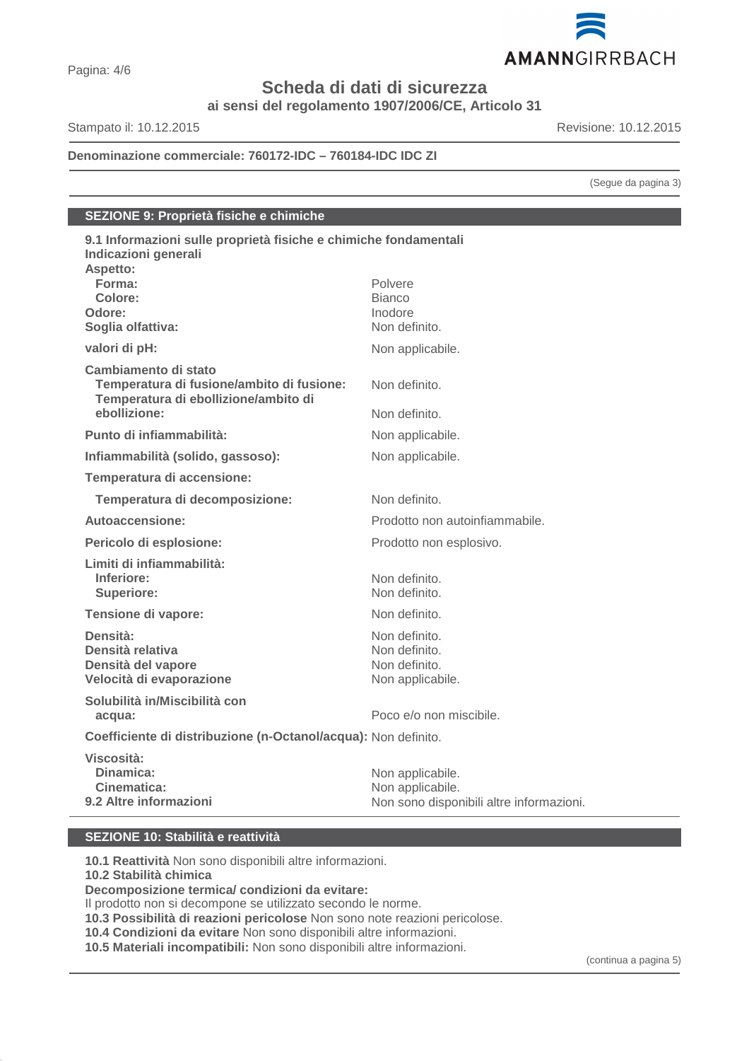

**ai sensi del regolamento 1907/2006/CE, Articolo 31**

Stampato il: 10.12.2015 Revisione: 10.12.2015

**Denominazione commerciale: 760172-IDC – 760184-IDC IDC ZI**

(Segue da pagina 3)

# **SEZIONE 9: Proprietà fisiche e chimiche**

| 9.1 Informazioni sulle proprietà fisiche e chimiche fondamentali<br>Indicazioni generali                  |                                                                                  |
|-----------------------------------------------------------------------------------------------------------|----------------------------------------------------------------------------------|
| Aspetto:                                                                                                  |                                                                                  |
| Forma:                                                                                                    | Polvere                                                                          |
| Colore:                                                                                                   | <b>Bianco</b>                                                                    |
| Odore:                                                                                                    | Inodore                                                                          |
| Soglia olfattiva:                                                                                         | Non definito.                                                                    |
| valori di pH:                                                                                             | Non applicabile.                                                                 |
| Cambiamento di stato<br>Temperatura di fusione/ambito di fusione:<br>Temperatura di ebollizione/ambito di | Non definito.                                                                    |
| ebollizione:                                                                                              | Non definito.                                                                    |
| Punto di infiammabilità:                                                                                  | Non applicabile.                                                                 |
| Infiammabilità (solido, gassoso):                                                                         | Non applicabile.                                                                 |
| Temperatura di accensione:                                                                                |                                                                                  |
| Temperatura di decomposizione:                                                                            | Non definito.                                                                    |
| Autoaccensione:                                                                                           | Prodotto non autoinfiammabile.                                                   |
| Pericolo di esplosione:                                                                                   | Prodotto non esplosivo.                                                          |
| Limiti di infiammabilità:<br>Inferiore:<br><b>Superiore:</b>                                              | Non definito.<br>Non definito.                                                   |
| Tensione di vapore:                                                                                       | Non definito.                                                                    |
| Densità:<br>Densità relativa<br>Densità del vapore<br>Velocità di evaporazione                            | Non definito.<br>Non definito.<br>Non definito.<br>Non applicabile.              |
| Solubilità in/Miscibilità con<br>acqua:                                                                   | Poco e/o non miscibile.                                                          |
| Coefficiente di distribuzione (n-Octanol/acqua): Non definito.                                            |                                                                                  |
| Viscosità:<br>Dinamica:<br>Cinematica:<br>9.2 Altre informazioni                                          | Non applicabile.<br>Non applicabile.<br>Non sono disponibili altre informazioni. |
|                                                                                                           |                                                                                  |

# **SEZIONE 10: Stabilità e reattività**

**10.1 Reattività** Non sono disponibili altre informazioni.

**10.2 Stabilità chimica**

**Decomposizione termica/ condizioni da evitare:**

Il prodotto non si decompone se utilizzato secondo le norme.

**10.3 Possibilità di reazioni pericolose** Non sono note reazioni pericolose.

**10.4 Condizioni da evitare** Non sono disponibili altre informazioni.

**10.5 Materiali incompatibili:** Non sono disponibili altre informazioni.

(continua a pagina 5)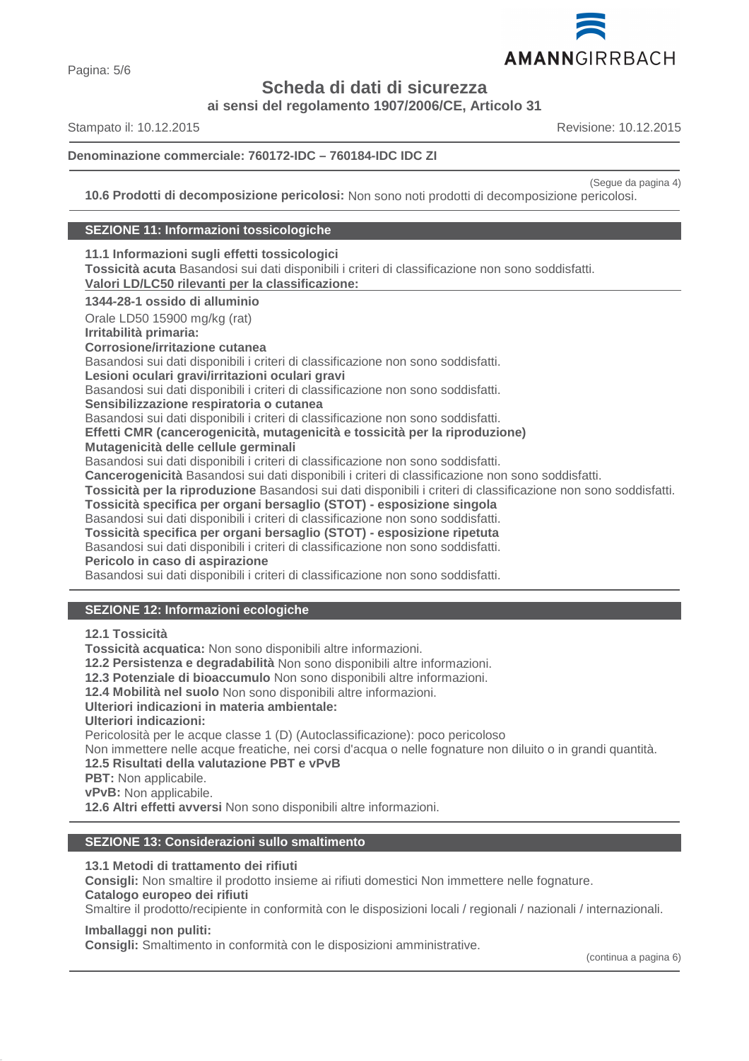

**ai sensi del regolamento 1907/2006/CE, Articolo 31**

Stampato il: 10.12.2015 Revisione: 10.12.2015

# **Denominazione commerciale: 760172-IDC – 760184-IDC IDC ZI**

(Segue da pagina 4)

**10.6 Prodotti di decomposizione pericolosi:** Non sono noti prodotti di decomposizione pericolosi.

# **SEZIONE 11: Informazioni tossicologiche**

**11.1 Informazioni sugli effetti tossicologici Tossicità acuta** Basandosi sui dati disponibili i criteri di classificazione non sono soddisfatti. **Valori LD/LC50 rilevanti per la classificazione: 1344-28-1 ossido di alluminio** Orale LD50 15900 mg/kg (rat) **Irritabilità primaria: Corrosione/irritazione cutanea** Basandosi sui dati disponibili i criteri di classificazione non sono soddisfatti. **Lesioni oculari gravi/irritazioni oculari gravi** Basandosi sui dati disponibili i criteri di classificazione non sono soddisfatti. **Sensibilizzazione respiratoria o cutanea** Basandosi sui dati disponibili i criteri di classificazione non sono soddisfatti. **Effetti CMR (cancerogenicità, mutagenicità e tossicità per la riproduzione) Mutagenicità delle cellule germinali** Basandosi sui dati disponibili i criteri di classificazione non sono soddisfatti. **Cancerogenicità** Basandosi sui dati disponibili i criteri di classificazione non sono soddisfatti. **Tossicità per la riproduzione** Basandosi sui dati disponibili i criteri di classificazione non sono soddisfatti. **Tossicità specifica per organi bersaglio (STOT) - esposizione singola** Basandosi sui dati disponibili i criteri di classificazione non sono soddisfatti. **Tossicità specifica per organi bersaglio (STOT) - esposizione ripetuta** Basandosi sui dati disponibili i criteri di classificazione non sono soddisfatti. **Pericolo in caso di aspirazione** Basandosi sui dati disponibili i criteri di classificazione non sono soddisfatti.

# **SEZIONE 12: Informazioni ecologiche**

**12.1 Tossicità**

**Tossicità acquatica:** Non sono disponibili altre informazioni.

**12.2 Persistenza e degradabilità** Non sono disponibili altre informazioni.

**12.3 Potenziale di bioaccumulo** Non sono disponibili altre informazioni.

**12.4 Mobilità nel suolo** Non sono disponibili altre informazioni.

# **Ulteriori indicazioni in materia ambientale:**

**Ulteriori indicazioni:**

Pericolosità per le acque classe 1 (D) (Autoclassificazione): poco pericoloso

Non immettere nelle acque freatiche, nei corsi d'acqua o nelle fognature non diluito o in grandi quantità.

#### **12.5 Risultati della valutazione PBT e vPvB**

- **PBT:** Non applicabile.
- **vPvB:** Non applicabile.

**12.6 Altri effetti avversi** Non sono disponibili altre informazioni.

# **SEZIONE 13: Considerazioni sullo smaltimento**

#### **13.1 Metodi di trattamento dei rifiuti**

**Consigli:** Non smaltire il prodotto insieme ai rifiuti domestici Non immettere nelle fognature. **Catalogo europeo dei rifiuti**

Smaltire il prodotto/recipiente in conformità con le disposizioni locali / regionali / nazionali / internazionali.

# **Imballaggi non puliti:**

**Consigli:** Smaltimento in conformità con le disposizioni amministrative.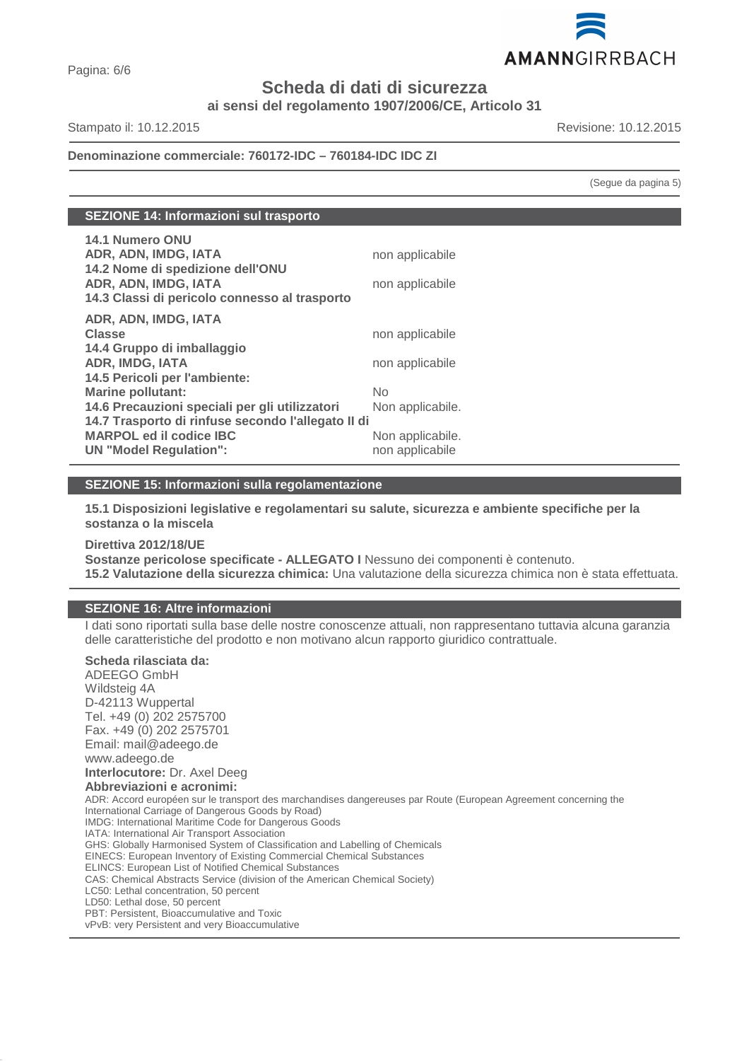

**ai sensi del regolamento 1907/2006/CE, Articolo 31**

Stampato il: 10.12.2015 Revisione: 10.12.2015

# **Denominazione commerciale: 760172-IDC – 760184-IDC IDC ZI**

(Segue da pagina 5)

| <b>14.1 Numero ONU</b><br>ADR, ADN, IMDG, IATA<br>14.2 Nome di spedizione dell'ONU<br>ADR, ADN, IMDG, IATA | non applicabile<br>non applicabile |
|------------------------------------------------------------------------------------------------------------|------------------------------------|
| 14.3 Classi di pericolo connesso al trasporto                                                              |                                    |
| ADR, ADN, IMDG, IATA                                                                                       |                                    |
| <b>Classe</b>                                                                                              | non applicabile                    |
| 14.4 Gruppo di imballaggio                                                                                 |                                    |
| <b>ADR, IMDG, IATA</b>                                                                                     | non applicabile                    |
| 14.5 Pericoli per l'ambiente:                                                                              |                                    |
| <b>Marine pollutant:</b>                                                                                   | No                                 |
| 14.6 Precauzioni speciali per gli utilizzatori                                                             | Non applicabile.                   |
| 14.7 Trasporto di rinfuse secondo l'allegato II di                                                         |                                    |
| <b>MARPOL ed il codice IBC</b>                                                                             | Non applicabile.                   |
| <b>UN "Model Regulation":</b>                                                                              | non applicabile                    |

# **SEZIONE 15: Informazioni sulla regolamentazione**

**15.1 Disposizioni legislative e regolamentari su salute, sicurezza e ambiente specifiche per la sostanza o la miscela**

**Direttiva 2012/18/UE Sostanze pericolose specificate - ALLEGATO I** Nessuno dei componenti è contenuto. **15.2 Valutazione della sicurezza chimica:** Una valutazione della sicurezza chimica non è stata effettuata.

# **SEZIONE 16: Altre informazioni**

I dati sono riportati sulla base delle nostre conoscenze attuali, non rappresentano tuttavia alcuna garanzia delle caratteristiche del prodotto e non motivano alcun rapporto giuridico contrattuale.

# **Scheda rilasciata da:**

ADEEGO GmbH Wildsteig 4A D-42113 Wuppertal Tel. +49 (0) 202 2575700 Fax. +49 (0) 202 2575701 Email: mail@adeego.de www.adeego.de **Interlocutore:** Dr. Axel Deeg **Abbreviazioni e acronimi:** ADR: Accord européen sur le transport des marchandises dangereuses par Route (European Agreement concerning the International Carriage of Dangerous Goods by Road) IMDG: International Maritime Code for Dangerous Goods IATA: International Air Transport Association GHS: Globally Harmonised System of Classification and Labelling of Chemicals EINECS: European Inventory of Existing Commercial Chemical Substances ELINCS: European List of Notified Chemical Substances CAS: Chemical Abstracts Service (division of the American Chemical Society) LC50: Lethal concentration, 50 percent LD50: Lethal dose, 50 percent PBT: Persistent, Bioaccumulative and Toxic vPvB: very Persistent and very Bioaccumulative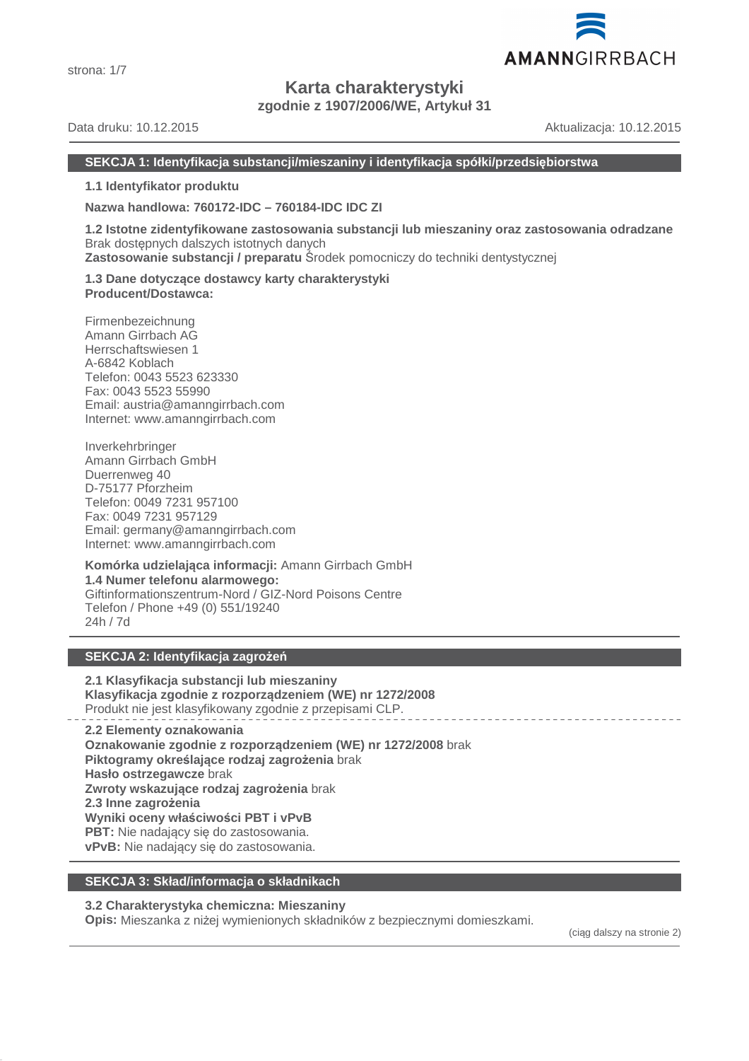

# **Karta charakterystyki**

**zgodnie z 1907/2006/WE, Artykuł 31**

Data druku: 10.12.2015 Aktualizacja: 10.12.2015

AMANNGIRRBACH

# **SEKCJA 1: Identyfikacja substancji/mieszaniny i identyfikacja spółki/przedsiębiorstwa**

**1.1 Identyfikator produktu**

**Nazwa handlowa: 760172-IDC – 760184-IDC IDC ZI**

**1.2 Istotne zidentyfikowane zastosowania substancji lub mieszaniny oraz zastosowania odradzane** Brak dostępnych dalszych istotnych danych **Zastosowanie substancji / preparatu** Środek pomocniczy do techniki dentystycznej

**1.3 Dane dotyczące dostawcy karty charakterystyki Producent/Dostawca:**

Firmenbezeichnung Amann Girrbach AG Herrschaftswiesen 1 A-6842 Koblach Telefon: 0043 5523 623330 Fax: 0043 5523 55990 Email: austria@amanngirrbach.com Internet: www.amanngirrbach.com

Inverkehrbringer Amann Girrbach GmbH Duerrenweg 40 D-75177 Pforzheim Telefon: 0049 7231 957100 Fax: 0049 7231 957129 Email: germany@amanngirrbach.com Internet: www.amanngirrbach.com

**Komórka udzielająca informacji:** Amann Girrbach GmbH **1.4 Numer telefonu alarmowego:** Giftinformationszentrum-Nord / GIZ-Nord Poisons Centre Telefon / Phone +49 (0) 551/19240 24h / 7d

# **SEKCJA 2: Identyfikacja zagrożeń**

**2.1 Klasyfikacja substancji lub mieszaniny Klasyfikacja zgodnie z rozporządzeniem (WE) nr 1272/2008** Produkt nie jest klasyfikowany zgodnie z przepisami CLP.

**2.2 Elementy oznakowania Oznakowanie zgodnie z rozporządzeniem (WE) nr 1272/2008** brak **Piktogramy określające rodzaj zagrożenia** brak **Hasło ostrzegawcze** brak **Zwroty wskazujące rodzaj zagrożenia** brak **2.3 Inne zagrożenia Wyniki oceny właściwości PBT i vPvB PBT:** Nie nadający się do zastosowania. **vPvB:** Nie nadający się do zastosowania.

# **SEKCJA 3: Skład/informacja o składnikach**

# **3.2 Charakterystyka chemiczna: Mieszaniny**

**Opis:** Mieszanka z niżej wymienionych składników z bezpiecznymi domieszkami.

(ciąg dalszy na stronie 2)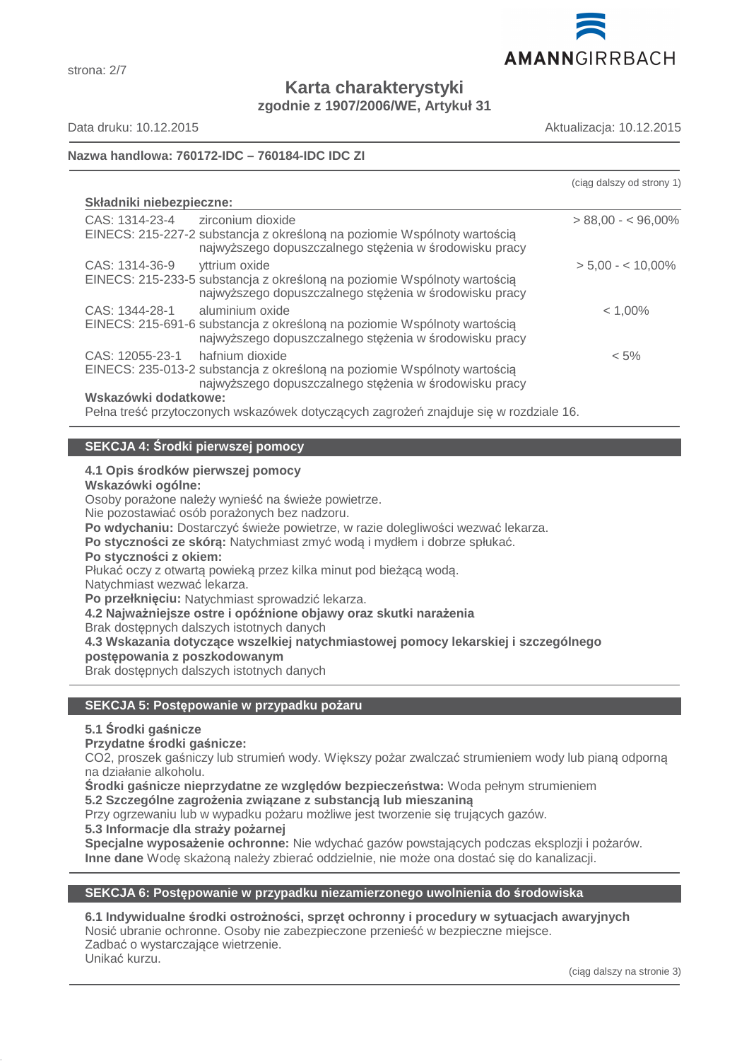

**Karta charakterystyki zgodnie z 1907/2006/WE, Artykuł 31**

strona: 2/7

Data druku: 10.12.2015 Aktualizacja: 10.12.2015

# **Nazwa handlowa: 760172-IDC – 760184-IDC IDC ZI**

|                                                                                                                                    | (ciag dalszy od strony 1) |
|------------------------------------------------------------------------------------------------------------------------------------|---------------------------|
| Składniki niebezpieczne:                                                                                                           |                           |
| CAS: 1314-23-4<br>zirconium dioxide                                                                                                | $> 88,00 - 596,00\%$      |
| EINECS: 215-227-2 substancja z określoną na poziomie Wspólnoty wartością<br>najwyższego dopuszczalnego stężenia w środowisku pracy |                           |
| CAS: 1314-36-9<br>yttrium oxide                                                                                                    | $> 5,00 - 10,00\%$        |
| EINECS: 215-233-5 substancja z określoną na poziomie Wspólnoty wartością<br>najwyższego dopuszczalnego stężenia w środowisku pracy |                           |
| CAS: 1344-28-1<br>aluminium oxide                                                                                                  | $< 1,00\%$                |
| EINECS: 215-691-6 substancja z określoną na poziomie Wspólnoty wartością<br>najwyższego dopuszczalnego stężenia w środowisku pracy |                           |
| CAS: 12055-23-1<br>hafnium dioxide                                                                                                 | $< 5\%$                   |
| EINECS: 235-013-2 substancja z określoną na poziomie Wspólnoty wartością                                                           |                           |
| najwyższego dopuszczalnego stężenia w środowisku pracy                                                                             |                           |
| Wskazówki dodatkowe:                                                                                                               |                           |
| Pełna treść przytoczonych wskazówek dotyczących zagrożeń znajduje się w rozdziale 16.                                              |                           |

# **SEKCJA 4: Środki pierwszej pomocy**

# **4.1 Opis środków pierwszej pomocy**

**Wskazówki ogólne:**

Osoby porażone należy wynieść na świeże powietrze.

Nie pozostawiać osób porażonych bez nadzoru.

**Po wdychaniu:** Dostarczyć świeże powietrze, w razie dolegliwości wezwać lekarza.

**Po styczności ze skórą:** Natychmiast zmyć wodą i mydłem i dobrze spłukać.

#### **Po styczności z okiem:**

Płukać oczy z otwartą powieką przez kilka minut pod bieżącą wodą.

Natychmiast wezwać lekarza.

**Po przełknięciu:** Natychmiast sprowadzić lekarza.

**4.2 Najważniejsze ostre i opóźnione objawy oraz skutki narażenia**

Brak dostępnych dalszych istotnych danych

**4.3 Wskazania dotyczące wszelkiej natychmiastowej pomocy lekarskiej i szczególnego postępowania z poszkodowanym**

Brak dostępnych dalszych istotnych danych

# **SEKCJA 5: Postępowanie w przypadku pożaru**

# **5.1 Środki gaśnicze**

**Przydatne środki gaśnicze:**

CO2, proszek gaśniczy lub strumień wody. Większy pożar zwalczać strumieniem wody lub pianą odporną na działanie alkoholu.

**Środki gaśnicze nieprzydatne ze względów bezpieczeństwa:** Woda pełnym strumieniem

**5.2 Szczególne zagrożenia związane z substancją lub mieszaniną**

Przy ogrzewaniu lub w wypadku pożaru możliwe jest tworzenie się trujących gazów.

**5.3 Informacje dla straży pożarnej**

**Specjalne wyposażenie ochronne:** Nie wdychać gazów powstających podczas eksplozji i pożarów. **Inne dane** Wodę skażoną należy zbierać oddzielnie, nie może ona dostać się do kanalizacji.

# **SEKCJA 6: Postępowanie w przypadku niezamierzonego uwolnienia do środowiska**

**6.1 Indywidualne środki ostrożności, sprzęt ochronny i procedury w sytuacjach awaryjnych** Nosić ubranie ochronne. Osoby nie zabezpieczone przenieść w bezpieczne miejsce. Zadbać o wystarczające wietrzenie. Unikać kurzu.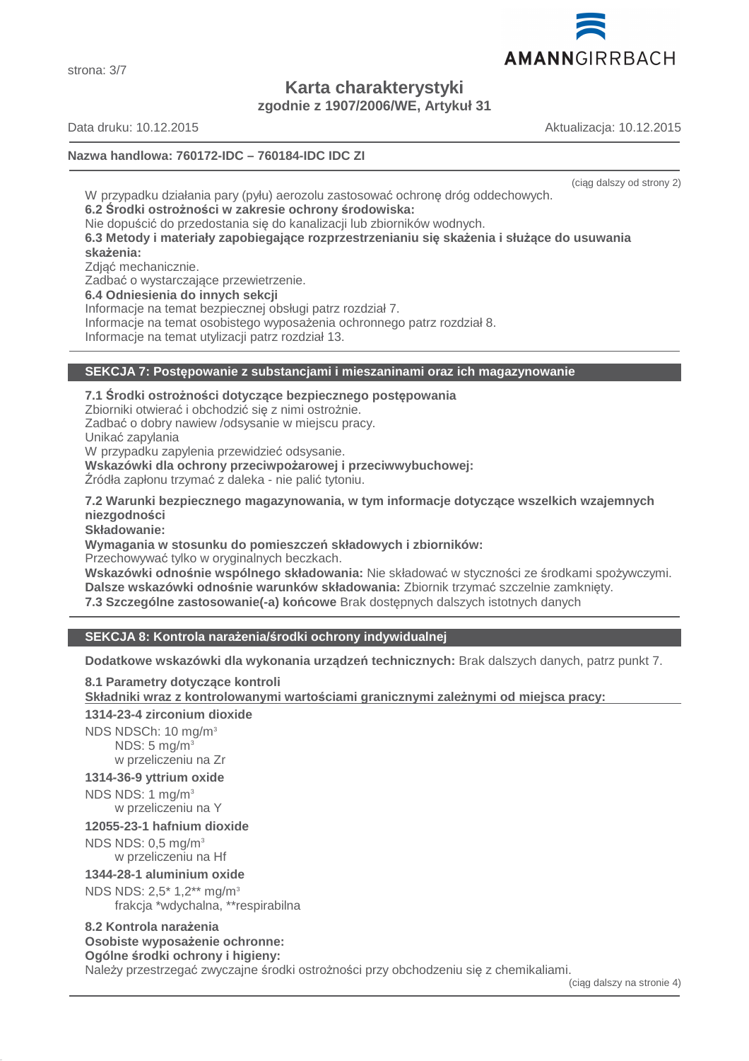AMANNGIRRBACH

**Karta charakterystyki zgodnie z 1907/2006/WE, Artykuł 31**

# **Nazwa handlowa: 760172-IDC – 760184-IDC IDC ZI**

(ciąg dalszy od strony 2)

W przypadku działania pary (pyłu) aerozolu zastosować ochronę dróg oddechowych. **6.2 Środki ostrożności w zakresie ochrony środowiska:**

Nie dopuścić do przedostania się do kanalizacji lub zbiorników wodnych.

**6.3 Metody i materiały zapobiegające rozprzestrzenianiu się skażenia i służące do usuwania skażenia:**

Zdjąć mechanicznie.

Zadbać o wystarczające przewietrzenie.

**6.4 Odniesienia do innych sekcji**

Informacje na temat bezpiecznej obsługi patrz rozdział 7.

Informacje na temat osobistego wyposażenia ochronnego patrz rozdział 8.

Informacje na temat utylizacji patrz rozdział 13.

# **SEKCJA 7: Postępowanie z substancjami i mieszaninami oraz ich magazynowanie**

**7.1 Środki ostrożności dotyczące bezpiecznego postępowania** Zbiorniki otwierać i obchodzić się z nimi ostrożnie. Zadbać o dobry nawiew /odsysanie w miejscu pracy. Unikać zapylania W przypadku zapylenia przewidzieć odsysanie. **Wskazówki dla ochrony przeciwpożarowej i przeciwwybuchowej:** Źródła zapłonu trzymać z daleka - nie palić tytoniu.

**7.2 Warunki bezpiecznego magazynowania, w tym informacje dotyczące wszelkich wzajemnych niezgodności**

**Składowanie:**

**Wymagania w stosunku do pomieszczeń składowych i zbiorników:**

Przechowywać tylko w oryginalnych beczkach.

**Wskazówki odnośnie wspólnego składowania:** Nie składować w styczności ze środkami spożywczymi. **Dalsze wskazówki odnośnie warunków składowania:** Zbiornik trzymać szczelnie zamknięty. **7.3 Szczególne zastosowanie(-a) końcowe** Brak dostępnych dalszych istotnych danych

# **SEKCJA 8: Kontrola narażenia/środki ochrony indywidualnej**

**Dodatkowe wskazówki dla wykonania urządzeń technicznych:** Brak dalszych danych, patrz punkt 7.

**8.1 Parametry dotyczące kontroli Składniki wraz z kontrolowanymi warto ściami granicznymi zale żnymi od miejsca pracy: 1314-23-4 zirconium dioxide**

NDS NDSCh: 10 mg/m<sup>3</sup>  $NDS: 5$  mg/m<sup>3</sup> w przeliczeniu na Zr

# **1314-36-9 yttrium oxide**

NDS NDS: 1 mg/m<sup>3</sup>

w przeliczeniu na Y

**12055-23-1 hafnium dioxide**

NDS NDS: 0,5 mg/m<sup>3</sup> w przeliczeniu na Hf

# **1344-28-1 aluminium oxide**

NDS NDS: 2,5\* 1,2\*\* mg/m<sup>3</sup>

frakcja \*wdychalna, \*\*respirabilna

#### **8.2 Kontrola narażenia Osobiste wyposażenie ochronne:**

**Ogólne środki ochrony i higieny:**

Należy przestrzegać zwyczajne środki ostrożności przy obchodzeniu się z chemikaliami.



Data druku: 10.12.2015 Aktualizacja: 10.12.2015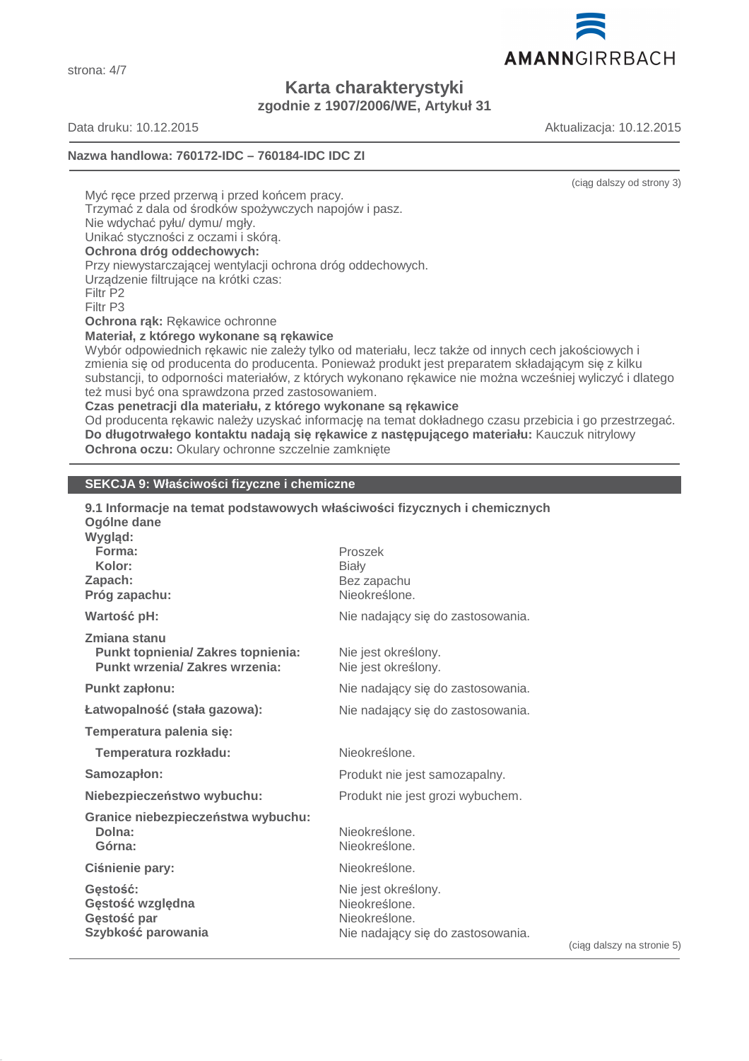AMANNGIRRBACH

**Karta charakterystyki zgodnie z 1907/2006/WE, Artykuł 31**

strona: 4/7

Data druku: 10.12.2015 Aktualizacja: 10.12.2015

# **Nazwa handlowa: 760172-IDC – 760184-IDC IDC ZI**

(ciąg dalszy od strony 3)

Myć rece przed przerwa i przed końcem pracy.

Trzymać z dala od środków spożywczych napojów i pasz.

Nie wdychać pyłu/ dymu/ mgły.

Unikać styczności z oczami i skórą.

# **Ochrona dróg oddechowych:**

Przy niewystarczającej wentylacji ochrona dróg oddechowych.

Urządzenie filtrujące na krótki czas:

Filtr P2

Filtr P3

**Ochrona rąk:** Rękawice ochronne

**Materiał, z którego wykonane są rękawice**

Wybór odpowiednich rękawic nie zależy tylko od materiału, lecz także od innych cech jakościowych i zmienia się od producenta do producenta. Ponieważ produkt jest preparatem składającym się z kilku substancji, to odporności materiałów, z których wykonano rękawice nie można wcześniej wyliczyć i dlatego też musi być ona sprawdzona przed zastosowaniem.

**Czas penetracji dla materiału, z którego wykonane są rękawice**

Od producenta rękawic należy uzyskać informację na temat dokładnego czasu przebicia i go przestrzegać. **Do długotrwałego kontaktu nadają się rękawice z następującego materiału:** Kauczuk nitrylowy **Ochrona oczu:** Okulary ochronne szczelnie zamknięte

# **SEKCJA 9: Właściwości fizyczne i chemiczne**

| 9.1 Informacje na temat podstawowych właściwości fizycznych i chemicznych<br>Ogólne dane<br>Wygląd: |                                                                                                         |
|-----------------------------------------------------------------------------------------------------|---------------------------------------------------------------------------------------------------------|
| Forma:<br>Kolor:                                                                                    | Proszek                                                                                                 |
| Zapach:                                                                                             | <b>Biały</b><br>Bez zapachu                                                                             |
| Próg zapachu:                                                                                       | Nieokreślone.                                                                                           |
| Wartość pH:                                                                                         | Nie nadający się do zastosowania.                                                                       |
| Zmiana stanu<br><b>Punkt topnienia/ Zakres topnienia:</b><br><b>Punkt wrzenia/ Zakres wrzenia:</b>  | Nie jest określony.<br>Nie jest określony.                                                              |
| Punkt zapłonu:                                                                                      | Nie nadający się do zastosowania.                                                                       |
| Łatwopalność (stała gazowa):                                                                        | Nie nadający się do zastosowania.                                                                       |
| Temperatura palenia się:                                                                            |                                                                                                         |
| Temperatura rozkładu:                                                                               | Nieokreślone.                                                                                           |
| Samozapłon:                                                                                         | Produkt nie jest samozapalny.                                                                           |
| Niebezpieczeństwo wybuchu:                                                                          | Produkt nie jest grozi wybuchem.                                                                        |
| Granice niebezpieczeństwa wybuchu:<br>Dolna:<br>Górna:                                              | Nieokreślone.<br>Nieokreślone.                                                                          |
| Ciśnienie pary:                                                                                     | Nieokreślone.                                                                                           |
| Gestość:<br>Gęstość względna<br>Gęstość par<br>Szybkość parowania                                   | Nie jest określony.<br>Nieokreślone.<br>Nieokreślone.<br>Nie nadający się do zastosowania.<br>(ciag dal |

(ciąg dalszy na stronie 5)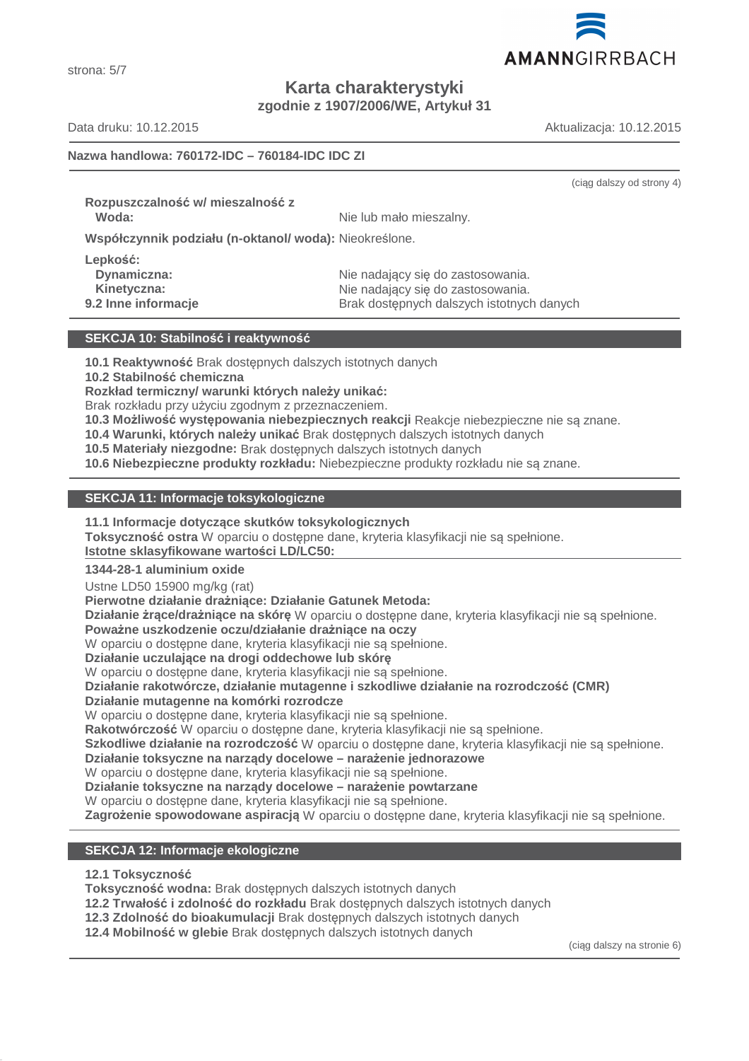

strona: 5/7

**Karta charakterystyki**

**zgodnie z 1907/2006/WE, Artykuł 31**

Data druku: 10.12.2015 Aktualizacja: 10.12.2015

(ciąg dalszy od strony 4)

# **Nazwa handlowa: 760172-IDC – 760184-IDC IDC ZI**

**Rozpuszczalność w/ mieszalność z**

**Woda:** Nie lub mało mieszalny.

**Współczynnik podziału (n-oktanol/ woda):** Nieokreślone.

**Lepkość:**

Dynamiczna: **Nie nadający się do zastosowania.** Nie nadający się do zastosowania. **Kinetyczna:** Nie nadający się do zastosowania. **9.2 Inne informacje Brak dostępnych dalszych istotnych danych** 

# **SEKCJA 10: Stabilność i reaktywność**

**10.1 Reaktywność** Brak dostępnych dalszych istotnych danych

**10.2 Stabilność chemiczna**

**Rozkład termiczny/ warunki których należy unikać:**

Brak rozkładu przy użyciu zgodnym z przeznaczeniem.

**10.3 Możliwość występowania niebezpiecznych reakcji** Reakcje niebezpieczne nie są znane.

**10.4 Warunki, których należy unikać** Brak dostępnych dalszych istotnych danych

**10.5 Materiały niezgodne:** Brak dostępnych dalszych istotnych danych

**10.6 Niebezpieczne produkty rozkładu:** Niebezpieczne produkty rozkładu nie są znane.

# **SEKCJA 11: Informacje toksykologiczne**

**11.1 Informacje dotyczące skutków toksykologicznych**

**Toksyczność ostra** W oparciu o dostępne dane, kryteria klasyfikacji nie są spełnione.

**Istotne sklasyfikowane wartości LD/LC50:** 

# **1344-28-1 aluminium oxide**

Ustne LD50 15900 mg/kg (rat)

**Pierwotne działanie drażniące: Działanie Gatunek Metoda:**

**Działanie żrące/drażniące na skórę** W oparciu o dostępne dane, kryteria klasyfikacji nie są spełnione.

# **Poważne uszkodzenie oczu/działanie drażniące na oczy**

W oparciu o dostępne dane, kryteria klasyfikacji nie są spełnione.

**Działanie uczulające na drogi oddechowe lub skórę**

W oparciu o dostępne dane, kryteria klasyfikacji nie są spełnione.

**Działanie rakotwórcze, działanie mutagenne i szkodliwe działanie na rozrodczość (CMR)**

# **Działanie mutagenne na komórki rozrodcze**

W oparciu o dostępne dane, kryteria klasyfikacji nie są spełnione.

**Rakotwórczość** W oparciu o dostępne dane, kryteria klasyfikacji nie są spełnione.

**Szkodliwe działanie na rozrodczość** W oparciu o dostępne dane, kryteria klasyfikacji nie są spełnione.

**Działanie toksyczne na narządy docelowe – narażenie jednorazowe**

W oparciu o dostępne dane, kryteria klasyfikacji nie są spełnione.

**Działanie toksyczne na narządy docelowe – narażenie powtarzane**

W oparciu o dostępne dane, kryteria klasyfikacji nie są spełnione.

**Zagrożenie spowodowane aspiracją** W oparciu o dostępne dane, kryteria klasyfikacji nie są spełnione.

# **SEKCJA 12: Informacje ekologiczne**

**12.1 Toksyczność**

**Toksyczność wodna:** Brak dostępnych dalszych istotnych danych

**12.2 Trwałość i zdolność do rozkładu** Brak dostępnych dalszych istotnych danych

**12.3 Zdolność do bioakumulacji** Brak dostępnych dalszych istotnych danych

**12.4 Mobilność w glebie** Brak dostępnych dalszych istotnych danych

(ciąg dalszy na stronie 6)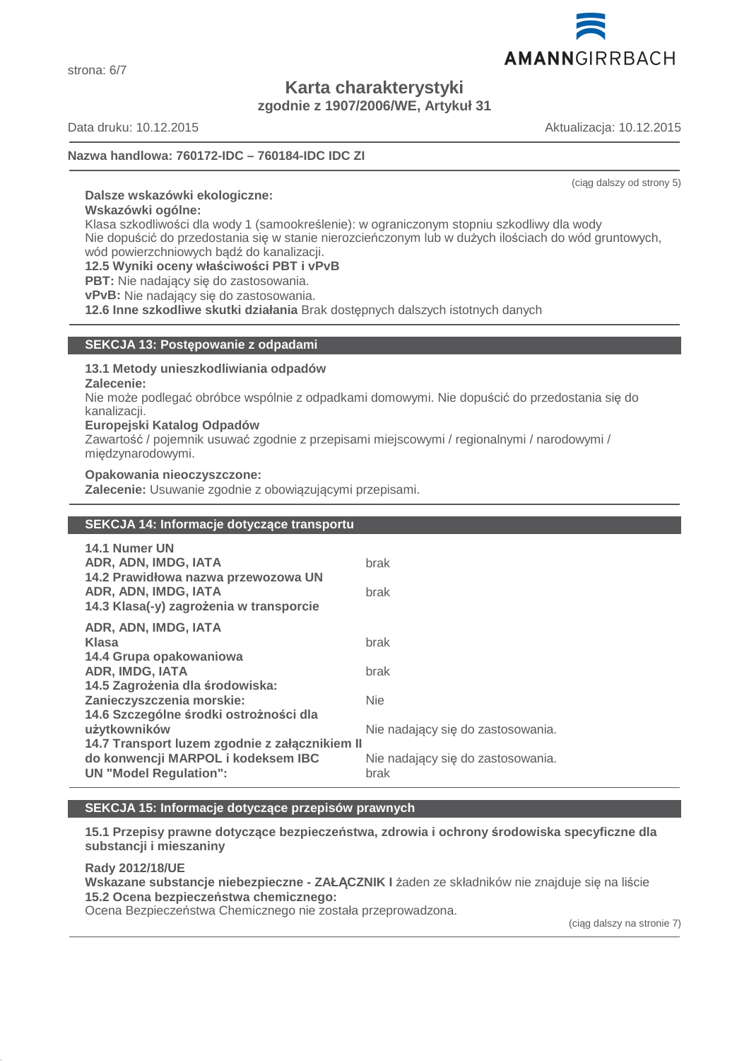

**Karta charakterystyki zgodnie z 1907/2006/WE, Artykuł 31**

Data druku: 10.12.2015 Aktualizacja: 10.12.2015

# **Nazwa handlowa: 760172-IDC – 760184-IDC IDC ZI**

(ciąg dalszy od strony 5)

#### **Dalsze wskazówki ekologiczne:**

**Wskazówki ogólne:**

Klasa szkodliwości dla wody 1 (samookreślenie): w ograniczonym stopniu szkodliwy dla wody Nie dopuścić do przedostania się w stanie nierozcieńczonym lub w dużych ilościach do wód gruntowych, wód powierzchniowych bądź do kanalizacji.

**12.5 Wyniki oceny właściwości PBT i vPvB**

**PBT:** Nie nadający się do zastosowania.

**vPvB:** Nie nadający się do zastosowania.

**12.6 Inne szkodliwe skutki działania** Brak dostępnych dalszych istotnych danych

# **SEKCJA 13: Postępowanie z odpadami**

#### **13.1 Metody unieszkodliwiania odpadów**

**Zalecenie:**

Nie może podlegać obróbce wspólnie z odpadkami domowymi. Nie dopuścić do przedostania się do kanalizacji.

#### **Europejski Katalog Odpadów**

Zawartość / pojemnik usuwać zgodnie z przepisami miejscowymi / regionalnymi / narodowymi / międzynarodowymi.

#### **Opakowania nieoczyszczone:**

**Zalecenie:** Usuwanie zgodnie z obowiązującymi przepisami.

# **SEKCJA 14: Informacje dotyczące transportu**

| 14.1 Numer UN<br>ADR, ADN, IMDG, IATA<br>14.2 Prawidłowa nazwa przewozowa UN | brak                                      |
|------------------------------------------------------------------------------|-------------------------------------------|
| ADR, ADN, IMDG, IATA<br>14.3 Klasa(-y) zagrożenia w transporcie              | brak                                      |
| ADR, ADN, IMDG, IATA                                                         |                                           |
| Klasa                                                                        | brak                                      |
| 14.4 Grupa opakowaniowa                                                      |                                           |
| <b>ADR, IMDG, IATA</b>                                                       | brak                                      |
| 14.5 Zagrożenia dla środowiska:                                              |                                           |
| Zanieczyszczenia morskie:                                                    | <b>Nie</b>                                |
| 14.6 Szczególne środki ostrożności dla                                       |                                           |
| użytkowników                                                                 | Nie nadający się do zastosowania.         |
| 14.7 Transport luzem zgodnie z załącznikiem II                               |                                           |
| do konwencji MARPOL i kodeksem IBC<br><b>UN "Model Regulation":</b>          | Nie nadający się do zastosowania.<br>brak |
|                                                                              |                                           |

# **SEKCJA 15: Informacje dotyczące przepisów prawnych**

**15.1 Przepisy prawne dotyczące bezpieczeństwa, zdrowia i ochrony środowiska specyficzne dla substancji i mieszaniny**

**Rady 2012/18/UE Wskazane substancje niebezpieczne - ZAŁĄCZNIK I** żaden ze składników nie znajduje się na liście **15.2 Ocena bezpieczeństwa chemicznego:**

Ocena Bezpieczeństwa Chemicznego nie została przeprowadzona.

(ciąg dalszy na stronie 7)

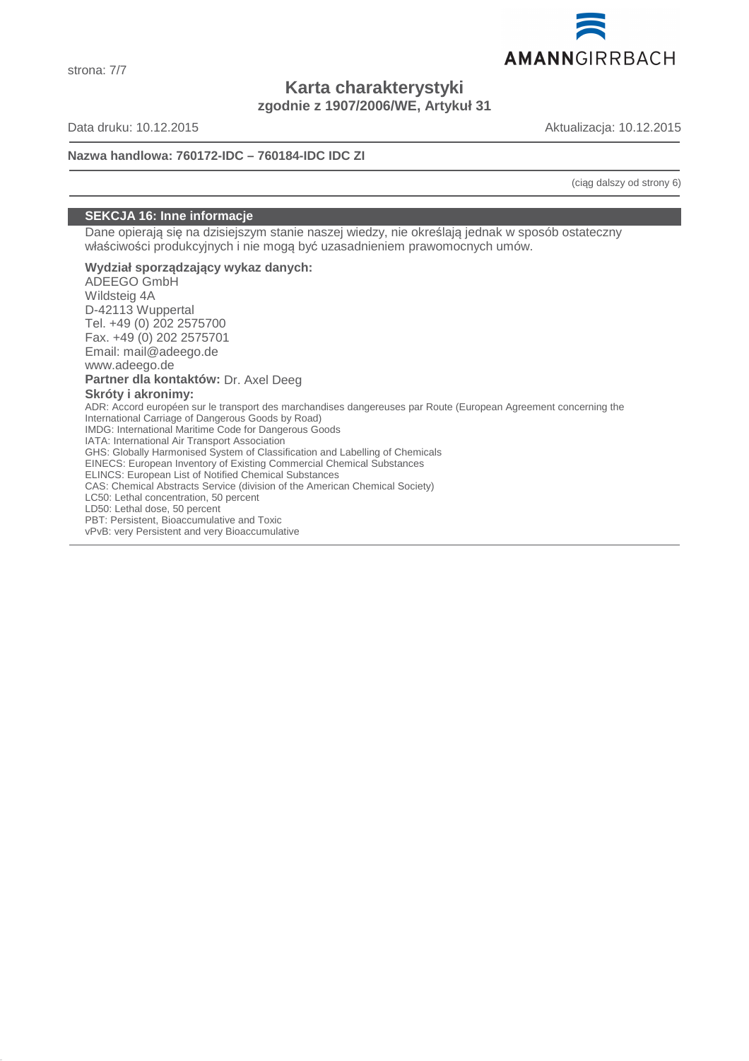

**Karta charakterystyki zgodnie z 1907/2006/WE, Artykuł 31**

Data druku: 10.12.2015 Aktualizacja: 10.12.2015

**Nazwa handlowa: 760172-IDC – 760184-IDC IDC ZI**

(ciąg dalszy od strony 6)

# **SEKCJA 16: Inne informacje**

Dane opierają się na dzisiejszym stanie naszej wiedzy, nie określają jednak w sposób ostateczny właściwości produkcyjnych i nie mogą być uzasadnieniem prawomocnych umów.

**Wydział sporządzający wykaz danych:** ADEEGO GmbH Wildsteig 4A D-42113 Wuppertal Tel. +49 (0) 202 2575700 Fax. +49 (0) 202 2575701 Email: mail@adeego.de www.adeego.de **Partner dla kontaktów:** Dr. Axel Deeg **Skróty i akronimy:** ADR: Accord européen sur le transport des marchandises dangereuses par Route (European Agreement concerning the International Carriage of Dangerous Goods by Road) IMDG: International Maritime Code for Dangerous Goods IATA: International Air Transport Association GHS: Globally Harmonised System of Classification and Labelling of Chemicals EINECS: European Inventory of Existing Commercial Chemical Substances ELINCS: European List of Notified Chemical Substances CAS: Chemical Abstracts Service (division of the American Chemical Society) LC50: Lethal concentration, 50 percent LD50: Lethal dose, 50 percent PBT: Persistent, Bioaccumulative and Toxic vPvB: very Persistent and very Bioaccumulative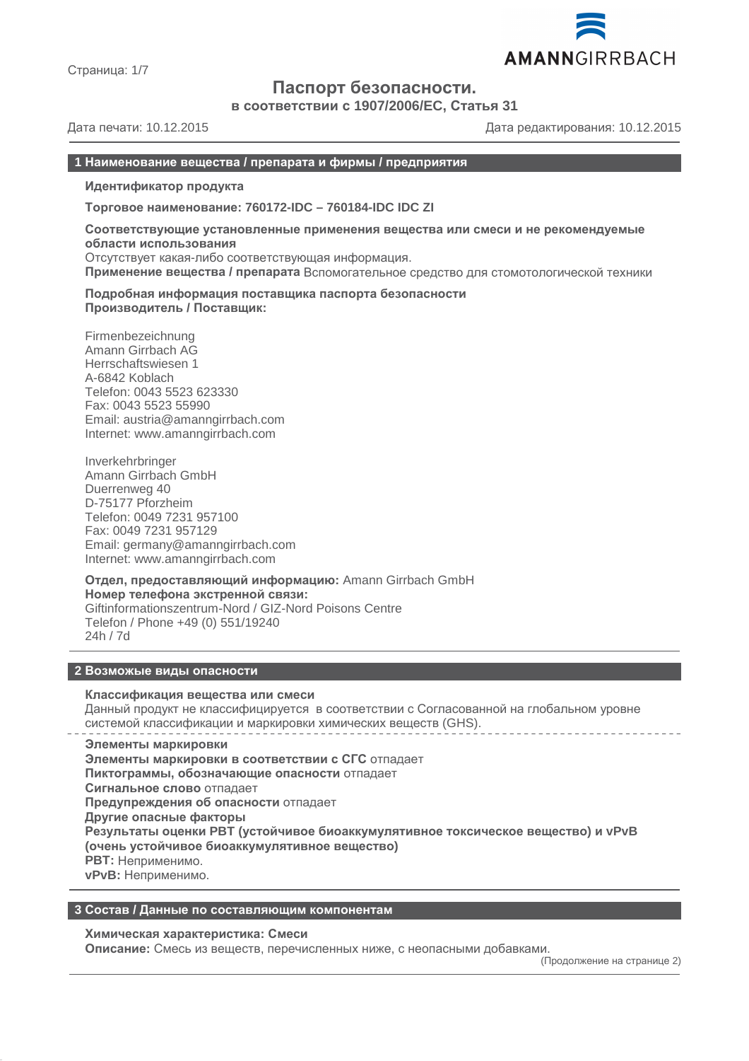

Страница: 1/7

# **Паспорт безопасности.**

**в соответствии с 1907/2006/EC, Статья 31**

Дата печати: 10.12.2015 Дата редактирования: 10.12.2015

# **1 Наименование вещества / препарата и фирмы / предприятия**

**Идентификатор продукта**

**Торговое наименование: 760172-IDC – 760184-IDC IDC ZI**

**Соответствующие установленные применения вещества или смеси и не рекомендуемые области использования** Отсутствует какая-либо соответствующая информация.

**Применение вещества / препарата** Вспомогательное средство для стомотологической техники

**Подробная информация поставщика паспорта безопасности Производитель / Поставщик:**

Firmenbezeichnung Amann Girrbach AG Herrschaftswiesen 1 A-6842 Koblach Telefon: 0043 5523 623330 Fax: 0043 5523 55990 Email: austria@amanngirrbach.com Internet: www.amanngirrbach.com

Inverkehrbringer Amann Girrbach GmbH Duerrenweg 40 D-75177 Pforzheim Telefon: 0049 7231 957100 Fax: 0049 7231 957129 Email: germany@amanngirrbach.com Internet: www.amanngirrbach.com

**Отдел, предоставляющий информацию:** Amann Girrbach GmbH **Номер телефона экстренной связи:** Giftinformationszentrum-Nord / GIZ-Nord Poisons Centre Telefon / Phone +49 (0) 551/19240 24h / 7d

#### **2 Возможые виды опасности**

#### **Классификация вещества или смеси**

Данный продукт не классифицируется в соответствии с Согласованной на глобальном уровне системой классификации и маркировки химических веществ (GHS).

**Элементы маркировки Элементы маркировки в соответствии с СГС** отпадает **Пиктограммы, обозначающие опасности** отпадает **Сигнальное слово** отпадает **Предупреждения об опасности** отпадает **Другие опасные факторы Результаты оценки PBT (устойчивое биоаккумулятивное токсическое вещество) и vPvB (очень устойчивое биоаккумулятивное вещество) PBT:** Неприменимо. **vPvB:** Неприменимо.

# **3 Состав / Данные по составляющим компонентам**

#### **Химическая характеристика: Смеси**

**Описание:** Смесь из веществ, перечисленных ниже, с неопасными добавками.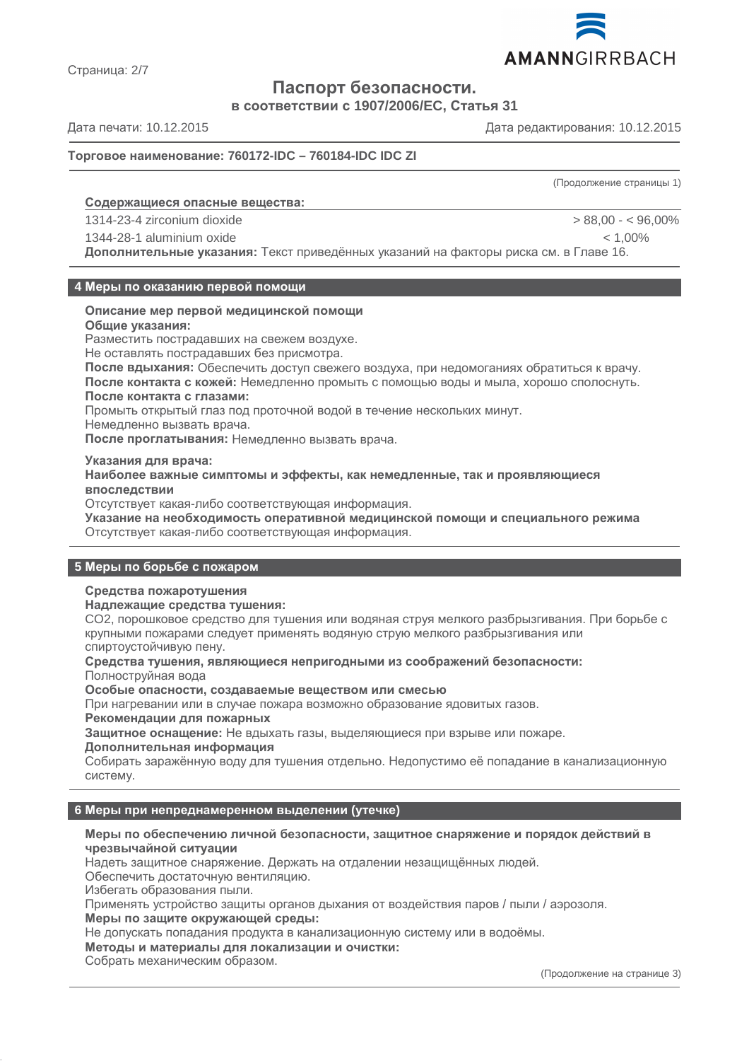

Страница: 2/7

# **Паспорт безопасности.**

**в соответствии с 1907/2006/EC, Статья 31**

Дата печати: 10.12.2015 Дата редактирования: 10.12.2015

# **Торговое наименование: 760172-IDC – 760184-IDC IDC ZI**

(Продолжение страницы 1)

# **Содержащиеся опасные вещества :**

1314-23-4 zirconium dioxide > 88,00 - < 96,00%

1344-28-1 aluminium oxide < 1,00%

**Дополнительные указания:** Текст приведённых указаний на факторы риска см. в Главе 16.

#### **4 Меры по оказанию первой помощи**

# **Описание мер первой медицинской помощи**

**Общие указания:**

Разместить пострадавших на свежем воздухе.

Не оставлять пострадавших без присмотра.

**После вдыхания:** Обеспечить доступ свежего воздуха, при недомоганиях обратиться к врачу. **После контакта с кожей:** Немедленно промыть с помощью воды и мыла, хорошо сполоснуть. **После контакта с глазами:**

Промыть открытый глаз под проточной водой в течение нескольких минут.

Немедленно вызвать врача.

**После проглатывания:** Немедленно вызвать врача.

**Указания для врача:**

**Наиболее важные симптомы и эффекты, как немедленные, так и проявляющиеся впоследствии**

Отсутствует какая-либо соответствующая информация.

**Указание на необходимость оперативной медицинской помощи и специального режима** Отсутствует какая-либо соответствующая информация.

# **5 Меры по борьбе с пожаром**

# **Средства пожаротушения**

**Надлежащие средства тушения:**

CO2, порошковое средство для тушения или водяная струя мелкого разбрызгивания. При борьбе с крупными пожарами следует применять водяную струю мелкого разбрызгивания или спиртоустойчивую пену.

**Средства тушения, являющиеся непригодными из соображений безопасности:** Полноструйная вода

**Особые опасности, создаваемые веществом или смесью**

При нагревании или в случае пожара возможно образование ядовитых газов.

**Рекомендации для пожарных**

**Защитное оснащение:** Не вдыхать газы, выделяющиеся при взрыве или пожаре.

#### **Дополнительная информация**

Собирать заражённую воду для тушения отдельно. Недопустимо её попадание в канализационную систему.

# **6 Меры при непреднамеренном выделении (утечке)**

# **Меры по обеспечению личной безопасности, защитное снаряжение и порядок действий в чрезвычайной ситуации**

Надеть защитное снаряжение. Держать на отдалении незащищённых людей.

Обеспечить достаточную вентиляцию.

Избегать образования пыли.

Применять устройство защиты органов дыхания от воздействия паров / пыли / аэрозоля.

**Меры по защите окружающей среды:**

Не допускать попадания продукта в канализационную систему или в водоёмы.

**Методы и материалы для локализации и очистки:**

Собрать механическим образом.

(Продолжение на странице 3)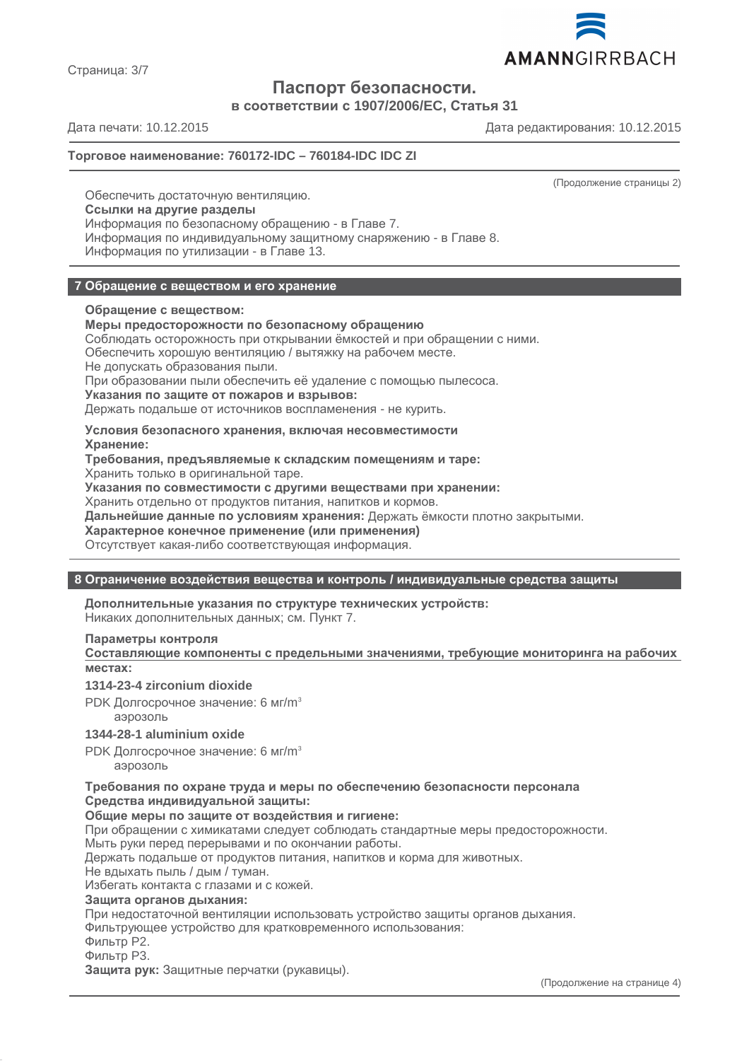

Страница: 3/7

# **Паспорт безопасности.**

**в соответствии с 1907/2006/EC, Статья 31**

Дата печати: 10.12.2015 Дата редактирования: 10.12.2015

# **Торговое наименование: 760172-IDC – 760184-IDC IDC ZI**

(Продолжение страницы 2)

Обеспечить достаточную вентиляцию. **Ссылки на другие разделы** Информация по безопасному обращению - в Главе 7. Информация по индивидуальному защитному снаряжению - в Главе 8. Информация по утилизации - в Главе 13.

# **7 Обращение с веществом и его хранение**

# **Обращение с веществом:**

#### **Меры предосторожности по безопасному обращению**

Соблюдать осторожность при открывании ёмкостей и при обращении с ними.

Обеспечить хорошую вентиляцию / вытяжку на рабочем месте.

Не допускать образования пыли.

При образовании пыли обеспечить её удаление с помощью пылесоса.

**Указания по защите от пожаров и взрывов:**

Держать подальше от источников воспламенения - не курить.

# **Условия безопасного хранения, включая несовместимости Хранение:**

**Требования, предъявляемые к складским помещениям и таре:**

Хранить только в оригинальной таре.

**Указания по совместимости с другими веществами при хранении:**

Хранить отдельно от продуктов питания, напитков и кормов.

**Дальнейшие данные по условиям хранения:** Держать ёмкости плотно закрытыми.

**Характерное конечное применение (или применения)**

Отсутствует какая-либо соответствующая информация.

# **8 Ограничение воздействия вещества и контроль / индивидуальные средства защиты**

**Дополнительные указания по структуре технических устройств:** Никаких дополнительных данных; см. Пункт 7.

# **Параметры контроля**

**Составляющие компоненты с предельными значениями, требующие мониторинга на рабочих местах:**

# **1314-23-4 zirconium dioxide**

PDK Долгосрочное значение: 6 мг/m<sup>3</sup> аэрозоль

# **1344-28-1 aluminium oxide**

PDK Долгосрочное значение: 6 мг/m<sup>3</sup>

аэрозоль

**Требования по охране труда и меры по обеспечению безопасности персонала Средства индивидуальной защиты:**

#### **Общие меры по защите от воздействия и гигиене:**

При обращении с химикатами следует соблюдать стандартные меры предосторожности.

Мыть руки перед перерывами и по окончании работы.

Держать подальше от продуктов питания, напитков и корма для животных.

Не вдыхать пыль / дым / туман.

Избегать контакта с глазами и с кожей.

#### **Защита органов дыхания:**

При недостаточной вентиляции использовать устройство защиты органов дыхания.

Фильтрующее устройство для кратковременного использования:

Фильтр P2.

Фильтр P3.

**Защита рук:** Защитные перчатки (рукавицы).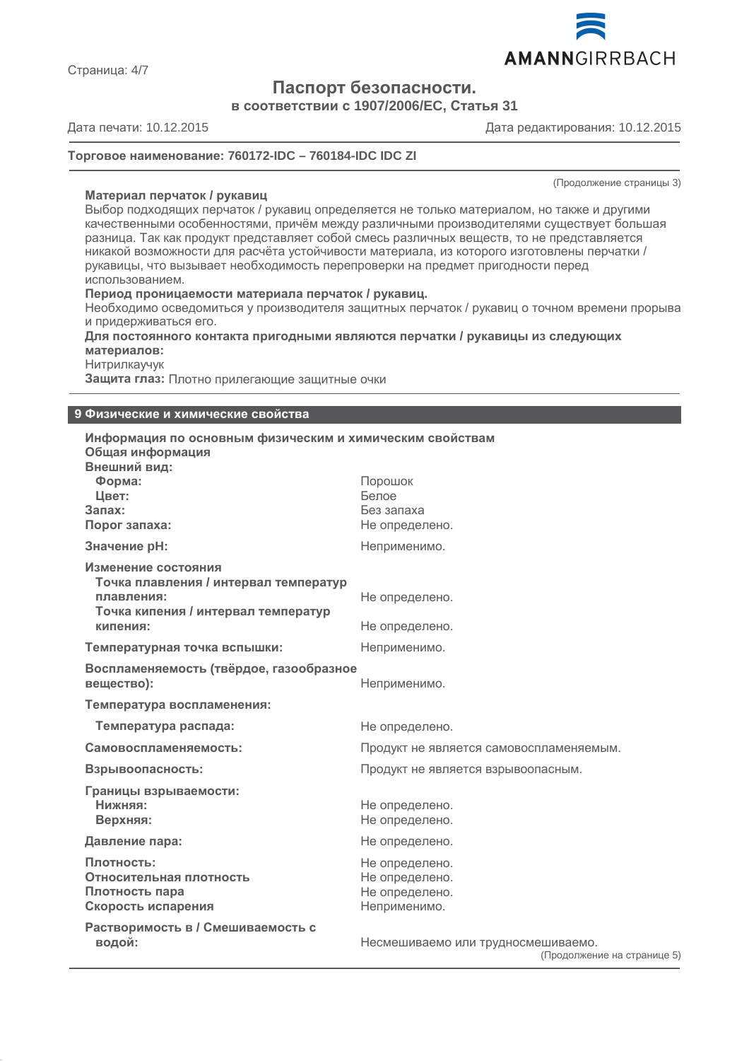

**Паспорт безопасности.**

**в соответствии с 1907/2006/EC, Статья 31**

# Дата печати: 10.12.2015 Дата редактирования: 10.12.2015

#### **Торговое наименование: 760172-IDC – 760184-IDC IDC ZI**

(Продолжение страницы 3)

# **Материал перчаток / рукавиц**

Выбор подходящих перчаток / рукавиц определяется не только материалом, но также и другими качественными особенностями, причём между различными производителями существует большая разница. Так как продукт представляет собой смесь различных веществ, то не представляется никакой возможности для расчёта устойчивости материала, из которого изготовлены перчатки / рукавицы, что вызывает необходимость перепроверки на предмет пригодности перед использованием.

#### **Период проницаемости материала перчаток / рукавиц.**

Необходимо осведомиться у производителя защитных перчаток / рукавиц о точном времени прорыва и придерживаться его.

**Для постоянного контакта пригодными являются перчатки / рукавицы из следующих материалов:**

Нитрилкаучук

**Защита глаз:** Плотно прилегающие защитные очки

#### **9 Физические и химические свойства**

| Информация по основным физическим и химическим свойствам<br>Общая информация<br>Внешний вид:                                  |                                                                    |
|-------------------------------------------------------------------------------------------------------------------------------|--------------------------------------------------------------------|
| Форма:<br>Цвет:<br>Запах:<br>Порог запаха:                                                                                    | Порошок<br>Белое<br>Без запаха<br>Не определено.                   |
| Значение рН:                                                                                                                  | Неприменимо.                                                       |
| Изменение состояния<br>Точка плавления / интервал температур<br>плавления:<br>Точка кипения / интервал температур<br>кипения: | Не определено.<br>Не определено.                                   |
| Температурная точка вспышки:                                                                                                  | Неприменимо.                                                       |
| Воспламеняемость (твёрдое, газообразное<br>вещество):                                                                         | Неприменимо.                                                       |
| Температура воспламенения:                                                                                                    |                                                                    |
| Температура распада:                                                                                                          | Не определено.                                                     |
| Самовоспламеняемость:                                                                                                         | Продукт не является самовоспламеняемым.                            |
| Взрывоопасность:                                                                                                              | Продукт не является взрывоопасным.                                 |
| Границы взрываемости:<br>Нижняя:<br>Верхняя:                                                                                  | Не определено.<br>Не определено.                                   |
| Давление пара:                                                                                                                | Не определено.                                                     |
| Плотность:<br>Относительная плотность<br>Плотность пара<br>Скорость испарения                                                 | Не определено.<br>Не определено.<br>Не определено.<br>Неприменимо. |
| Растворимость в / Смешиваемость с<br>водой:                                                                                   | Несмешиваемо или трудносмешиваемо.<br>(Продолжение на странице 5)  |

Страница: 4/7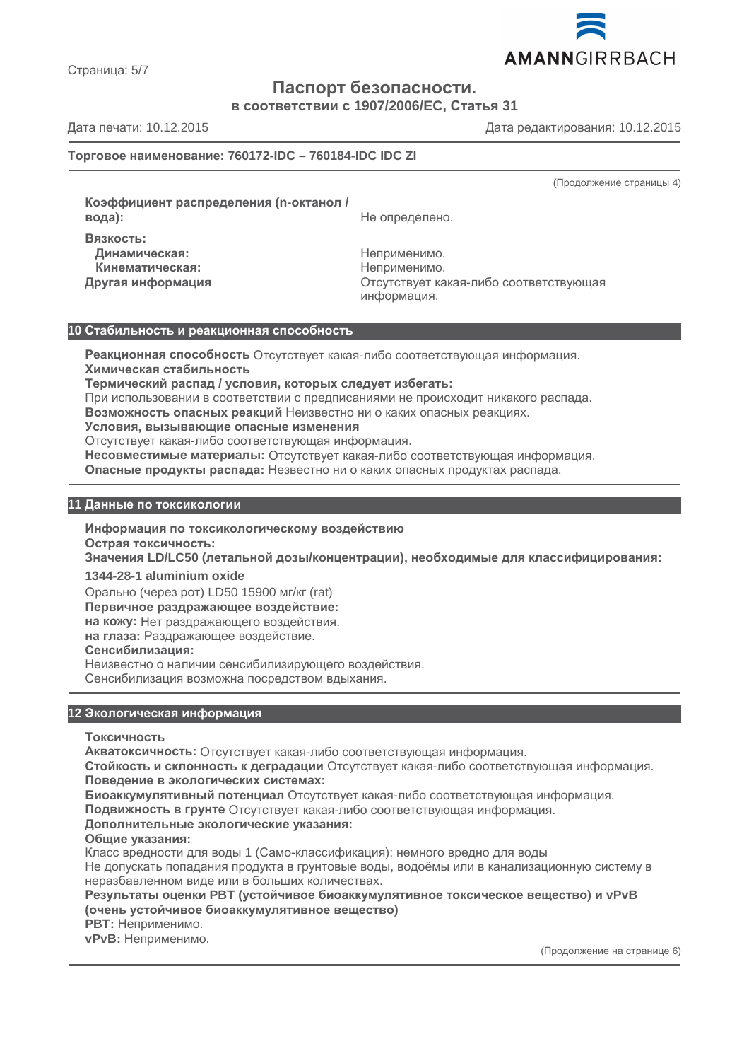

Страница: 5/7

# **Паспорт безопасности.**

**в соответствии с 1907/2006/EC, Статья 31**

Дата печати: 10.12.2015 Дата редактирования: 10.12.2015

# **Торговое наименование: 760172-IDC – 760184-IDC IDC ZI**

(Продолжение страницы 4)

**Коэффициент распределения (n-октанол / Вязкость: Динамическая:** Неприменимо.

**вода):** Не определено.

**Кинематическая:** Неприменимо.

**Другая информация** Отсутствует какая-либо соответствующая информация.

# **10 Стабильность и реакционная способность**

**Реакционная способность** Отсутствует какая-либо соответствующая информация. **Химическая стабильность**

**Термический распад / условия, которых следует избегать:**

При использовании в соответствии с предписаниями не происходит никакого распада.

**Возможность опасных реакций** Неизвестно ни о каких опасных реакциях.

**Условия, вызывающие опасные изменения**

Отсутствует какая-либо соответствующая информация.

**Несовместимые материалы:** Отсутствует какая-либо соответствующая информация.

**Опасные продукты распада:** Незвестно ни о каких опасных продуктах распада.

# **11 Данные по токсикологии**

**Информация по токсикологическому воздействию**

**Острая токсичность:**

**Значения LD/LC50 (летальной дозы/концентрации), необходимые для классифицирования :**

**1344-28-1 aluminium oxide**

Орально (через рот) LD50 15900 мг/кг (rat)

**Первичное раздражающее воздействие:**

**на кожу:** Нет раздражающего воздействия.

**на глаза:** Раздражающее воздействие.

# **Сенсибилизация:**

Неизвестно о наличии сенсибилизирующего воздействия.

Сенсибилизация возможна посредством вдыхания.

# **12 Экологическая информация**

**Токсичность**

**Акватоксичность:** Отсутствует какая-либо соответствующая информация.

**Стойкость и склонность к деградации** Отсутствует какая-либо соответствующая информация. **Поведение в экологических системах:**

**Биоаккумулятивный потенциал** Отсутствует какая-либо соответствующая информация.

**Подвижность в грунте** Отсутствует какая-либо соответствующая информация.

# **Дополнительные экологические указания:**

**Общие указания:**

Класс вредности для воды 1 (Само-классификация): немного вредно для воды Не допускать попадания продукта в грунтовые воды, водоёмы или в канализационную систему в неразбавленном виде или в больших количествах.

**Результаты оценки PBT (устойчивое биоаккумулятивное токсическое вещество) и vPvB (очень устойчивое биоаккумулятивное вещество)**

**PBT:** Неприменимо.

**vPvB:** Неприменимо.

(Продолжение на странице 6)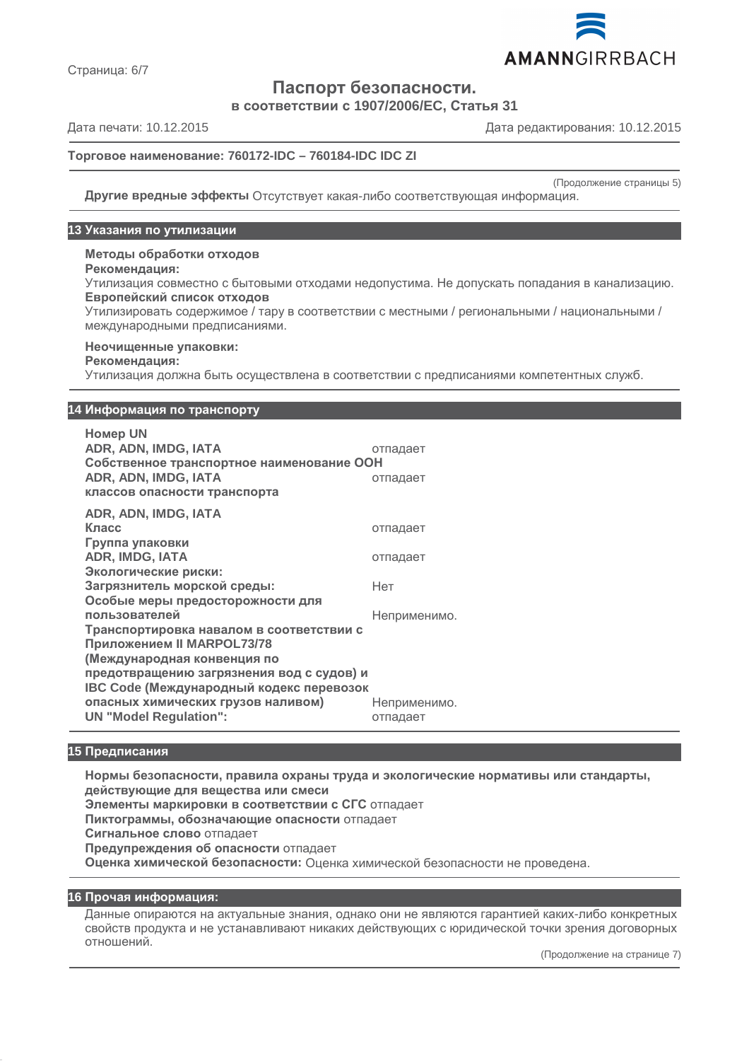

Страница: 6/7

**Паспорт безопасности.**

**в соответствии с 1907/2006/EC, Статья 31**

Дата печати: 10.12.2015 Дата редактирования: 10.12.2015

# **Торговое наименование: 760172-IDC – 760184-IDC IDC ZI**

(Продолжение страницы 5)

**Другие вредные эффекты** Отсутствует какая-либо соответствующая информация.

#### **13 Указания по утилизации**

**Методы обработки отходов**

# **Рекомендация:**

Утилизация совместно с бытовыми отходами недопустима. Не допускать попадания в канализацию. **Европейский список отходов**

Утилизировать содержимое / тару в соответствии с местными / региональными / национальными / международными предписаниями.

#### **Неочищенные упаковки:**

#### **Рекомендация:**

Утилизация должна быть осуществлена в соответствии с предписаниями компетентных служб.

#### **14 Информация по транспорту**

**Номер UN ADR, ADN, IMDG, IATA** отпадает **Собственное транспортное наименование ООН ADR, ADN, IMDG, IATA** отпадает **классов опасности транспорта ADR, ADN, IMDG, IATA**

| ADK. ADN. IMDG. IATA                      |              |
|-------------------------------------------|--------------|
| Класс                                     | отпадает     |
| Группа упаковки                           |              |
| <b>ADR, IMDG, IATA</b>                    | отпадает     |
| Экологические риски:                      |              |
| Загрязнитель морской среды:               | Нет          |
| Особые меры предосторожности для          |              |
| пользователей                             | Неприменимо. |
| Транспортировка навалом в соответствии с  |              |
| Приложением II MARPOL73/78                |              |
| (Международная конвенция по               |              |
| предотвращению загрязнения вод с судов) и |              |
| IBC Code (Международный кодекс перевозок  |              |
| опасных химических грузов наливом)        | Неприменимо. |
| <b>UN "Model Regulation":</b>             | отпадает     |
|                                           |              |

# **15 Предписания**

**Нормы безопасности, правила охраны труда и экологические нормативы или стандарты, действующие для вещества или смеси Элементы маркировки в соответствии с СГС** отпадает **Пиктограммы, обозначающие опасности** отпадает **Сигнальное слово** отпадает **Предупреждения об опасности** отпадает **Оценка химической безопасности:** Оценка химической безопасности не проведена.

#### **16 Прочая информация:**

Данные опираются на актуальные знания, однако они не являются гарантией каких-либо конкретных свойств продукта и не устанавливают никаких действующих с юридической точки зрения договорных отношений.

(Продолжение на странице 7)